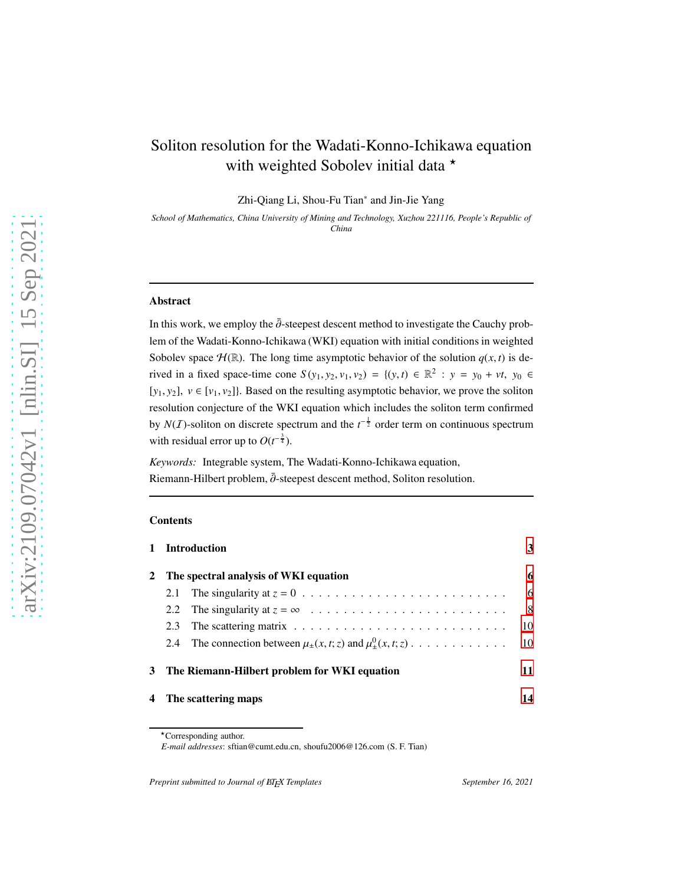# Soliton resolution for the Wadati-Konno-Ichikawa equation with weighted Sobolev initial data  $\star$

Zhi-Qiang Li, Shou-Fu Tian<sup>∗</sup> and Jin-Jie Yang

*School of Mathematics, China University of Mining and Technology, Xuzhou 221116, People's Republic of China*

#### Abstract

In this work, we employ the  $\bar{\partial}$ -steepest descent method to investigate the Cauchy problem of the Wadati-Konno-Ichikawa (WKI) equation with initial conditions in weighted Sobolev space  $\mathcal{H}(\mathbb{R})$ . The long time asymptotic behavior of the solution  $q(x, t)$  is derived in a fixed space-time cone  $S(y_1, y_2, v_1, v_2) = \{(y, t) \in \mathbb{R}^2 : y = y_0 + vt, y_0 \in$  $[y_1, y_2]$ ,  $v \in [v_1, v_2]$ . Based on the resulting asymptotic behavior, we prove the soliton resolution conjecture of the WKI equation which includes the soliton term confirmed by *N*(*I*)-soliton on discrete spectrum and the  $t^{-\frac{1}{2}}$  order term on continuous spectrum with residual error up to  $O(t^{-\frac{3}{4}})$ .

*Keywords:* Integrable system, The Wadati-Konno-Ichikawa equation, Riemann-Hilbert problem,  $\bar{\partial}$ -steepest descent method, Soliton resolution.

#### **Contents**

|              |                                       | 1 Introduction                                                                         | 3  |
|--------------|---------------------------------------|----------------------------------------------------------------------------------------|----|
| $\mathbf{2}$ | The spectral analysis of WKI equation |                                                                                        |    |
|              |                                       |                                                                                        | 6  |
|              |                                       |                                                                                        | 8  |
|              | 2.3                                   | The scattering matrix $\ldots \ldots \ldots \ldots \ldots \ldots \ldots \ldots \ldots$ | 10 |
|              | 2.4                                   | The connection between $\mu_+(x,t;z)$ and $\mu_+^0(x,t;z)$                             | 10 |
|              |                                       | 3 The Riemann-Hilbert problem for WKI equation                                         | 11 |
|              |                                       | 4 The scattering maps                                                                  | 14 |

*Preprint submitted to Journal of BIFX Templates* September 16, 2021

<sup>⋆</sup>Corresponding author.

*E-mail addresses*: sftian@cumt.edu.cn, shoufu2006@126.com (S. F. Tian)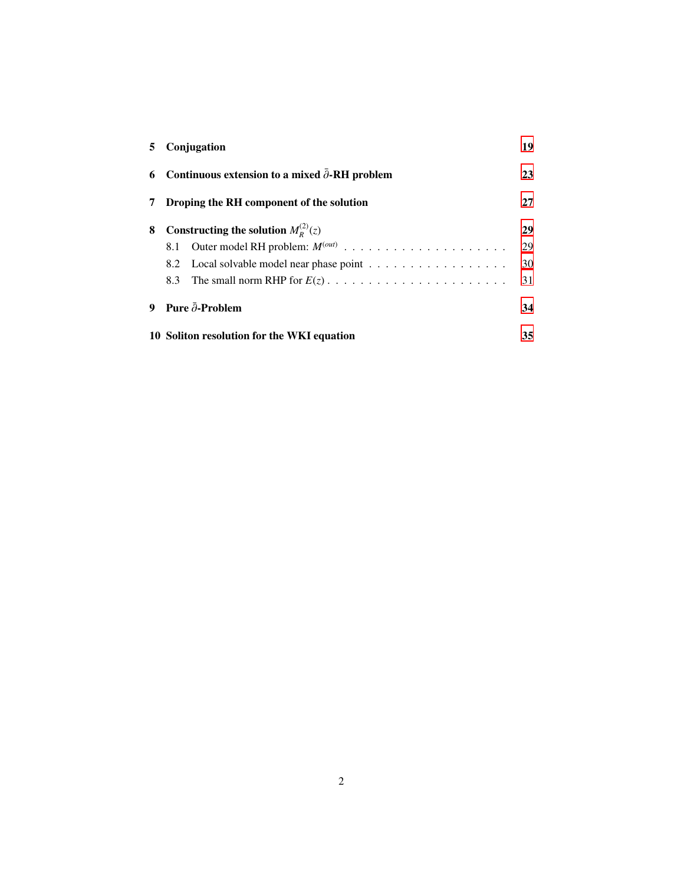| 5. | Conjugation                                            | 19 |
|----|--------------------------------------------------------|----|
| 6  | Continuous extension to a mixed $\partial$ -RH problem | 23 |
| 7  | Droping the RH component of the solution               | 27 |
| 8  | Constructing the solution $M_{R}^{(2)}(z)$             | 29 |
|    |                                                        | 29 |
|    |                                                        | 30 |
|    | 8.3                                                    | 31 |
| 9  | Pure $\bar{\partial}$ -Problem                         | 34 |
|    | 10 Soliton resolution for the WKI equation             |    |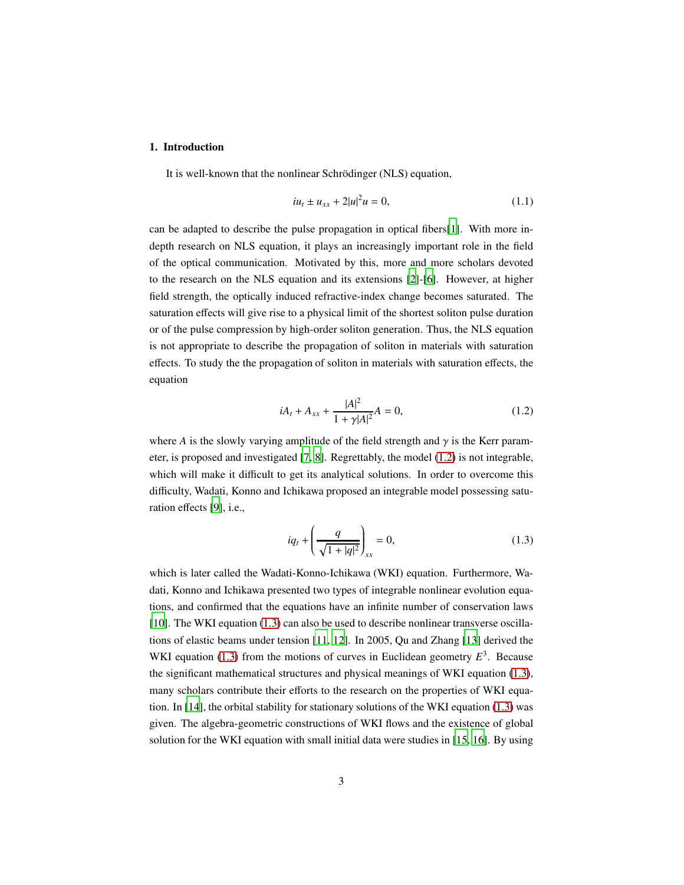### <span id="page-2-0"></span>1. Introduction

It is well-known that the nonlinear Schrödinger (NLS) equation,

<span id="page-2-3"></span>
$$
i u_t \pm u_{xx} + 2|u|^2 u = 0,
$$
\n(1.1)

can be adapted to describe the pulse propagation in optical fibers[\[1](#page-45-0)]. With more indepth research on NLS equation, it plays an increasingly important role in the field of the optical communication. Motivated by this, more and more scholars devoted to the research on the NLS equation and its extensions [\[2](#page-45-1)]-[\[6](#page-45-2)]. However, at higher field strength, the optically induced refractive-index change becomes saturated. The saturation effects will give rise to a physical limit of the shortest soliton pulse duration or of the pulse compression by high-order soliton generation. Thus, the NLS equation is not appropriate to describe the propagation of soliton in materials with saturation effects. To study the the propagation of soliton in materials with saturation effects, the equation

<span id="page-2-1"></span>
$$
iA_t + A_{xx} + \frac{|A|^2}{1 + \gamma |A|^2} A = 0,
$$
\n(1.2)

where *A* is the slowly varying amplitude of the field strength and  $\gamma$  is the Kerr parameter, is proposed and investigated [\[7](#page-45-3), [8](#page-45-4)]. Regrettably, the model [\(1.2\)](#page-2-1) is not integrable, which will make it difficult to get its analytical solutions. In order to overcome this difficulty, Wadati, Konno and Ichikawa proposed an integrable model possessing saturation effects [\[9](#page-46-0)], i.e.,

<span id="page-2-2"></span>
$$
iq_{t} + \left(\frac{q}{\sqrt{1+|q|^{2}}}\right)_{xx} = 0, \tag{1.3}
$$

which is later called the Wadati-Konno-Ichikawa (WKI) equation. Furthermore, Wadati, Konno and Ichikawa presented two types of integrable nonlinear evolution equations, and confirmed that the equations have an infinite number of conservation laws [\[10\]](#page-46-1). The WKI equation [\(1.3\)](#page-2-2) can also be used to describe nonlinear transverse oscillations of elastic beams under tension [\[11](#page-46-2), [12](#page-46-3)]. In 2005, Qu and Zhang [\[13](#page-46-4)] derived the WKI equation [\(1.3\)](#page-2-2) from the motions of curves in Euclidean geometry  $E<sup>3</sup>$ . Because the significant mathematical structures and physical meanings of WKI equation [\(1.3\)](#page-2-2), many scholars contribute their efforts to the research on the properties of WKI equation. In [\[14\]](#page-46-5), the orbital stability for stationary solutions of the WKI equation [\(1.3\)](#page-2-2) was given. The algebra-geometric constructions of WKI flows and the existence of global solution for the WKI equation with small initial data were studies in [\[15,](#page-46-6) [16](#page-46-7)]. By using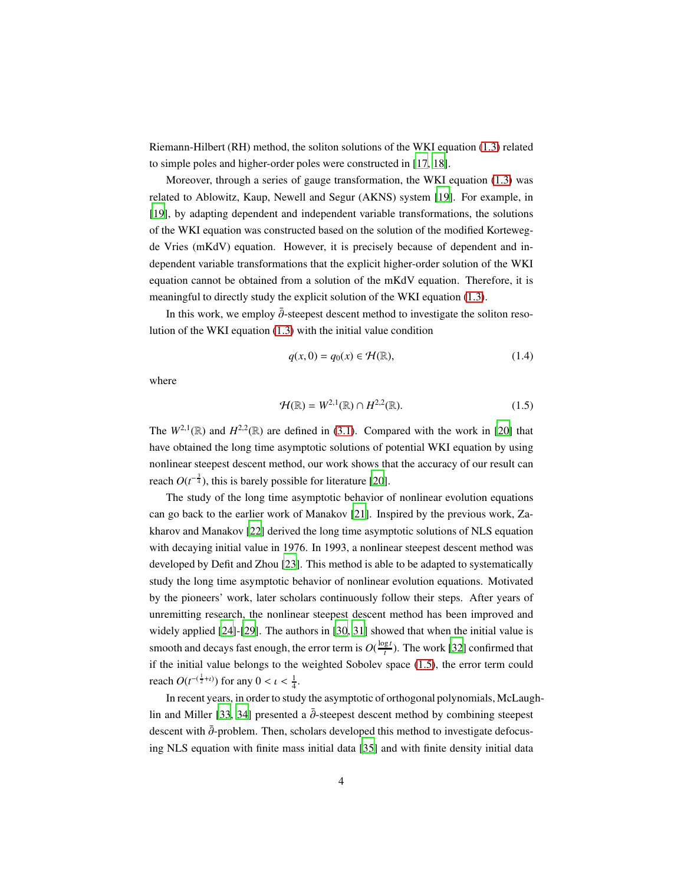Riemann-Hilbert (RH) method, the soliton solutions of the WKI equation [\(1.3\)](#page-2-2) related to simple poles and higher-order poles were constructed in [\[17,](#page-46-8) [18\]](#page-46-9).

Moreover, through a series of gauge transformation, the WKI equation [\(1.3\)](#page-2-2) was related to Ablowitz, Kaup, Newell and Segur (AKNS) system [\[19](#page-46-10)]. For example, in [\[19\]](#page-46-10), by adapting dependent and independent variable transformations, the solutions of the WKI equation was constructed based on the solution of the modified Kortewegde Vries (mKdV) equation. However, it is precisely because of dependent and independent variable transformations that the explicit higher-order solution of the WKI equation cannot be obtained from a solution of the mKdV equation. Therefore, it is meaningful to directly study the explicit solution of the WKI equation [\(1.3\)](#page-2-2).

In this work, we employ  $\bar{\partial}$ -steepest descent method to investigate the soliton resolution of the WKI equation [\(1.3\)](#page-2-2) with the initial value condition

<span id="page-3-1"></span><span id="page-3-0"></span>
$$
q(x,0) = q_0(x) \in \mathcal{H}(\mathbb{R}),\tag{1.4}
$$

where

$$
\mathcal{H}(\mathbb{R}) = W^{2,1}(\mathbb{R}) \cap H^{2,2}(\mathbb{R}).
$$
\n(1.5)

The  $W^{2,1}(\mathbb{R})$  and  $H^{2,2}(\mathbb{R})$  are defined in [\(3.1\)](#page-10-1). Compared with the work in [\[20\]](#page-46-11) that have obtained the long time asymptotic solutions of potential WKI equation by using nonlinear steepest descent method, our work shows that the accuracy of our result can reach  $O(t^{-\frac{3}{4}})$ , this is barely possible for literature [\[20\]](#page-46-11).

The study of the long time asymptotic behavior of nonlinear evolution equations can go back to the earlier work of Manakov [\[21](#page-46-12)]. Inspired by the previous work, Zakharov and Manakov [\[22\]](#page-46-13) derived the long time asymptotic solutions of NLS equation with decaying initial value in 1976. In 1993, a nonlinear steepest descent method was developed by Defit and Zhou [\[23](#page-46-14)]. This method is able to be adapted to systematically study the long time asymptotic behavior of nonlinear evolution equations. Motivated by the pioneers' work, later scholars continuously follow their steps. After years of unremitting research, the nonlinear steepest descent method has been improved and widely applied [\[24\]](#page-47-0)-[\[29\]](#page-47-1). The authors in [\[30](#page-47-2), [31](#page-47-3)] showed that when the initial value is smooth and decays fast enough, the error term is  $O(\frac{\log t}{t})$  $\frac{gt}{t}$ ). The work [\[32\]](#page-47-4) confirmed that if the initial value belongs to the weighted Sobolev space [\(1.5\)](#page-3-0), the error term could reach  $O(t^{-(\frac{1}{2}+i)})$  for any  $0 < i < \frac{1}{4}$ .

In recent years, in order to study the asymptotic of orthogonal polynomials, McLaugh-lin and Miller [\[33,](#page-47-5) [34](#page-47-6)] presented a  $\bar{\partial}$ -steepest descent method by combining steepest descent with  $\bar{\partial}$ -problem. Then, scholars developed this method to investigate defocusing NLS equation with finite mass initial data [\[35\]](#page-47-7) and with finite density initial data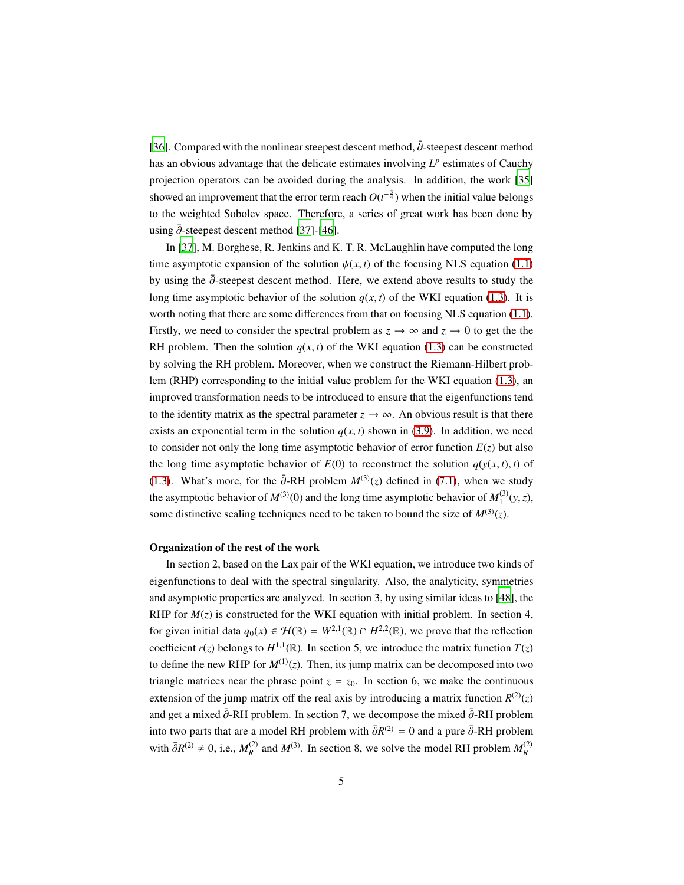[\[36\]](#page-47-8). Compared with the nonlinear steepest descent method,  $\bar{\partial}$ -steepest descent method has an obvious advantage that the delicate estimates involving  $L^p$  estimates of Cauchy projection operators can be avoided during the analysis. In addition, the work [\[35](#page-47-7)] showed an improvement that the error term reach  $O(t^{-\frac{3}{4}})$  when the initial value belongs to the weighted Sobolev space. Therefore, a series of great work has been done by using  $\bar{\partial}$ -steepest descent method [\[37\]](#page-47-9)-[\[46](#page-48-0)].

In [\[37\]](#page-47-9), M. Borghese, R. Jenkins and K. T. R. McLaughlin have computed the long time asymptotic expansion of the solution  $\psi(x, t)$  of the focusing NLS equation [\(1.1\)](#page-2-3) by using the  $\bar{\partial}$ -steepest descent method. Here, we extend above results to study the long time asymptotic behavior of the solution  $q(x, t)$  of the WKI equation [\(1.3\)](#page-2-2). It is worth noting that there are some differences from that on focusing NLS equation [\(1.1\)](#page-2-3). Firstly, we need to consider the spectral problem as  $z \to \infty$  and  $z \to 0$  to get the the RH problem. Then the solution  $q(x, t)$  of the WKI equation [\(1.3\)](#page-2-2) can be constructed by solving the RH problem. Moreover, when we construct the Riemann-Hilbert problem (RHP) corresponding to the initial value problem for the WKI equation [\(1.3\)](#page-2-2), an improved transformation needs to be introduced to ensure that the eigenfunctions tend to the identity matrix as the spectral parameter  $z \to \infty$ . An obvious result is that there exists an exponential term in the solution  $q(x, t)$  shown in [\(3.9\)](#page-12-0). In addition, we need to consider not only the long time asymptotic behavior of error function  $E(z)$  but also the long time asymptotic behavior of  $E(0)$  to reconstruct the solution  $q(y(x, t), t)$  of [\(1.3\)](#page-2-2). What's more, for the  $\bar{\partial}$ -RH problem  $M^{(3)}(z)$  defined in [\(7.1\)](#page-26-1), when we study the asymptotic behavior of  $M^{(3)}(0)$  and the long time asymptotic behavior of  $M_1^{(3)}$  $j_1^{(3)}(y, z)$ , some distinctive scaling techniques need to be taken to bound the size of  $M^{(3)}(z)$ .

#### Organization of the rest of the work

In section 2, based on the Lax pair of the WKI equation, we introduce two kinds of eigenfunctions to deal with the spectral singularity. Also, the analyticity, symmetries and asymptotic properties are analyzed. In section 3, by using similar ideas to [\[48](#page-48-1)], the RHP for  $M(z)$  is constructed for the WKI equation with initial problem. In section 4, for given initial data  $q_0(x) \in \mathcal{H}(\mathbb{R}) = W^{2,1}(\mathbb{R}) \cap H^{2,2}(\mathbb{R})$ , we prove that the reflection coefficient  $r(z)$  belongs to  $H^{1,1}(\mathbb{R})$ . In section 5, we introduce the matrix function  $T(z)$ to define the new RHP for  $M^{(1)}(z)$ . Then, its jump matrix can be decomposed into two triangle matrices near the phrase point  $z = z_0$ . In section 6, we make the continuous extension of the jump matrix off the real axis by introducing a matrix function  $R^{(2)}(z)$ and get a mixed  $\bar{\partial}$ -RH problem. In section 7, we decompose the mixed  $\bar{\partial}$ -RH problem into two parts that are a model RH problem with  $\bar{\partial}R^{(2)} = 0$  and a pure  $\bar{\partial}$ -RH problem with  $\bar{\partial}R^{(2)} \neq 0$ , i.e.,  $M_R^{(2)}$  and  $M^{(3)}$ . In section 8, we solve the model RH problem  $M_R^{(2)}$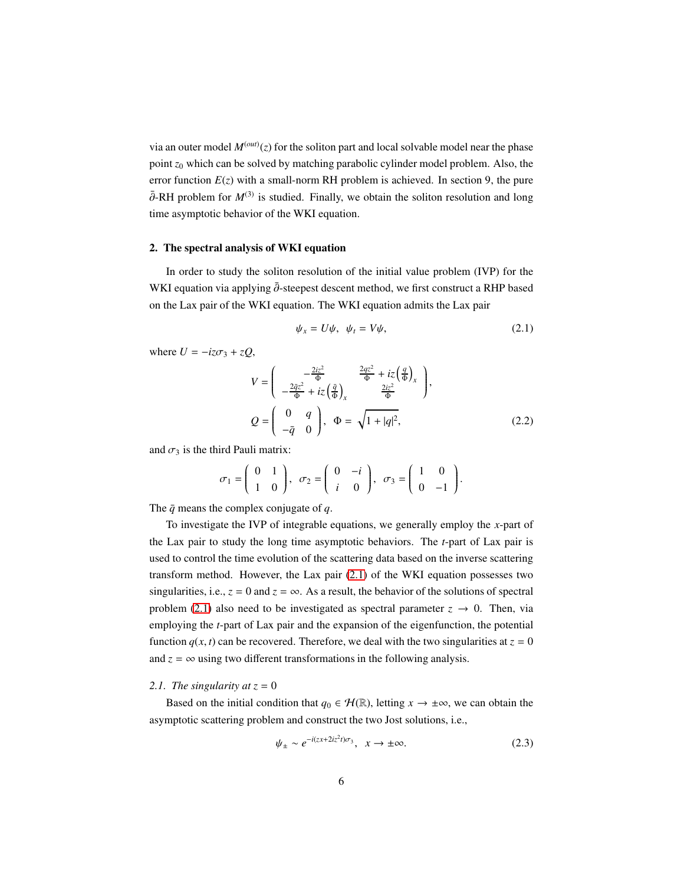via an outer model  $M<sup>(out)</sup>(z)$  for the soliton part and local solvable model near the phase point *z*<sup>0</sup> which can be solved by matching parabolic cylinder model problem. Also, the error function  $E(z)$  with a small-norm RH problem is achieved. In section 9, the pure  $\bar{\partial}$ -RH problem for  $M^{(3)}$  is studied. Finally, we obtain the soliton resolution and long time asymptotic behavior of the WKI equation.

#### <span id="page-5-0"></span>2. The spectral analysis of WKI equation

In order to study the soliton resolution of the initial value problem (IVP) for the WKI equation via applying  $\bar{\partial}$ -steepest descent method, we first construct a RHP based on the Lax pair of the WKI equation. The WKI equation admits the Lax pair

<span id="page-5-2"></span>
$$
\psi_x = U\psi, \quad \psi_t = V\psi,
$$
\n(2.1)

where  $U = -iz\sigma_3 + zQ$ ,

$$
V = \begin{pmatrix} -\frac{2iz^2}{\Phi} & \frac{2qz^2}{\Phi} + iz\left(\frac{q}{\Phi}\right)_x \\ -\frac{2\bar{q}z^2}{\Phi} + iz\left(\frac{\bar{q}}{\Phi}\right)_x & \frac{2iz^2}{\Phi} \end{pmatrix},
$$
  
\n
$$
Q = \begin{pmatrix} 0 & q \\ -\bar{q} & 0 \end{pmatrix}, \Phi = \sqrt{1 + |q|^2},
$$
 (2.2)

and  $\sigma_3$  is the third Pauli matrix:

$$
\sigma_1 = \begin{pmatrix} 0 & 1 \\ 1 & 0 \end{pmatrix}, \quad \sigma_2 = \begin{pmatrix} 0 & -i \\ i & 0 \end{pmatrix}, \quad \sigma_3 = \begin{pmatrix} 1 & 0 \\ 0 & -1 \end{pmatrix}.
$$

The  $\bar{q}$  means the complex conjugate of  $q$ .

To investigate the IVP of integrable equations, we generally employ the *x*-part of the Lax pair to study the long time asymptotic behaviors. The *t*-part of Lax pair is used to control the time evolution of the scattering data based on the inverse scattering transform method. However, the Lax pair [\(2.1\)](#page-5-2) of the WKI equation possesses two singularities, i.e.,  $z = 0$  and  $z = \infty$ . As a result, the behavior of the solutions of spectral problem [\(2.1\)](#page-5-2) also need to be investigated as spectral parameter  $z \rightarrow 0$ . Then, via employing the *t*-part of Lax pair and the expansion of the eigenfunction, the potential function  $q(x, t)$  can be recovered. Therefore, we deal with the two singularities at  $z = 0$ and  $z = \infty$  using two different transformations in the following analysis.

#### <span id="page-5-1"></span>2.1. The singularity at  $z = 0$

Based on the initial condition that  $q_0 \in \mathcal{H}(\mathbb{R})$ , letting  $x \to \pm \infty$ , we can obtain the asymptotic scattering problem and construct the two Jost solutions, i.e.,

$$
\psi_{\pm} \sim e^{-i(zx + 2iz^2 t)\sigma_3}, \quad x \to \pm \infty.
$$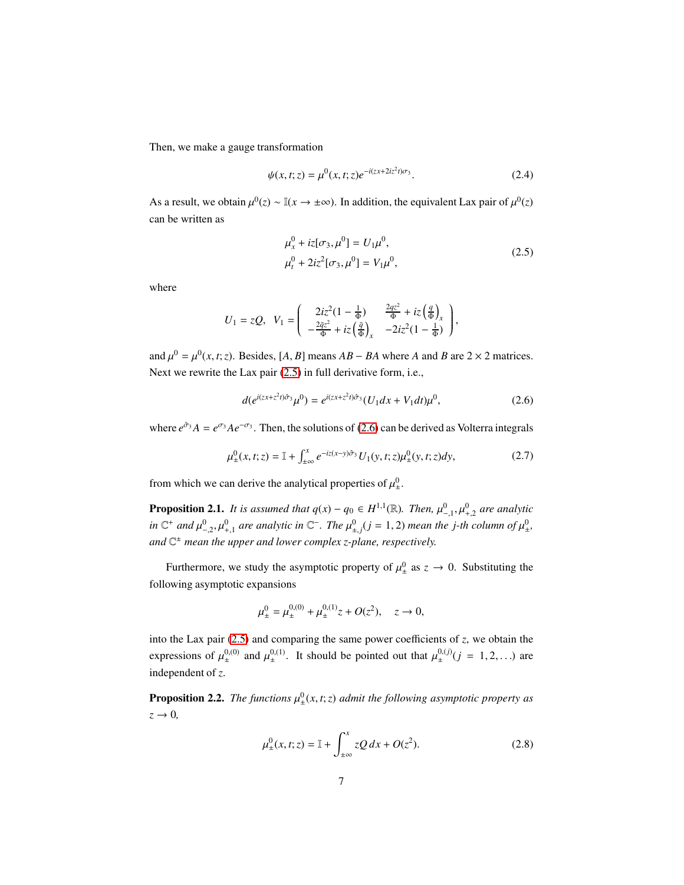Then, we make a gauge transformation

$$
\psi(x,t;z) = \mu^0(x,t;z)e^{-i(zx+2iz^2t)\sigma_3}.
$$
\n(2.4)

As a result, we obtain  $\mu^0(z) \sim \mathbb{I}(x \to \pm \infty)$ . In addition, the equivalent Lax pair of  $\mu^0(z)$ can be written as

<span id="page-6-2"></span><span id="page-6-0"></span>
$$
\mu_x^0 + iz[\sigma_3, \mu^0] = U_1 \mu^0,
$$
  
\n
$$
\mu_t^0 + 2iz^2[\sigma_3, \mu^0] = V_1 \mu^0,
$$
\n(2.5)

where

$$
U_1 = zQ, \ \ V_1 = \begin{pmatrix} 2iz^2(1-\frac{1}{\Phi}) & \frac{2qz^2}{\Phi} + iz\left(\frac{q}{\Phi}\right)_x \\ -\frac{2\bar{q}z^2}{\Phi} + iz\left(\frac{\bar{q}}{\Phi}\right)_x & -2iz^2(1-\frac{1}{\Phi}) \end{pmatrix},
$$

and  $\mu^0 = \mu^0(x, t; z)$ . Besides, [*A*, *B*] means *AB* − *BA* where *A* and *B* are 2 × 2 matrices. Next we rewrite the Lax pair [\(2.5\)](#page-6-0) in full derivative form, i.e.,

<span id="page-6-1"></span>
$$
d(e^{i(zx+z^2t)\hat{\sigma}_3}\mu^0) = e^{i(zx+z^2t)\hat{\sigma}_3}(U_1dx+V_1dt)\mu^0,
$$
\n(2.6)

where  $e^{\hat{\sigma}_3}A = e^{\sigma_3}Ae^{-\sigma_3}$ . Then, the solutions of [\(2.6\)](#page-6-1) can be derived as Volterra integrals

$$
\mu_{\pm}^{0}(x,t;z) = \mathbb{I} + \int_{\pm\infty}^{x} e^{-iz(x-y)\hat{\sigma}_{3}} U_{1}(y,t;z)\mu_{\pm}^{0}(y,t;z)dy,
$$
\n(2.7)

from which we can derive the analytical properties of  $\mu_{\pm}^{0}$  $\frac{0}{1}$ .

**Proposition 2.1.** *It is assumed that*  $q(x) - q_0 \in H^{1,1}(\mathbb{R})$ *. Then,*  $\mu_{-,1}^0, \mu_{+,2}^0$  *are analytic in*  $\mathbb{C}^+$  and  $\mu^0_{-2}, \mu^0_{+1}$  are analytic in  $\mathbb{C}^-$ . The  $\mu^0_{\pm,j}$  (*j* = 1, 2) mean the *j*-th column of  $\mu^0_{\pm}$ ± *, and* C <sup>±</sup> *mean the upper and lower complex z-plane, respectively.*

Furthermore, we study the asymptotic property of  $\mu_{\pm}^{0}$  $\frac{0}{4}$  as  $z \to 0$ . Substituting the following asymptotic expansions

$$
\mu_{\pm}^0 = \mu_{\pm}^{0,(0)} + \mu_{\pm}^{0,(1)} z + O(z^2), \quad z \to 0,
$$

into the Lax pair  $(2.5)$  and comparing the same power coefficients of  $z$ , we obtain the expressions of  $\mu_{\pm}^{0,(0)}$  $_{\pm}^{0,(0)}$  and  $\mu_{\pm}^{0,(1)}$  $\mu_{\pm}^{0,(1)}$ . It should be pointed out that  $\mu_{\pm}^{0,(j)}$  $_{\pm}^{0,(j)}(j = 1,2,...)$  are independent of *z*.

**Proposition 2.2.** The functions  $\mu_{\pm}^{0}$ ± (*x*, *t*;*z*) *admit the following asymptotic property as*  $z \rightarrow 0$ ,

$$
\mu_{\pm}^{0}(x,t;z) = \mathbb{I} + \int_{\pm\infty}^{x} zQ \, dx + O(z^{2}).
$$
\n(2.8)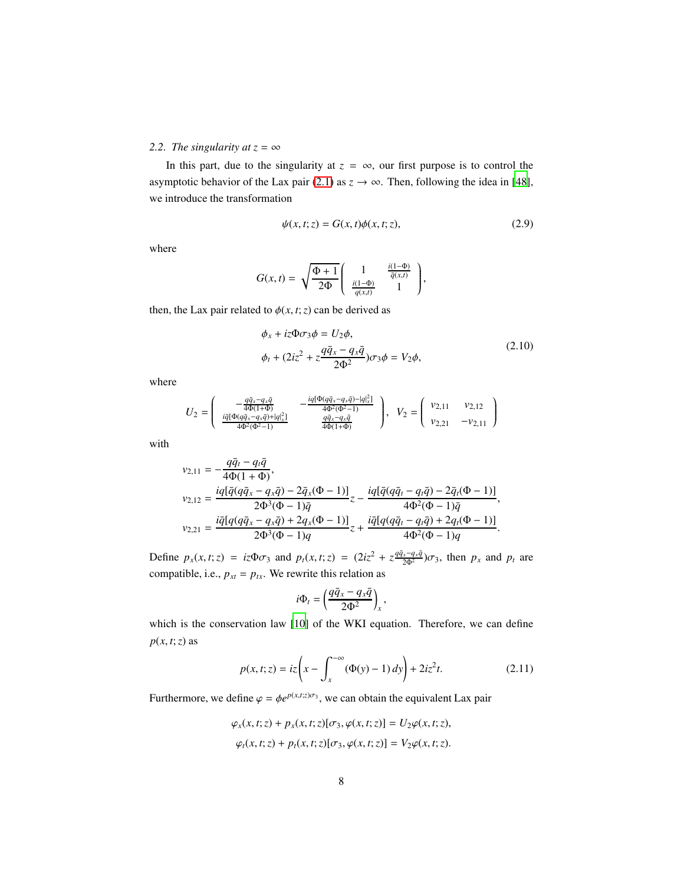# <span id="page-7-0"></span>*2.2. The singularity at*  $z = \infty$

In this part, due to the singularity at  $z = \infty$ , our first purpose is to control the asymptotic behavior of the Lax pair [\(2.1\)](#page-5-2) as  $z \to \infty$ . Then, following the idea in [\[48\]](#page-48-1), we introduce the transformation

$$
\psi(x,t;z) = G(x,t)\phi(x,t;z),\tag{2.9}
$$

where

$$
G(x,t) = \sqrt{\frac{\Phi+1}{2\Phi}} \begin{pmatrix} 1 & \frac{i(1-\Phi)}{\overline{q}(x,t)} \\ \frac{i(1-\Phi)}{q(x,t)} & 1 \end{pmatrix},
$$

then, the Lax pair related to  $\phi(x, t; z)$  can be derived as

$$
\phi_x + iz\Phi\sigma_3\phi = U_2\phi,
$$
  
\n
$$
\phi_t + (2iz^2 + z\frac{q\bar{q}_x - q_x\bar{q}}{2\Phi^2})\sigma_3\phi = V_2\phi,
$$
\n(2.10)

where

$$
U_2 = \begin{pmatrix} -\frac{q\bar{q}_x - q_x\bar{q}}{4\Phi(1+\Phi)} & -\frac{i q [\Phi(q\bar{q}_x - q_x\bar{q}) - |q]_x^2]}{4\Phi^2(\Phi^2 - 1)} \\ \frac{i \bar{q} [\Phi(q\bar{q}_x - q_x\bar{q}) + |q]_x^2]}{4\Phi^2(\Phi^2 - 1)} & \frac{q\bar{q}_x - q_x\bar{q}}{4\Phi(1+\Phi)} \end{pmatrix}, \quad V_2 = \begin{pmatrix} v_{2,11} & v_{2,12} \\ v_{2,21} & -v_{2,11} \end{pmatrix}
$$

with

$$
v_{2,11} = -\frac{q\bar{q}_t - q_t\bar{q}}{4\Phi(1+\Phi)},
$$
  
\n
$$
v_{2,12} = \frac{i q [\bar{q}(q\bar{q}_x - q_x\bar{q}) - 2\bar{q}_x(\Phi - 1)]}{2\Phi^3(\Phi - 1)\bar{q}} z - \frac{i q [\bar{q}(q\bar{q}_t - q_t\bar{q}) - 2\bar{q}_t(\Phi - 1)]}{4\Phi^2(\Phi - 1)\bar{q}},
$$
  
\n
$$
v_{2,21} = \frac{i \bar{q} [q(q\bar{q}_x - q_x\bar{q}) + 2q_x(\Phi - 1)]}{2\Phi^3(\Phi - 1)q} z + \frac{i \bar{q} [q(q\bar{q}_t - q_t\bar{q}) + 2q_t(\Phi - 1)]}{4\Phi^2(\Phi - 1)q}.
$$

Define  $p_x(x, t; z) = iz\Phi \sigma_3$  and  $p_t(x, t; z) = (2iz^2 + z\frac{q\bar{q}_x - q_x\bar{q}}{2\Phi^2})\sigma_3$ , then  $p_x$  and  $p_t$  are compatible, i.e.,  $p_{xt} = p_{tx}$ . We rewrite this relation as

$$
i\Phi_t = \left(\frac{q\bar{q}_x - q_x\bar{q}}{2\Phi^2}\right)_x,
$$

which is the conservation law [\[10](#page-46-1)] of the WKI equation. Therefore, we can define *p*(*x*, *t*;*z*) as

$$
p(x, t; z) = iz \left( x - \int_{x}^{\infty} (\Phi(y) - 1) dy \right) + 2iz^{2} t.
$$
 (2.11)

Furthermore, we define  $\varphi = \varphi e^{p(x,t;z)\sigma_3}$ , we can obtain the equivalent Lax pair

$$
\varphi_x(x,t;z) + p_x(x,t;z)[\sigma_3, \varphi(x,t;z)] = U_2\varphi(x,t;z),
$$
  

$$
\varphi_t(x,t;z) + p_t(x,t;z)[\sigma_3, \varphi(x,t;z)] = V_2\varphi(x,t;z).
$$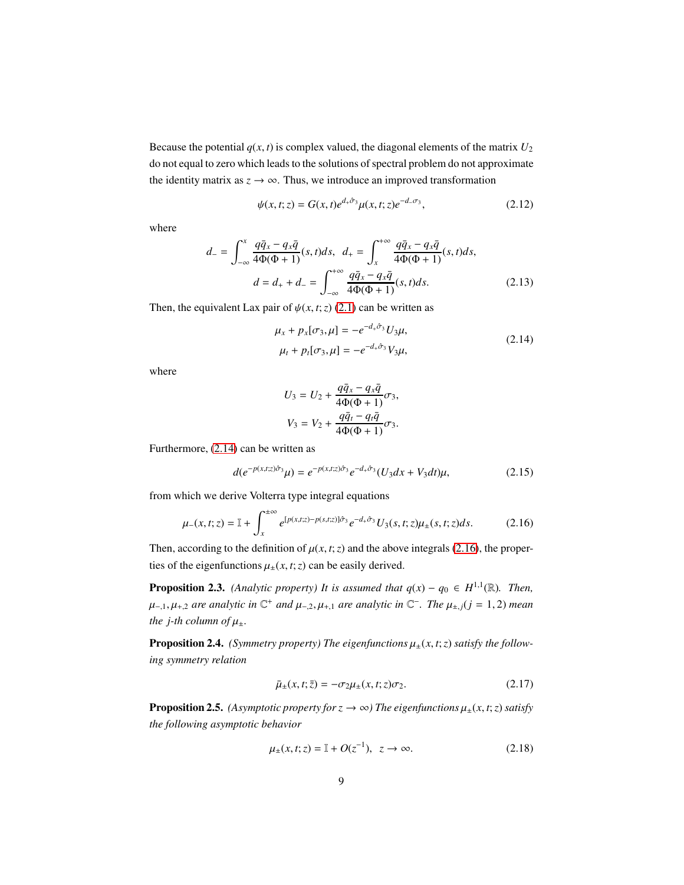Because the potential  $q(x, t)$  is complex valued, the diagonal elements of the matrix  $U_2$ do not equal to zero which leads to the solutions of spectral problem do not approximate the identity matrix as  $z \rightarrow \infty$ . Thus, we introduce an improved transformation

<span id="page-8-2"></span>
$$
\psi(x,t;z) = G(x,t)e^{d_{+}\hat{\sigma}_{3}}\mu(x,t;z)e^{-d_{-}\sigma_{3}},
$$
\n(2.12)

where

$$
d_{-} = \int_{-\infty}^{x} \frac{q\bar{q}_{x} - q_{x}\bar{q}}{4\Phi(\Phi + 1)}(s, t)ds, \quad d_{+} = \int_{x}^{+\infty} \frac{q\bar{q}_{x} - q_{x}\bar{q}}{4\Phi(\Phi + 1)}(s, t)ds, d = d_{+} + d_{-} = \int_{-\infty}^{+\infty} \frac{q\bar{q}_{x} - q_{x}\bar{q}}{4\Phi(\Phi + 1)}(s, t)ds.
$$
 (2.13)

Then, the equivalent Lax pair of  $\psi(x, t; z)$  [\(2.1\)](#page-5-2) can be written as

<span id="page-8-4"></span>
$$
\mu_x + p_x[\sigma_3, \mu] = -e^{-d_+ \hat{\sigma}_3} U_3 \mu,
$$
  
\n
$$
\mu_t + p_t[\sigma_3, \mu] = -e^{-d_+ \hat{\sigma}_3} V_3 \mu,
$$
\n(2.14)

where

<span id="page-8-1"></span><span id="page-8-0"></span>
$$
U_3 = U_2 + \frac{q\bar{q}_x - q_x\bar{q}}{4\Phi(\Phi + 1)}\sigma_3,
$$
  

$$
V_3 = V_2 + \frac{q\bar{q}_t - q_t\bar{q}}{4\Phi(\Phi + 1)}\sigma_3.
$$

Furthermore, [\(2.14\)](#page-8-0) can be written as

$$
d(e^{-p(x,t;z)\hat{\sigma}_3}\mu) = e^{-p(x,t;z)\hat{\sigma}_3}e^{-d_+\hat{\sigma}_3}(U_3dx + V_3dt)\mu, \tag{2.15}
$$

from which we derive Volterra type integral equations

$$
\mu_{-}(x,t;z) = \mathbb{I} + \int_{x}^{\pm \infty} e^{\left[p(x,t;z) - p(s,t;z)\right]\hat{\sigma}_{3}} e^{-d_{+}\hat{\sigma}_{3}} U_{3}(s,t;z) \mu_{\pm}(s,t;z) ds.
$$
 (2.16)

Then, according to the definition of  $\mu(x, t; z)$  and the above integrals [\(2.16\)](#page-8-1), the properties of the eigenfunctions  $\mu_{\pm}(x, t; z)$  can be easily derived.

**Proposition 2.3.** *(Analytic property) It is assumed that*  $q(x) - q_0 \in H^{1,1}(\mathbb{R})$ *. Then,*  $\mu_{-,1}, \mu_{+,2}$  are analytic in  $\mathbb{C}^+$  and  $\mu_{-,2}, \mu_{+,1}$  are analytic in  $\mathbb{C}^-$ . The  $\mu_{\pm,j}$ ( $j = 1, 2$ ) mean *the j-th column of*  $\mu_{\pm}$ *.* 

<span id="page-8-3"></span>**Proposition 2.4.** *(Symmetry property) The eigenfunctions*  $\mu_{\pm}(x, t; z)$  *satisfy the following symmetry relation*

$$
\bar{\mu}_{\pm}(x,t;\bar{z}) = -\sigma_2 \mu_{\pm}(x,t;z)\sigma_2. \tag{2.17}
$$

**Proposition 2.5.** *(Asymptotic property for z*  $\rightarrow \infty$ *) The eigenfunctions*  $\mu_{\pm}(x, t; z)$  *satisfy the following asymptotic behavior*

$$
\mu_{\pm}(x,t;z) = \mathbb{I} + O(z^{-1}), \ z \to \infty.
$$
 (2.18)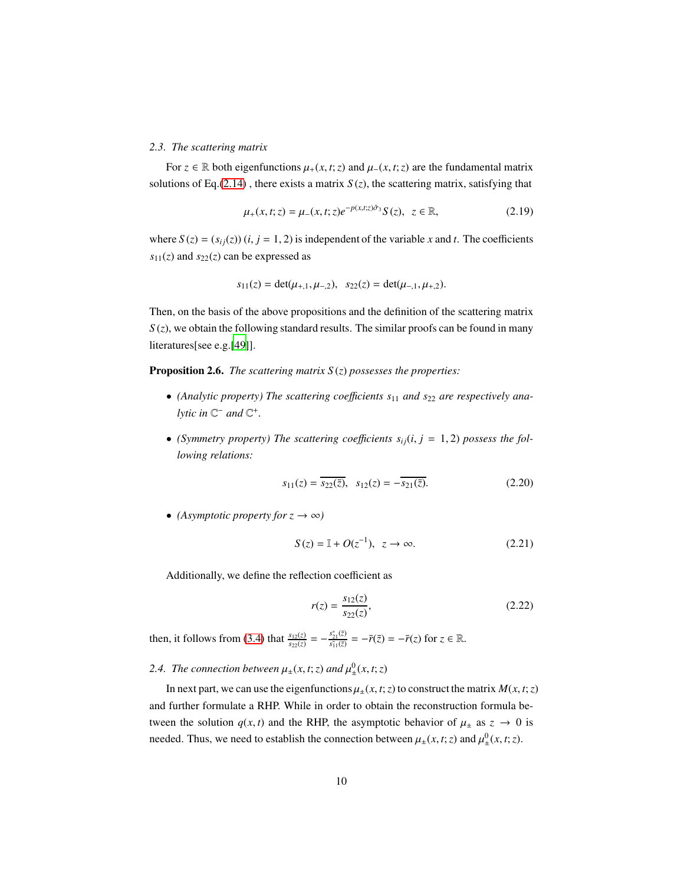### <span id="page-9-0"></span>*2.3. The scattering matrix*

For *z* ∈ ℝ both eigenfunctions  $\mu_+(x, t; z)$  and  $\mu_-(x, t; z)$  are the fundamental matrix solutions of Eq.[\(2.14\)](#page-8-0), there exists a matrix  $S(z)$ , the scattering matrix, satisfying that

<span id="page-9-2"></span>
$$
\mu_{+}(x,t;z) = \mu_{-}(x,t;z)e^{-p(x,t;z)\hat{\sigma}_{3}}S(z), \ z \in \mathbb{R}, \tag{2.19}
$$

where  $S(z) = (s_{ij}(z))$  (*i*, *j* = 1, 2) is independent of the variable *x* and *t*. The coefficients  $s_{11}(z)$  and  $s_{22}(z)$  can be expressed as

$$
s_{11}(z) = \det(\mu_{+,1}, \mu_{-,2}), \quad s_{22}(z) = \det(\mu_{-,1}, \mu_{+,2}).
$$

Then, on the basis of the above propositions and the definition of the scattering matrix  $S(z)$ , we obtain the following standard results. The similar proofs can be found in many literatures[see e.g.[\[49\]](#page-48-2)].

Proposition 2.6. *The scattering matrix S* (*z*) *possesses the properties:*

- (Analytic property) The scattering coefficients  $s_{11}$  and  $s_{22}$  are respectively ana*lytic in*  $\mathbb{C}^-$  *and*  $\mathbb{C}^+$ *.*
- (Symmetry property) The scattering coefficients  $s_{ij}(i, j = 1, 2)$  possess the fol*lowing relations:*

$$
s_{11}(z) = \overline{s_{22}(\bar{z})}, \ \ s_{12}(z) = -\overline{s_{21}(\bar{z})}.
$$
 (2.20)

• *(Asymptotic property for*  $z \rightarrow \infty$ )

$$
S(z) = \mathbb{I} + O(z^{-1}), \ z \to \infty.
$$
 (2.21)

Additionally, we define the reflection coefficient as

<span id="page-9-3"></span>
$$
r(z) = \frac{s_{12}(z)}{s_{22}(z)},
$$
\n(2.22)

then, it follows from [\(3.4\)](#page-11-0) that  $\frac{s_{12}(z)}{s_{22}(z)} = -\frac{s_{21}^*(\bar{z})}{s_{11}(\bar{z})} = -\bar{r}(\bar{z}) = -\bar{r}(z)$  for  $z \in \mathbb{R}$ .

#### <span id="page-9-1"></span>2.4. The connection between  $\mu_{\pm}(x, t; z)$  and  $\mu_{\pm}^{0}$  $_{\pm}^{0}(x, t; z)$

In next part, we can use the eigenfunctions  $\mu_+(x, t; z)$  to construct the matrix  $M(x, t; z)$ and further formulate a RHP. While in order to obtain the reconstruction formula between the solution  $q(x, t)$  and the RHP, the asymptotic behavior of  $\mu_{\pm}$  as  $z \rightarrow 0$  is needed. Thus, we need to establish the connection between  $\mu_{\pm}(x, t; z)$  and  $\mu_{\pm}^{0}$  $_{\pm}^{0}(x, t; z)$ .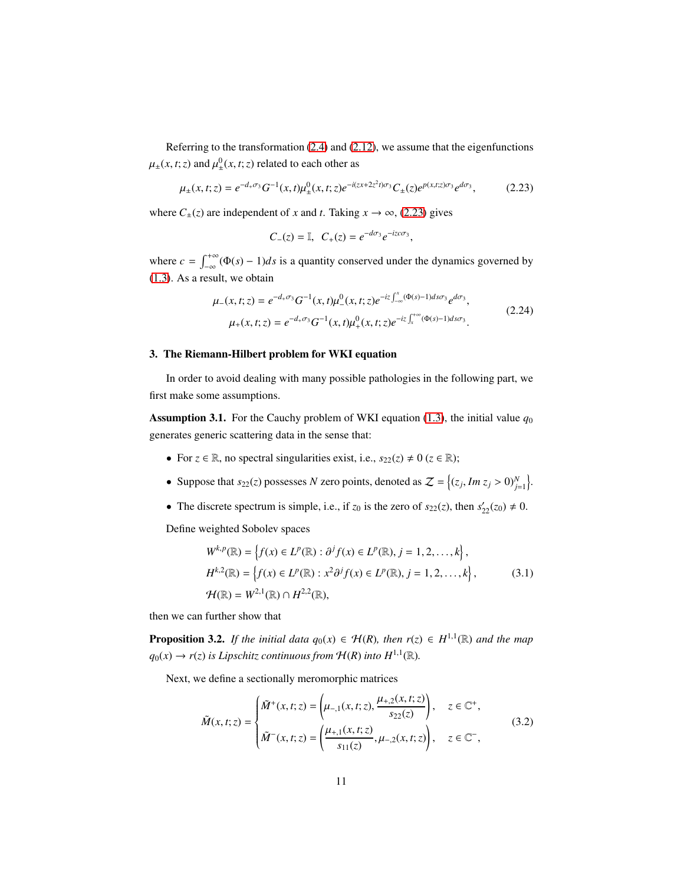Referring to the transformation [\(2.4\)](#page-6-2) and [\(2.12\)](#page-8-2), we assume that the eigenfunctions  $\mu_{\pm}(x, t; z)$  and  $\mu_{\pm}^{0}$  $^{0}_{\pm}(x, t; z)$  related to each other as

$$
\mu_{\pm}(x,t;z) = e^{-d_{+}\sigma_{3}} G^{-1}(x,t) \mu_{\pm}^{0}(x,t;z) e^{-i(zx+2z^{2}t)\sigma_{3}} C_{\pm}(z) e^{p(x,t;z)\sigma_{3}} e^{d\sigma_{3}},
$$
(2.23)

where  $C_{\pm}(z)$  are independent of *x* and *t*. Taking  $x \to \infty$ , [\(2.23\)](#page-10-2) gives

<span id="page-10-2"></span>
$$
C_{-}(z) = \mathbb{I}, \ \ C_{+}(z) = e^{-d\sigma_3}e^{-izc\sigma_3},
$$

where  $c = \int_{-\infty}^{+\infty}$  $\int_{-\infty}^{+\infty} (\Phi(s) - 1) ds$  is a quantity conserved under the dynamics governed by [\(1.3\)](#page-2-2). As a result, we obtain

$$
\mu_{-}(x,t;z) = e^{-d_{+}\sigma_{3}} G^{-1}(x,t) \mu_{-}^{0}(x,t;z) e^{-iz \int_{-\infty}^{x} (\Phi(s)-1)ds\sigma_{3}} e^{d\sigma_{3}},
$$
\n
$$
\mu_{+}(x,t;z) = e^{-d_{+}\sigma_{3}} G^{-1}(x,t) \mu_{+}^{0}(x,t;z) e^{-iz \int_{x}^{+\infty} (\Phi(s)-1)ds\sigma_{3}}.
$$
\n(2.24)

### <span id="page-10-0"></span>3. The Riemann-Hilbert problem for WKI equation

In order to avoid dealing with many possible pathologies in the following part, we first make some assumptions.

<span id="page-10-3"></span>**Assumption 3.1.** For the Cauchy problem of WKI equation [\(1.3\)](#page-2-2), the initial value  $q_0$ generates generic scattering data in the sense that:

- For  $z \in \mathbb{R}$ , no spectral singularities exist, i.e.,  $s_{22}(z) \neq 0$  ( $z \in \mathbb{R}$ );
- Suppose that  $s_{22}(z)$  possesses *N* zero points, denoted as  $Z = \{(z_j, Im\ z_j > 0)_{j=1}^N\}$ .
- The discrete spectrum is simple, i.e., if  $z_0$  is the zero of  $s_{22}(z)$ , then  $s'_{22}(z_0) \neq 0$ .

Define weighted Sobolev spaces

<span id="page-10-1"></span>
$$
W^{k,p}(\mathbb{R}) = \left\{ f(x) \in L^p(\mathbb{R}) : \partial^j f(x) \in L^p(\mathbb{R}), j = 1, 2, ..., k \right\},
$$
  
\n
$$
H^{k,2}(\mathbb{R}) = \left\{ f(x) \in L^p(\mathbb{R}) : x^2 \partial^j f(x) \in L^p(\mathbb{R}), j = 1, 2, ..., k \right\},
$$
  
\n
$$
\mathcal{H}(\mathbb{R}) = W^{2,1}(\mathbb{R}) \cap H^{2,2}(\mathbb{R}),
$$
\n(3.1)

then we can further show that

<span id="page-10-4"></span>**Proposition 3.2.** *If the initial data*  $q_0(x) \in \mathcal{H}(R)$ *, then*  $r(z) \in H^{1,1}(\mathbb{R})$  *and the map*  $q_0(x) \to r(z)$  *is Lipschitz continuous from*  $\mathcal{H}(R)$  *into*  $H^{1,1}(\mathbb{R})$ *.* 

Next, we define a sectionally meromorphic matrices

$$
\tilde{M}(x,t;z) = \begin{cases}\n\tilde{M}^+(x,t;z) = \left(\mu_{-,1}(x,t;z), \frac{\mu_{+,2}(x,t;z)}{s_{22}(z)}\right), & z \in \mathbb{C}^+, \\
\tilde{M}^-(x,t;z) = \left(\frac{\mu_{+,1}(x,t;z)}{s_{11}(z)}, \mu_{-,2}(x,t;z)\right), & z \in \mathbb{C}^-, \n\end{cases}
$$
\n(3.2)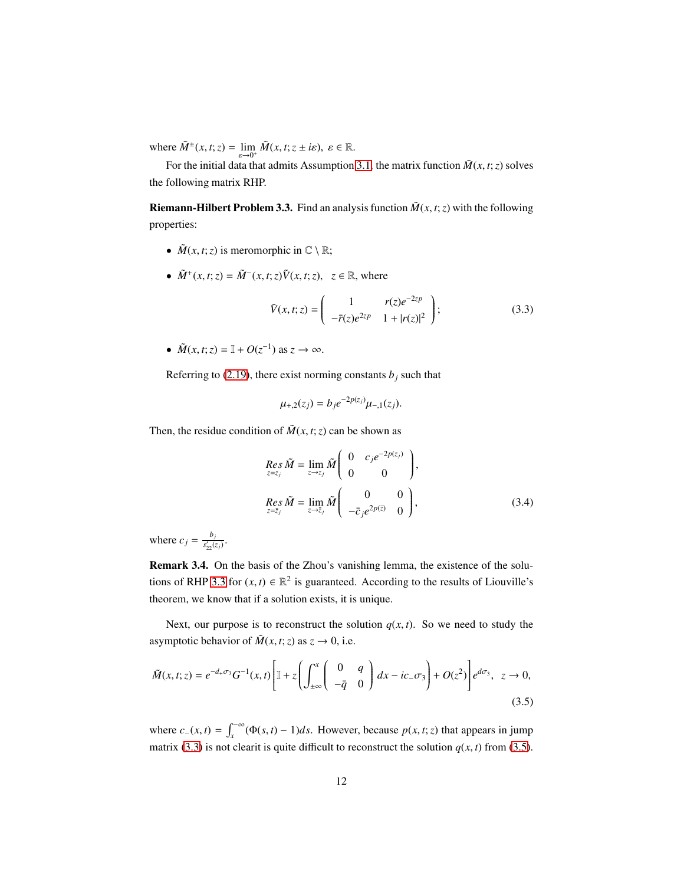where  $\widetilde{M}^{\pm}(x, t; z) = \lim_{\varepsilon \to 0^+} \widetilde{M}(x, t; z \pm i\varepsilon), \ \varepsilon \in \mathbb{R}.$ 

For the initial data that admits Assumption [3.1,](#page-10-3) the matrix function  $\tilde{M}(x, t; z)$  solves the following matrix RHP.

<span id="page-11-1"></span>**Riemann-Hilbert Problem 3.3.** Find an analysis function  $\tilde{M}(x, t; z)$  with the following properties:

- $\tilde{M}(x, t; z)$  is meromorphic in  $\mathbb{C} \setminus \mathbb{R}$ ;
- $\tilde{M}^{+}(x, t; z) = \tilde{M}^{-}(x, t; z)\tilde{V}(x, t; z), z \in \mathbb{R}$ , where

<span id="page-11-2"></span>
$$
\tilde{V}(x,t;z) = \begin{pmatrix} 1 & r(z)e^{-2zp} \\ -\bar{r}(z)e^{2zp} & 1+|r(z)|^2 \end{pmatrix};
$$
\n(3.3)

•  $\tilde{M}(x, t; z) = \mathbb{I} + O(z^{-1})$  as  $z \to \infty$ .

Referring to [\(2.19\)](#page-9-2), there exist norming constants  $b_i$  such that

<span id="page-11-0"></span>
$$
\mu_{+,2}(z_j) = b_j e^{-2p(z_j)} \mu_{-,1}(z_j).
$$

Then, the residue condition of  $\tilde{M}(x, t; z)$  can be shown as

<span id="page-11-3"></span>
$$
Res_{z=z_j} \tilde{M} = \lim_{z \to z_j} \tilde{M} \begin{pmatrix} 0 & c_j e^{-2p(z_j)} \\ 0 & 0 \end{pmatrix},
$$
  
\n
$$
Res_{z=\bar{z}_j} \tilde{M} = \lim_{z \to \bar{z}_j} \tilde{M} \begin{pmatrix} 0 & 0 \\ -\bar{c}_j e^{2p(\bar{z})} & 0 \end{pmatrix},
$$
 (3.4)

where  $c_j = \frac{b_j}{s'_j}$  $\frac{v_j}{s'_{22}(z_j)}$ .

Remark 3.4. On the basis of the Zhou's vanishing lemma, the existence of the solu-tions of RHP [3.3](#page-11-1) for  $(x, t) \in \mathbb{R}^2$  is guaranteed. According to the results of Liouville's theorem, we know that if a solution exists, it is unique.

Next, our purpose is to reconstruct the solution  $q(x, t)$ . So we need to study the asymptotic behavior of  $\tilde{M}(x, t; z)$  as  $z \to 0$ , i.e.

$$
\tilde{M}(x,t;z) = e^{-d_+\sigma_3} G^{-1}(x,t) \left[ \mathbb{I} + z \left( \int_{\pm\infty}^x \begin{pmatrix} 0 & q \\ -\bar{q} & 0 \end{pmatrix} dx - ic_-\sigma_3 \right) + O(z^2) \right] e^{d\sigma_3}, \ z \to 0,
$$
\n(3.5)

where  $c_-(x, t) = \int_x^{\infty} (\Phi(s, t) - 1) ds$ . However, because  $p(x, t; z)$  that appears in jump matrix [\(3.3\)](#page-11-2) is not clearit is quite difficult to reconstruct the solution  $q(x, t)$  from [\(3.5\)](#page-11-3).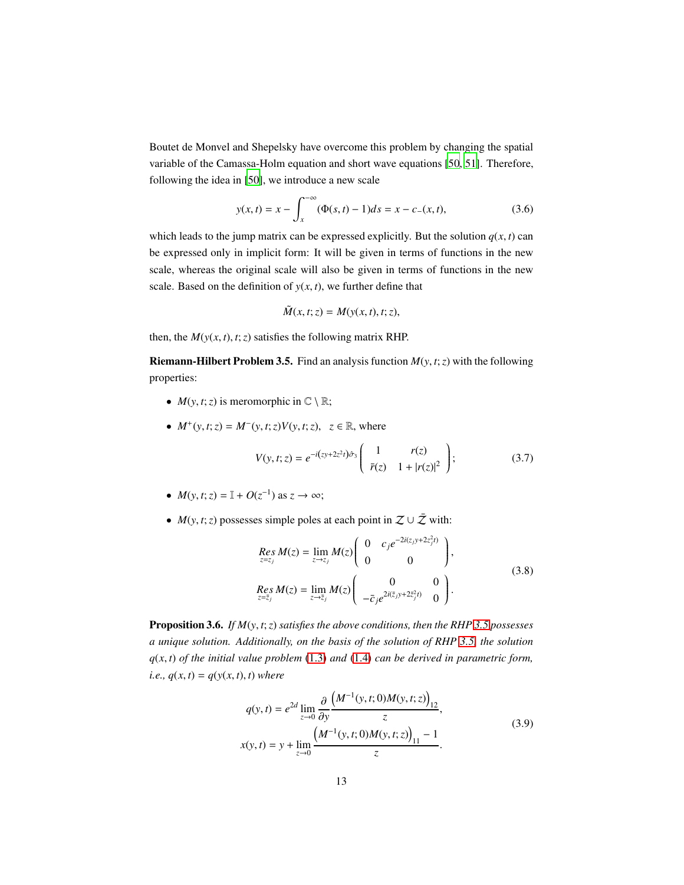Boutet de Monvel and Shepelsky have overcome this problem by changing the spatial variable of the Camassa-Holm equation and short wave equations [\[50,](#page-48-3) [51\]](#page-48-4). Therefore, following the idea in [\[50](#page-48-3)], we introduce a new scale

$$
y(x,t) = x - \int_{x}^{\infty} (\Phi(s,t) - 1)ds = x - c_{-}(x,t),
$$
\n(3.6)

which leads to the jump matrix can be expressed explicitly. But the solution  $q(x, t)$  can be expressed only in implicit form: It will be given in terms of functions in the new scale, whereas the original scale will also be given in terms of functions in the new scale. Based on the definition of  $y(x, t)$ , we further define that

<span id="page-12-3"></span>
$$
\tilde{M}(x,t;z) = M(y(x,t),t;z),
$$

then, the  $M(y(x, t), t; z)$  satisfies the following matrix RHP.

<span id="page-12-1"></span>**Riemann-Hilbert Problem 3.5.** Find an analysis function  $M(y, t; z)$  with the following properties:

- $M(y, t; z)$  is meromorphic in  $\mathbb{C} \setminus \mathbb{R}$ ;
- $M^+(y, t; z) = M^-(y, t; z) V(y, t; z), z \in \mathbb{R}$ , where

$$
V(y, t; z) = e^{-i(zy + 2z^2t)\hat{\sigma}_3} \left( \begin{array}{cc} 1 & r(z) \\ \bar{r}(z) & 1 + |r(z)|^2 \end{array} \right);
$$
 (3.7)

- $M(y, t; z) = \mathbb{I} + O(z^{-1})$  as  $z \to \infty$ ;
- $M(y, t; z)$  possesses simple poles at each point in  $\mathcal{Z} \cup \bar{\mathcal{Z}}$  with:

<span id="page-12-2"></span>
$$
Res_{z=z_j} M(z) = \lim_{z \to z_j} M(z) \begin{pmatrix} 0 & c_j e^{-2i(z_j y + 2z_j^2 t)} \\ 0 & 0 \end{pmatrix},
$$
  
\n
$$
Res_{z=\overline{z}_j} M(z) = \lim_{z \to \overline{z}_j} M(z) \begin{pmatrix} 0 & 0 \\ 0 & 0 \\ -\overline{c}_j e^{2i(\overline{z}_j y + 2z_j^2 t)} & 0 \end{pmatrix}.
$$
 (3.8)

Proposition 3.6. *If M*(*y*, *t*;*z*) *satisfies the above conditions, then the RHP [3.5](#page-12-1) possesses a unique solution. Additionally, on the basis of the solution of RHP [3.5,](#page-12-1) the solution q*(*x*, *t*) *of the initial value problem* [\(1.3\)](#page-2-2) *and* [\(1.4\)](#page-3-1) *can be derived in parametric form, i.e.,*  $q(x, t) = q(y(x, t), t)$  *where* 

<span id="page-12-0"></span>
$$
q(y,t) = e^{2d} \lim_{z \to 0} \frac{\partial}{\partial y} \frac{\left(M^{-1}(y,t;0)M(y,t;z)\right)_{12}}{z},
$$
  

$$
x(y,t) = y + \lim_{z \to 0} \frac{\left(M^{-1}(y,t;0)M(y,t;z)\right)_{11} - 1}{z}.
$$
 (3.9)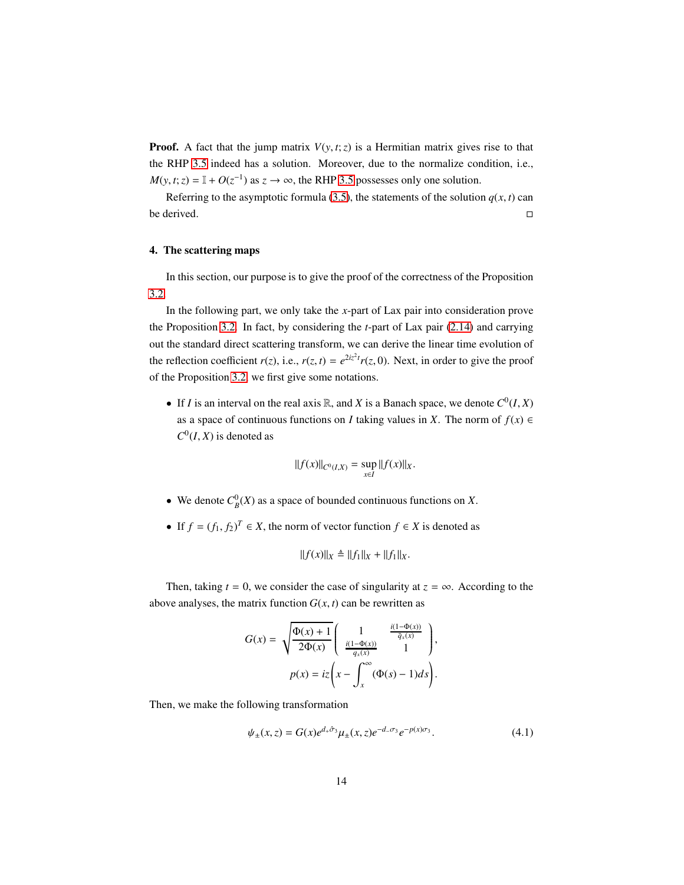**Proof.** A fact that the jump matrix  $V(y, t; z)$  is a Hermitian matrix gives rise to that the RHP [3.5](#page-12-1) indeed has a solution. Moreover, due to the normalize condition, i.e.,  $M(y, t; z) = \mathbb{I} + O(z^{-1})$  as  $z \to \infty$ , the RHP [3.5](#page-12-1) possesses only one solution.

Referring to the asymptotic formula [\(3.5\)](#page-11-3), the statements of the solution  $q(x, t)$  can be derived.

# <span id="page-13-0"></span>4. The scattering maps

In this section, our purpose is to give the proof of the correctness of the Proposition [3.2.](#page-10-4)

In the following part, we only take the *x*-part of Lax pair into consideration prove the Proposition [3.2.](#page-10-4) In fact, by considering the *t*-part of Lax pair [\(2.14\)](#page-8-0) and carrying out the standard direct scattering transform, we can derive the linear time evolution of the reflection coefficient  $r(z)$ , i.e.,  $r(z, t) = e^{2iz^2t}r(z, 0)$ . Next, in order to give the proof of the Proposition [3.2,](#page-10-4) we first give some notations.

• If *I* is an interval on the real axis  $\mathbb{R}$ , and *X* is a Banach space, we denote  $C^0(I, X)$ as a space of continuous functions on *I* taking values in *X*. The norm of  $f(x) \in$  $C^0(I, X)$  is denoted as

$$
||f(x)||_{C^0(I,X)} = \sup_{x \in I} ||f(x)||_X.
$$

- We denote  $C_B^0(X)$  as a space of bounded continuous functions on *X*.
- If  $f = (f_1, f_2)^T \in X$ , the norm of vector function  $f \in X$  is denoted as

$$
||f(x)||_X \triangleq ||f_1||_X + ||f_1||_X.
$$

Then, taking  $t = 0$ , we consider the case of singularity at  $z = \infty$ . According to the above analyses, the matrix function  $G(x, t)$  can be rewritten as

$$
G(x) = \sqrt{\frac{\Phi(x) + 1}{2\Phi(x)}} \begin{pmatrix} 1 & \frac{i(1 - \Phi(x))}{\bar{q}_x(x)} \\ \frac{i(1 - \Phi(x))}{q_x(x)} & 1 \end{pmatrix},
$$

$$
p(x) = iz \left( x - \int_x^\infty (\Phi(s) - 1) ds \right).
$$

Then, we make the following transformation

$$
\psi_{\pm}(x,z) = G(x)e^{d_{+}\hat{\sigma}_{3}}\mu_{\pm}(x,z)e^{-d_{-}\sigma_{3}}e^{-p(x)\sigma_{3}}.
$$
\n(4.1)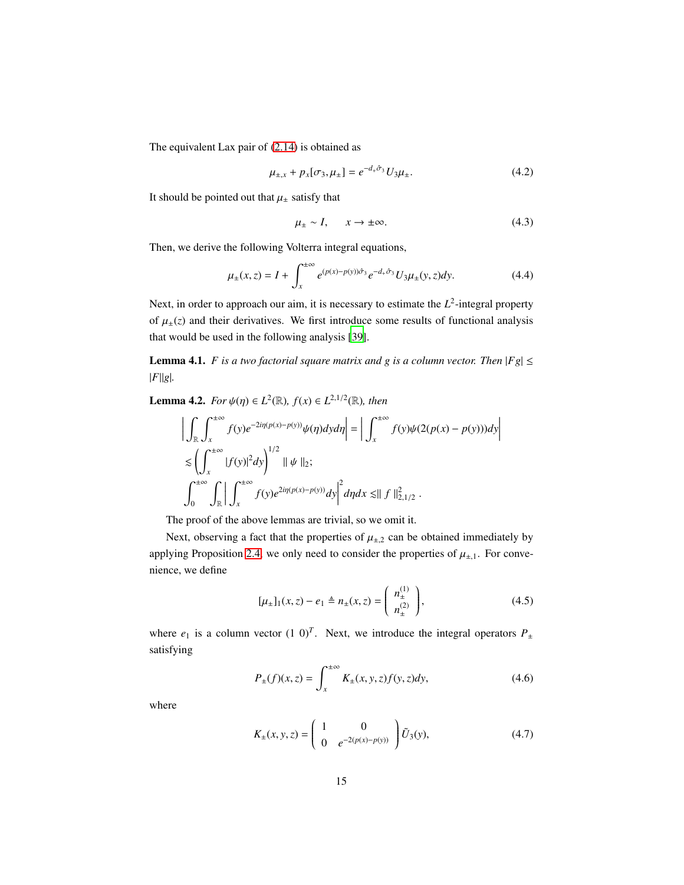The equivalent Lax pair of [\(2.14\)](#page-8-0) is obtained as

$$
\mu_{\pm,x} + p_x[\sigma_3, \mu_{\pm}] = e^{-d_+\hat{\sigma}_3} U_3 \mu_{\pm}.
$$
 (4.2)

It should be pointed out that  $\mu_{\pm}$  satisfy that

<span id="page-14-0"></span>
$$
\mu_{\pm} \sim I, \qquad x \to \pm \infty. \tag{4.3}
$$

<span id="page-14-3"></span> $\begin{array}{c} \hline \end{array}$ 

Then, we derive the following Volterra integral equations,

$$
\mu_{\pm}(x,z) = I + \int_{x}^{\pm \infty} e^{(p(x)-p(y))\hat{\sigma}_3} e^{-d_+\hat{\sigma}_3} U_3 \mu_{\pm}(y,z) dy.
$$
 (4.4)

Next, in order to approach our aim, it is necessary to estimate the  $L^2$ -integral property of  $\mu_{\pm}(z)$  and their derivatives. We first introduce some results of functional analysis that would be used in the following analysis [\[39\]](#page-48-5).

<span id="page-14-2"></span>**Lemma 4.1.** *F is a two factorial square matrix and g is a column vector. Then*  $|Fg| \le$ |*F*||*g*|*.*

<span id="page-14-1"></span>**Lemma 4.2.** *For*  $\psi(\eta) \in L^2(\mathbb{R})$ *,*  $f(x) \in L^{2,1/2}(\mathbb{R})$ *, then* 

$$
\left| \int_{\mathbb{R}} \int_{x}^{\pm \infty} f(y) e^{-2i\eta(p(x) - p(y))} \psi(\eta) dy d\eta \right| = \left| \int_{x}^{\pm \infty} f(y) \psi(2(p(x) - p(y))) dy \right|
$$
  
\n
$$
\lesssim \left( \int_{x}^{\pm \infty} |f(y)|^2 dy \right)^{1/2} \|\psi\|_{2};
$$
  
\n
$$
\int_{0}^{\pm \infty} \int_{\mathbb{R}} \left| \int_{x}^{\pm \infty} f(y) e^{2i\eta(p(x) - p(y))} dy \right|^{2} d\eta dx \lesssim \|f\|_{2, 1/2}^{2}.
$$

The proof of the above lemmas are trivial, so we omit it.

Next, observing a fact that the properties of  $\mu_{\pm,2}$  can be obtained immediately by applying Proposition [2.4,](#page-8-3) we only need to consider the properties of  $\mu_{\pm,1}$ . For convenience, we define

$$
[\mu_{\pm}]_1(x,z) - e_1 \triangleq n_{\pm}(x,z) = \begin{pmatrix} n_{\pm}^{(1)} \\ n_{\pm}^{(2)} \end{pmatrix},
$$
 (4.5)

where  $e_1$  is a column vector  $(1\ 0)^T$ . Next, we introduce the integral operators  $P_{\pm}$ satisfying

$$
P_{\pm}(f)(x,z) = \int_{x}^{\pm \infty} K_{\pm}(x,y,z) f(y,z) dy,
$$
 (4.6)

where

$$
K_{\pm}(x, y, z) = \begin{pmatrix} 1 & 0 \\ 0 & e^{-2(p(x) - p(y))} \end{pmatrix} \tilde{U}_3(y), \tag{4.7}
$$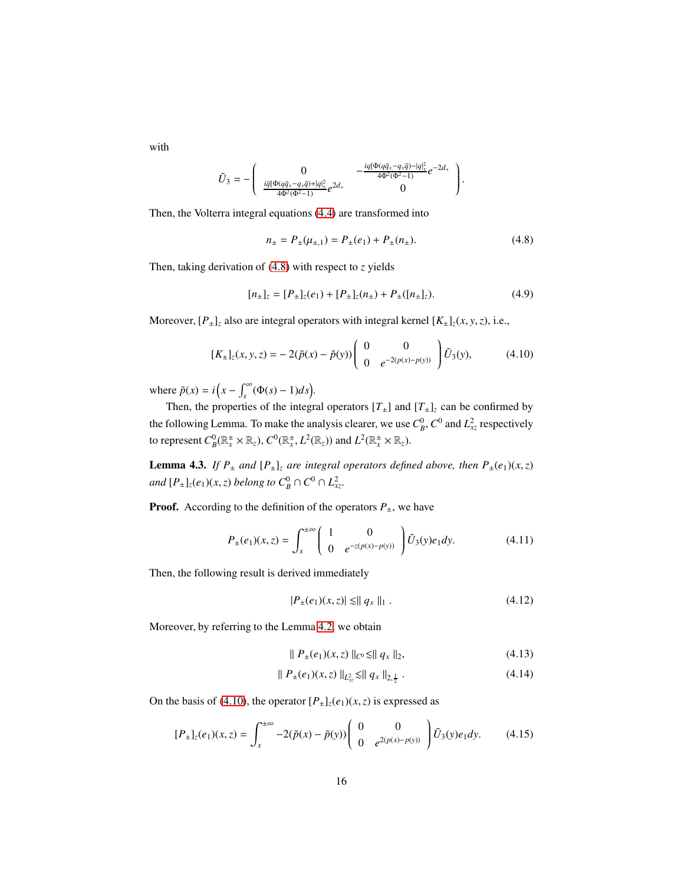with

$$
\tilde{U}_3 = -\begin{pmatrix} 0 & -\frac{i q [\Phi(q\bar{q}_x - q_x\bar{q}) - |q]_x^2}{4\Phi^2(\Phi^2 - 1)} e^{-2d_+} \\ \frac{i \bar{q} [\Phi(q\bar{q}_x - q_x\bar{q}) + |q]_x^2}{4\Phi^2(\Phi^2 - 1)} e^{2d_+} & 0 \end{pmatrix}
$$

Then, the Volterra integral equations [\(4.4\)](#page-14-0) are transformed into

$$
n_{\pm} = P_{\pm}(\mu_{\pm,1}) = P_{\pm}(e_1) + P_{\pm}(n_{\pm}).
$$
\n(4.8)

<span id="page-15-2"></span><span id="page-15-1"></span><span id="page-15-0"></span>.

Then, taking derivation of [\(4.8\)](#page-15-0) with respect to *z* yields

$$
[n_{\pm}]_z = [P_{\pm}]_z(e_1) + [P_{\pm}]_z(n_{\pm}) + P_{\pm}([n_{\pm}]_z). \tag{4.9}
$$

Moreover,  $[P_{\pm}]_z$  also are integral operators with integral kernel  $[K_{\pm}]_z(x, y, z)$ , i.e.,

$$
[K_{\pm}]_z(x, y, z) = -2(\tilde{p}(x) - \tilde{p}(y)) \begin{pmatrix} 0 & 0 \\ 0 & e^{-2(p(x) - p(y))} \end{pmatrix} \tilde{U}_3(y), \quad (4.10)
$$

where  $\tilde{p}(x) = i\left(x - \int_x^\infty (\Phi(s) - 1)ds\right)$ .

Then, the properties of the integral operators  $[T_{\pm}]$  and  $[T_{\pm}]$ <sub>z</sub> can be confirmed by the following Lemma. To make the analysis clearer, we use  $C_B^0$ ,  $C^0$  and  $L_{xz}^2$  respectively to represent  $C_B^0(\mathbb{R}_x^{\pm}\times\mathbb{R}_z)$ ,  $C^0(\mathbb{R}_x^{\pm}, L^2(\mathbb{R}_z))$  and  $L^2(\mathbb{R}_x^{\pm}\times\mathbb{R}_z)$ .

**Lemma 4.3.** *If*  $P_{\pm}$  *and*  $[P_{\pm}]$ *z are integral operators defined above, then*  $P_{\pm}(e_1)(x, z)$ *and*  $[P_{\pm}]_z(e_1)(x, z)$  *belong to*  $C_B^0 \cap C^0 \cap L_{xz}^2$ .

**Proof.** According to the definition of the operators  $P_{\pm}$ , we have

$$
P_{\pm}(e_1)(x,z) = \int_{x}^{\pm \infty} \left( \begin{array}{cc} 1 & 0 \\ 0 & e^{-z(p(x)-p(y))} \end{array} \right) \tilde{U}_3(y)e_1 dy.
$$
 (4.11)

Then, the following result is derived immediately

$$
|P_{\pm}(e_1)(x,z)| \lesssim ||q_x||_1.
$$
 (4.12)

Moreover, by referring to the Lemma [4.2,](#page-14-1) we obtain

$$
\| P_{\pm}(e_1)(x, z) \|_{C^0} \le \| q_x \|_2, \tag{4.13}
$$

$$
\| P_{\pm}(e_1)(x,z) \|_{L^2_{xx}} \lesssim \| q_x \|_{2, \frac{1}{2}} . \tag{4.14}
$$

On the basis of [\(4.10\)](#page-15-1), the operator  $[P_{\pm}]_z(e_1)(x, z)$  is expressed as

$$
[P_{\pm}]_z(e_1)(x,z) = \int_x^{\pm \infty} -2(\tilde{p}(x) - \tilde{p}(y)) \begin{pmatrix} 0 & 0 \\ 0 & e^{2(p(x) - p(y))} \end{pmatrix} \tilde{U}_3(y)e_1dy.
$$
 (4.15)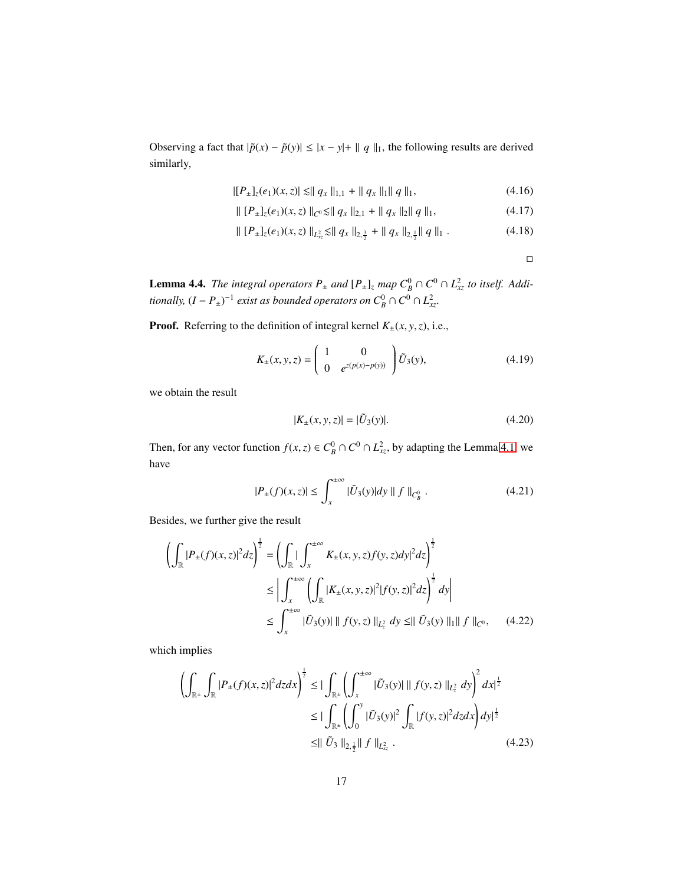Observing a fact that  $|\tilde{p}(x) - \tilde{p}(y)| \le |x - y| + ||q||$ , the following results are derived similarly,

$$
|[P_{\pm}]_z(e_1)(x,z)| \leq ||q_x||_{1,1} + ||q_x||_1||q||_1,
$$
\n(4.16)

$$
\| [P_{\pm}]_z(e_1)(x,z) \|_{C^0} \lesssim \| q_x \|_{2,1} + \| q_x \|_{2} \| q \|_{1}, \qquad (4.17)
$$

$$
\| [P_{\pm}]_{z}(e_1)(x,z) \|_{L^2_{xz}} \leq \| q_x \|_{2, \frac{3}{2}} + \| q_x \|_{2, \frac{1}{2}} \| q \|_{1} . \tag{4.18}
$$

 $\Box$ 

**Lemma 4.4.** *The integral operators*  $P_{\pm}$  *and*  $[P_{\pm}]$ *z*  $map \ C_B^0 \cap C^0 \cap L_{xz}^2$  *to itself.* Addi*tionally,*  $(I - P_{\pm})^{-1}$  *exist as bounded operators on*  $C_B^0 \cap C^0 \cap L_{xx}^2$ *.* 

**Proof.** Referring to the definition of integral kernel  $K_{\pm}(x, y, z)$ , i.e.,

$$
K_{\pm}(x, y, z) = \begin{pmatrix} 1 & 0 \\ 0 & e^{z(p(x) - p(y))} \end{pmatrix} \tilde{U}_3(y), \tag{4.19}
$$

we obtain the result

$$
|K_{\pm}(x, y, z)| = |\tilde{U}_3(y)|. \tag{4.20}
$$

Then, for any vector function  $f(x, z) \in C_B^0 \cap C^0 \cap L_{xz}^2$ , by adapting the Lemma [4.1,](#page-14-2) we have

$$
|P_{\pm}(f)(x,z)| \le \int_{x}^{\pm \infty} |\tilde{U}_3(y)| dy \parallel f \parallel_{C^0_B}.
$$
 (4.21)

Besides, we further give the result

$$
\left(\int_{\mathbb{R}} |P_{\pm}(f)(x,z)|^{2} dz\right)^{\frac{1}{2}} = \left(\int_{\mathbb{R}} |\int_{x}^{\pm \infty} K_{\pm}(x,y,z)f(y,z) dy|^{2} dz\right)^{\frac{1}{2}}
$$
  
\n
$$
\leq \left| \int_{x}^{\pm \infty} \left(\int_{\mathbb{R}} |K_{\pm}(x,y,z)|^{2} |f(y,z)|^{2} dz\right)^{\frac{1}{2}} dy\right|
$$
  
\n
$$
\leq \int_{x}^{\pm \infty} |\tilde{U}_{3}(y)| \, ||f(y,z)||_{L_{x}^{2}} dy \leq ||\tilde{U}_{3}(y)||_{1} ||f||_{C^{0}}, \quad (4.22)
$$

which implies

$$
\left(\int_{\mathbb{R}^{\pm}}\int_{\mathbb{R}}|P_{\pm}(f)(x,z)|^{2}dzdx\right)^{\frac{1}{2}} \leq \left|\int_{\mathbb{R}^{\pm}}\left(\int_{x}^{\pm\infty}|\tilde{U}_{3}(y)| \parallel f(y,z)\right)\right|_{L_{z}^{2}}dy\right)^{2}dx^{\frac{1}{2}}
$$

$$
\leq \left|\int_{\mathbb{R}^{\pm}}\left(\int_{0}^{y}|\tilde{U}_{3}(y)|^{2}\int_{\mathbb{R}}|f(y,z)|^{2}dzdx\right)dy^{\frac{1}{2}}
$$

$$
\leq \left|\left|\tilde{U}_{3}\right|\right|_{2,\frac{1}{2}}\left|\left|f\right|\right|_{L_{x}^{2}}.
$$
(4.23)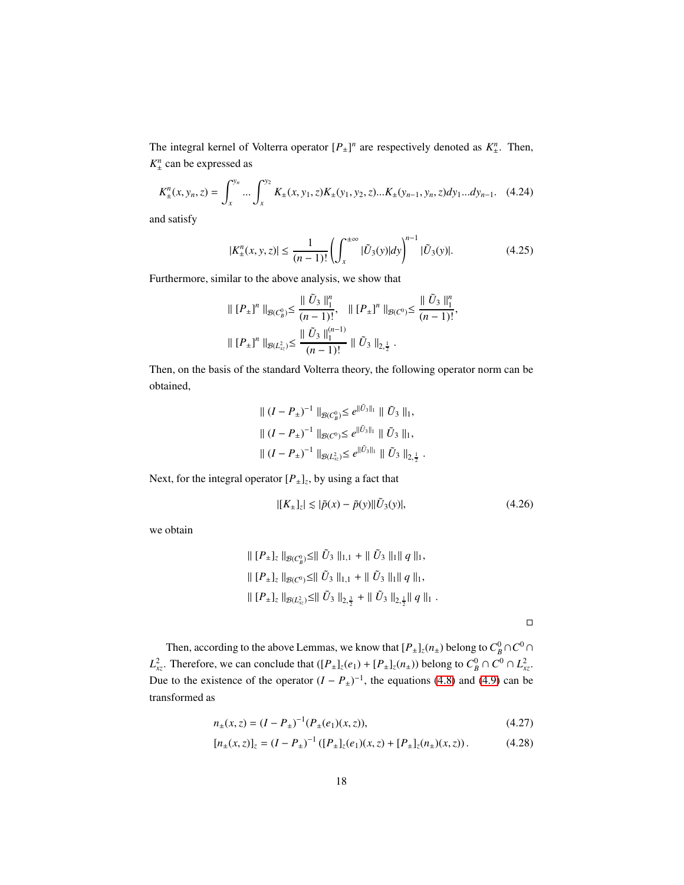The integral kernel of Volterra operator  $[P_{\pm}]^n$  are respectively denoted as  $K_{\pm}^n$  $\frac{n}{t}$ . Then, *K n*  $\frac{n}{2}$  can be expressed as

$$
K_{\pm}^{n}(x, y_{n}, z) = \int_{x}^{y_{n}} \dots \int_{x}^{y_{2}} K_{\pm}(x, y_{1}, z) K_{\pm}(y_{1}, y_{2}, z) \dots K_{\pm}(y_{n-1}, y_{n}, z) dy_{1} \dots dy_{n-1}.
$$
 (4.24)

and satisfy

$$
|K_{\pm}^{n}(x, y, z)| \le \frac{1}{(n-1)!} \left( \int_{x}^{\pm \infty} |\tilde{U}_{3}(y)| dy \right)^{n-1} |\tilde{U}_{3}(y)|. \tag{4.25}
$$

,

Furthermore, similar to the above analysis, we show that

$$
\| [P_{\pm}]^n \|_{\mathcal{B}(C_9^0)} \leq \frac{\| \tilde{U}_3 \|_1^n}{(n-1)!}, \quad \| [P_{\pm}]^n \|_{\mathcal{B}(C^0)} \leq \frac{\| \tilde{U}_3 \|_1^n}{(n-1)!}
$$
  

$$
\| [P_{\pm}]^n \|_{\mathcal{B}(L_{\infty}^2)} \leq \frac{\| \tilde{U}_3 \|_1^{(n-1)}}{(n-1)!} \| \tilde{U}_3 \|_{2, \frac{1}{2}}.
$$

Then, on the basis of the standard Volterra theory, the following operator norm can be obtained,

$$
\| (I - P_{\pm})^{-1} \|_{\mathcal{B}(C_{B}^{0})} \leq e^{\| \tilde{U}_{3} \|_{1}} \| \tilde{U}_{3} \|_{1},
$$
  

$$
\| (I - P_{\pm})^{-1} \|_{\mathcal{B}(C^{0})} \leq e^{\| \tilde{U}_{3} \|_{1}} \| \tilde{U}_{3} \|_{1},
$$
  

$$
\| (I - P_{\pm})^{-1} \|_{\mathcal{B}(L_{xx}^{2})} \leq e^{\| \tilde{U}_{3} \|_{1}} \| \tilde{U}_{3} \|_{2, \frac{1}{2}}.
$$

Next, for the integral operator  $[P_{\pm}]_z$ , by using a fact that

$$
|[K_{\pm}]_z| \lesssim |\tilde{p}(x) - \tilde{p}(y)||\tilde{U}_3(y)|, \tag{4.26}
$$

we obtain

$$
\| [P_{\pm}]_z \|_{\mathcal{B}(C^0_B)} \leq \| \tilde{U}_3 \|_{1,1} + \| \tilde{U}_3 \|_{1} \| q \|_{1},
$$
  

$$
\| [P_{\pm}]_z \|_{\mathcal{B}(C^0)} \leq \| \tilde{U}_3 \|_{1,1} + \| \tilde{U}_3 \|_{1} \| q \|_{1},
$$
  

$$
\| [P_{\pm}]_z \|_{\mathcal{B}(L^2_{xx})} \leq \| \tilde{U}_3 \|_{2,\frac{3}{2}} + \| \tilde{U}_3 \|_{2,\frac{1}{2}} \| q \|_{1}.
$$

 $\Box$ 

Then, according to the above Lemmas, we know that  $[P_{\pm}]_z(n_{\pm})$  belong to  $C_B^0 \cap C^0 \cap$ *L*<sup>2</sup><sub>*xz*</sub>. Therefore, we can conclude that  $([P_{\pm}]_z(e_1) + [P_{\pm}]_z(n_{\pm}))$  belong to  $C_B^0 \cap C^0 \cap L_{xz}^2$ . Due to the existence of the operator  $(I - P_{\pm})^{-1}$ , the equations [\(4.8\)](#page-15-0) and [\(4.9\)](#page-15-2) can be transformed as

$$
n_{\pm}(x,z) = (I - P_{\pm})^{-1} (P_{\pm}(e_1)(x,z)), \tag{4.27}
$$

$$
[n_{\pm}(x,z)]_z = (I - P_{\pm})^{-1} ([P_{\pm}]_z(e_1)(x,z) + [P_{\pm}]_z(n_{\pm})(x,z)). \tag{4.28}
$$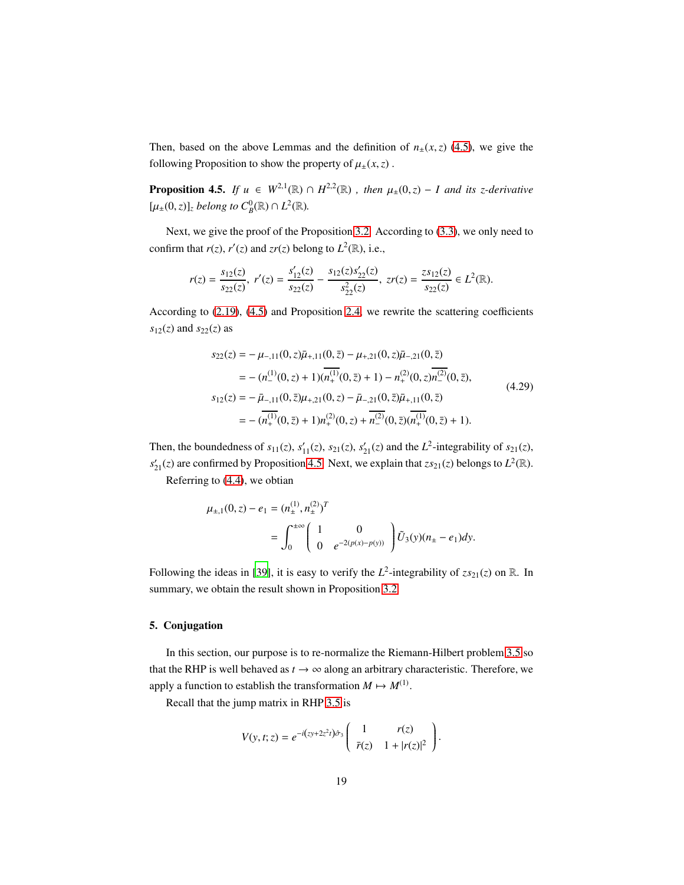Then, based on the above Lemmas and the definition of  $n_{\pm}(x, z)$  [\(4.5\)](#page-14-3), we give the following Proposition to show the property of  $\mu_{\pm}(x, z)$ .

<span id="page-18-1"></span>**Proposition 4.5.** *If*  $u \in W^{2,1}(\mathbb{R}) \cap H^{2,2}(\mathbb{R})$ , then  $\mu_{\pm}(0,z) - I$  and its *z*-derivative  $[\mu_{\pm}(0, z)]_z$  *belong to*  $C_B^0(\mathbb{R}) \cap L^2(\mathbb{R})$ *.* 

Next, we give the proof of the Proposition [3.2.](#page-10-4) According to [\(3.3\)](#page-11-2), we only need to confirm that  $r(z)$ ,  $r'(z)$  and  $z r(z)$  belong to  $L^2(\mathbb{R})$ , i.e.,

$$
r(z) = \frac{s_{12}(z)}{s_{22}(z)}, r'(z) = \frac{s'_{12}(z)}{s_{22}(z)} - \frac{s_{12}(z)s'_{22}(z)}{s_{22}^2(z)}, \ zr(z) = \frac{zs_{12}(z)}{s_{22}(z)} \in L^2(\mathbb{R}).
$$

According to [\(2.19\)](#page-9-2), [\(4.5\)](#page-14-3) and Proposition [2.4,](#page-8-3) we rewrite the scattering coefficients  $s_{12}(z)$  and  $s_{22}(z)$  as

$$
s_{22}(z) = -\mu_{-,11}(0, z)\bar{\mu}_{+,11}(0, \bar{z}) - \mu_{+,21}(0, z)\bar{\mu}_{-,21}(0, \bar{z})
$$
  
\n
$$
= -\left(n_{-}^{(1)}(0, z) + 1\right)\left(n_{+}^{(1)}(0, \bar{z}) + 1\right) - n_{+}^{(2)}(0, z)\bar{n}_{-}^{(2)}(0, \bar{z}),
$$
  
\n
$$
s_{12}(z) = -\bar{\mu}_{-,11}(0, \bar{z})\mu_{+,21}(0, z) - \bar{\mu}_{-,21}(0, \bar{z})\bar{\mu}_{+,11}(0, \bar{z})
$$
  
\n
$$
= -\left(n_{+}^{(1)}(0, \bar{z}) + 1\right)n_{+}^{(2)}(0, z) + n_{-}^{(2)}(0, \bar{z})(n_{+}^{(1)}(0, \bar{z}) + 1).
$$
\n(4.29)

Then, the boundedness of  $s_{11}(z)$ ,  $s'_{11}(z)$ ,  $s_{21}(z)$ ,  $s'_{21}(z)$  and the  $L^2$ -integrability of  $s_{21}(z)$ ,  $s'_{21}(z)$  are confirmed by Proposition [4.5.](#page-18-1) Next, we explain that  $zs_{21}(z)$  belongs to  $L^2(\mathbb{R})$ .

Referring to [\(4.4\)](#page-14-0), we obtian

$$
\mu_{\pm,1}(0,z) - e_1 = (n_{\pm}^{(1)}, n_{\pm}^{(2)})^T
$$
  
= 
$$
\int_0^{\pm \infty} \left( \begin{array}{cc} 1 & 0 \\ 0 & e^{-2(p(x)-p(y))} \end{array} \right) \tilde{U}_3(y)(n_{\pm} - e_1) dy.
$$

Following the ideas in [\[39\]](#page-48-5), it is easy to verify the  $L^2$ -integrability of  $zs_{21}(z)$  on R. In summary, we obtain the result shown in Proposition [3.2.](#page-10-4)

# <span id="page-18-0"></span>5. Conjugation

In this section, our purpose is to re-normalize the Riemann-Hilbert problem [3.5](#page-12-1) so that the RHP is well behaved as  $t \to \infty$  along an arbitrary characteristic. Therefore, we apply a function to establish the transformation  $M \mapsto M^{(1)}$ .

Recall that the jump matrix in RHP [3.5](#page-12-1) is

$$
V(y, t; z) = e^{-i(zy + 2z^2t)\hat{\sigma}_3} \begin{pmatrix} 1 & r(z) \\ \bar{r}(z) & 1 + |r(z)|^2 \end{pmatrix}.
$$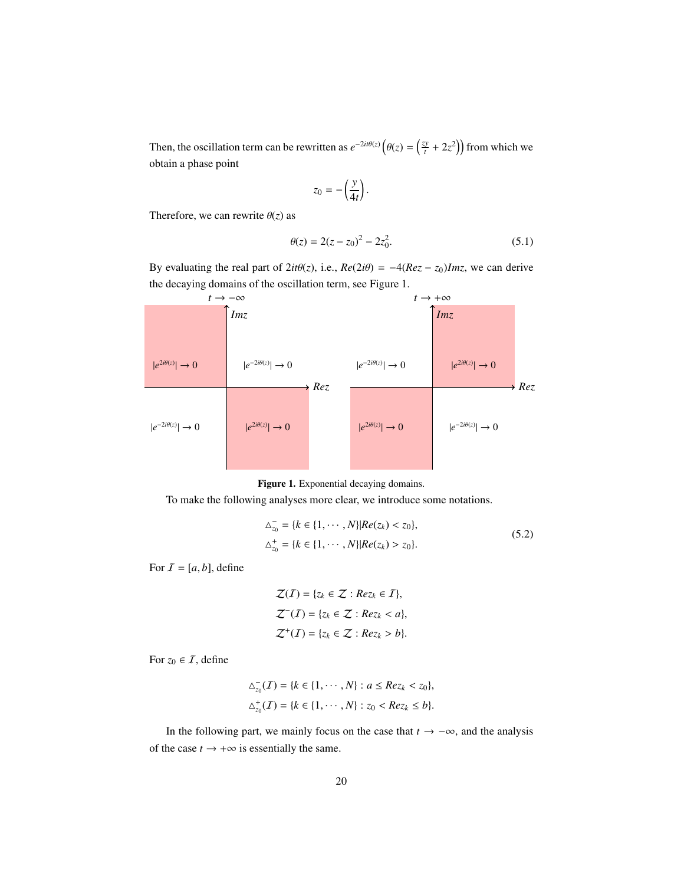Then, the oscillation term can be rewritten as  $e^{-2it\theta(z)}\left(\theta(z)\right) = \left(\frac{zy}{t}\right)$  $\left(\frac{xy}{t} + 2z^2\right)$  from which we obtain a phase point

<span id="page-19-0"></span>
$$
z_0=-\left(\frac{y}{4t}\right).
$$

Therefore, we can rewrite  $\theta(z)$  as

$$
\theta(z) = 2(z - z_0)^2 - 2z_0^2.
$$
 (5.1)

By evaluating the real part of  $2it\theta(z)$ , i.e.,  $Re(2i\theta) = -4(Rez - z_0)Imz$ , we can derive the decaying domains of the oscillation term, see Figure 1.



Figure 1. Exponential decaying domains.

To make the following analyses more clear, we introduce some notations.

$$
\Delta_{z_0}^- = \{k \in \{1, \cdots, N\} | Re(z_k) < z_0\},
$$
\n
$$
\Delta_{z_0}^+ = \{k \in \{1, \cdots, N\} | Re(z_k) > z_0\}. \tag{5.2}
$$

For  $I = [a, b]$ , define

$$
\mathcal{Z}(I) = \{z_k \in \mathcal{Z} : Re z_k \in I\},
$$
  

$$
\mathcal{Z}^{-}(I) = \{z_k \in \mathcal{Z} : Re z_k < a\},
$$
  

$$
\mathcal{Z}^{+}(I) = \{z_k \in \mathcal{Z} : Re z_k > b\}.
$$

For  $z_0 \in I$ , define

$$
\Delta_{z_0}^-(\mathcal{I}) = \{k \in \{1, \cdots, N\} : a \leq Re z_k < z_0\},\
$$
  

$$
\Delta_{z_0}^+(\mathcal{I}) = \{k \in \{1, \cdots, N\} : z_0 < Re z_k \leq b\}.
$$

In the following part, we mainly focus on the case that  $t \rightarrow -\infty$ , and the analysis of the case  $t \to +\infty$  is essentially the same.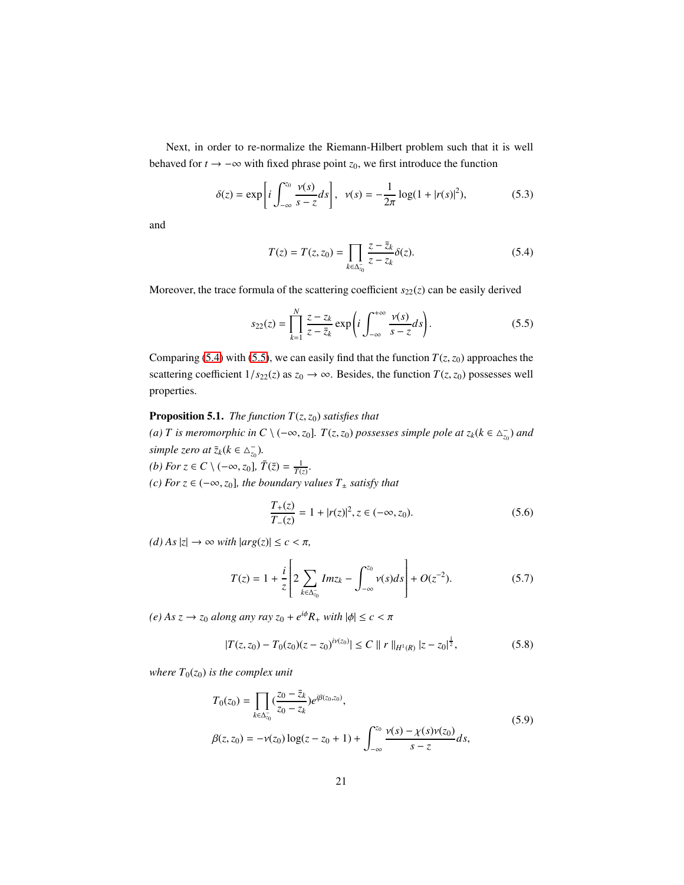Next, in order to re-normalize the Riemann-Hilbert problem such that it is well behaved for *t* → −∞ with fixed phrase point *z*0, we first introduce the function

$$
\delta(z) = \exp\left[i \int_{-\infty}^{z_0} \frac{\nu(s)}{s - z} ds\right], \quad \nu(s) = -\frac{1}{2\pi} \log(1 + |r(s)|^2),\tag{5.3}
$$

and

<span id="page-20-3"></span><span id="page-20-1"></span><span id="page-20-0"></span>
$$
T(z) = T(z, z_0) = \prod_{k \in \Delta_{z_0}^-} \frac{z - \bar{z}_k}{z - z_k} \delta(z).
$$
 (5.4)

Moreover, the trace formula of the scattering coefficient  $s_{22}(z)$  can be easily derived

$$
s_{22}(z) = \prod_{k=1}^{N} \frac{z - z_k}{z - \overline{z}_k} \exp\left(i \int_{-\infty}^{+\infty} \frac{\nu(s)}{s - z} ds\right).
$$
 (5.5)

Comparing [\(5.4\)](#page-20-0) with [\(5.5\)](#page-20-1), we can easily find that the function  $T(z, z_0)$  approaches the scattering coefficient  $1/s_{22}(z)$  as  $z_0 \rightarrow \infty$ . Besides, the function  $T(z, z_0)$  possesses well properties.

# <span id="page-20-2"></span>**Proposition 5.1.** *The function*  $T(z, z_0)$  *satisfies that*

*(a) T* is meromorphic in C \  $(-\infty, z_0]$ . *T*(*z*,*z*<sub>0</sub>) *possesses simple pole at*  $z_k$ ( $k \in \Delta_{z_0}^-$ ) *and simple zero at*  $\overline{z}_k$ ( $k \in \Delta_{z_0}^-$ ).

*(b) For z* ∈ *C*  $\setminus$  (−∞, *z*<sub>0</sub>],  $\bar{T}(\bar{z}) = \frac{1}{T(z)}$ . *(c) For z* ∈ (−∞,*z*0]*, the boundary values T*<sup>±</sup> *satisfy that*

$$
\frac{T_{+}(z)}{T_{-}(z)} = 1 + |r(z)|^2, z \in (-\infty, z_0).
$$
\n(5.6)

 $(d)$  *As*  $|z| \rightarrow \infty$  *with*  $|arg(z)| \leq c < \pi$ ,

$$
T(z) = 1 + \frac{i}{z} \left[ 2 \sum_{k \in \Delta_{z_0}^-} Im z_k - \int_{-\infty}^{z_0} \nu(s) ds \right] + O(z^{-2}).
$$
 (5.7)

 $(e) As z \rightarrow z_0 alsoing any ray z_0 + e^{i\phi}R_+ with |\phi| \le c < \pi$ 

$$
|T(z, z_0) - T_0(z_0)(z - z_0)^{i\nu(z_0)}| \le C ||r||_{H^1(R)} |z - z_0|^{\frac{1}{2}},
$$
\n(5.8)

*where*  $T_0(z_0)$  *is the complex unit* 

$$
T_0(z_0) = \prod_{k \in \Delta_{z_0}^-} (\frac{z_0 - \bar{z}_k}{z_0 - z_k}) e^{i\beta(z_0, z_0)},
$$
  
\n
$$
\beta(z, z_0) = -\nu(z_0) \log(z - z_0 + 1) + \int_{-\infty}^{z_0} \frac{\nu(s) - \chi(s)\nu(z_0)}{s - z} ds,
$$
\n(5.9)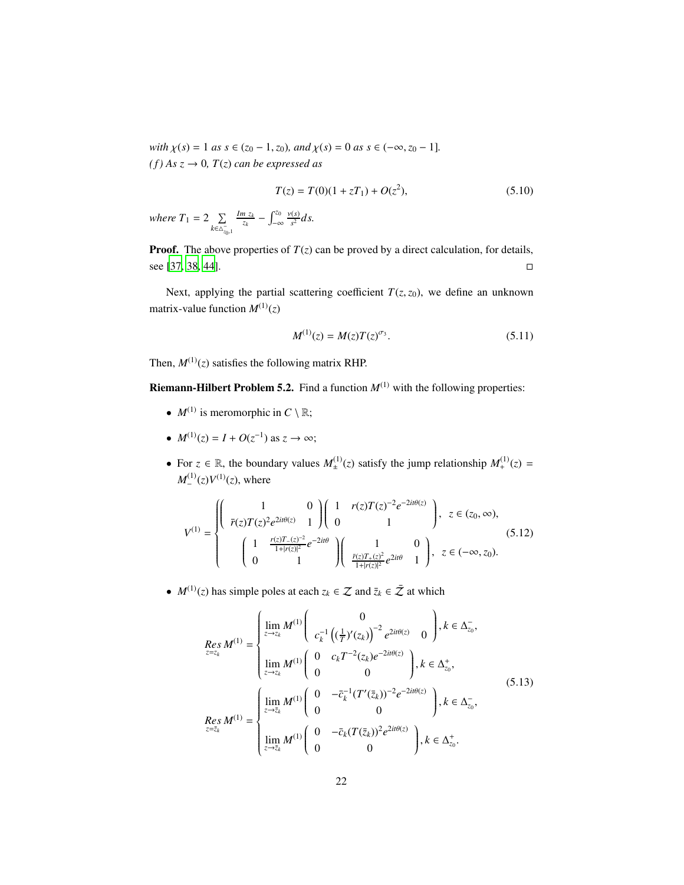*with*  $\chi(s) = 1$  *as*  $s \in (z_0 - 1, z_0)$ *, and*  $\chi(s) = 0$  *as*  $s \in (-\infty, z_0 - 1]$ *.*  $(f)$  *As*  $z \rightarrow 0$ *, T*(*z*) *can be expressed as* 

<span id="page-21-4"></span>
$$
T(z) = T(0)(1 + zT_1) + O(z^2),
$$
\n(5.10)

*where*  $T_1 = 2 \quad \sum$ *k*∈△<sup>−</sup> *z*0 ,1  $\frac{Im z_k}{z_k} - \int_{-\infty}^{z_0}$ −∞ ν(*s*)  $\frac{f(s)}{s^2}$ *ds*.

**Proof.** The above properties of  $T(z)$  can be proved by a direct calculation, for details, see [\[37](#page-47-9), [38](#page-48-6), [44](#page-48-7)].

Next, applying the partial scattering coefficient  $T(z, z_0)$ , we define an unknown matrix-value function  $M^{(1)}(z)$ 

<span id="page-21-2"></span><span id="page-21-0"></span>
$$
M^{(1)}(z) = M(z)T(z)^{\sigma_3}.
$$
\n(5.11)

Then,  $M^{(1)}(z)$  satisfies the following matrix RHP.

<span id="page-21-3"></span>**Riemann-Hilbert Problem 5.2.** Find a function  $M^{(1)}$  with the following properties:

- $M^{(1)}$  is meromorphic in  $C \setminus \mathbb{R}$ ;
- $M^{(1)}(z) = I + O(z^{-1})$  as  $z \to \infty$ ;
- For  $z \in \mathbb{R}$ , the boundary values  $M_{\pm}^{(1)}$  $\mathcal{L}_{\pm}^{(1)}(z)$  satisfy the jump relationship  $M_{+}^{(1)}(z) =$  $M_{-}^{(1)}$  $\binom{(1)}{2}$   $V^{(1)}(z)$ , where

$$
V^{(1)} = \begin{cases} \begin{pmatrix} 1 & 0 \\ \bar{r}(z)T(z)^{2}e^{2it\theta(z)} & 1 \end{pmatrix} \begin{pmatrix} 1 & r(z)T(z)^{-2}e^{-2it\theta(z)} \\ 0 & 1 \end{pmatrix}, \ z \in (z_{0}, \infty), \\ \begin{pmatrix} 1 & \frac{r(z)T_{-}(z)^{-2}}{1+|r(z)|^{2}}e^{-2it\theta} \\ 0 & 1 \end{pmatrix} \begin{pmatrix} 1 & 0 \\ \frac{\bar{r}(z)T_{+}(z)^{2}}{1+|r(z)|^{2}}e^{2it\theta} & 1 \end{pmatrix}, \ z \in (-\infty, z_{0}). \end{cases}
$$
(5.12)

•  $M^{(1)}(z)$  has simple poles at each  $z_k \in \mathcal{Z}$  and  $\overline{z}_k \in \overline{\mathcal{Z}}$  at which

<span id="page-21-1"></span>
$$
Res_{z=z_k} M^{(1)} = \begin{cases} \lim_{z \to z_k} M^{(1)} \begin{pmatrix} 0 \\ c_k^{-1} \left( \left( \frac{1}{T} \right)' (z_k) \right)^{-2} e^{2it\theta(z)} & 0 \end{pmatrix}, k \in \Delta_{z_0}^-, \\ \lim_{z \to z_k} M^{(1)} \begin{pmatrix} 0 & c_k T^{-2} (z_k) e^{-2it\theta(z)} \\ 0 & 0 \end{pmatrix}, k \in \Delta_{z_0}^+, \\ Res_{z=z_k} M^{(1)} = \begin{cases} \lim_{z \to \bar{z}_k} M^{(1)} \begin{pmatrix} 0 & -\bar{c}_k^{-1} (T'(\bar{z}_k))^{-2} e^{-2it\theta(z)} \\ 0 & 0 \end{pmatrix}, k \in \Delta_{z_0}^-, \\ \lim_{z \to \bar{z}_k} M^{(1)} \begin{pmatrix} 0 & -\bar{c}_k (T(\bar{z}_k))^2 e^{2it\theta(z)} \\ 0 & 0 \end{pmatrix}, k \in \Delta_{z_0}^+. \end{cases}
$$
(5.13)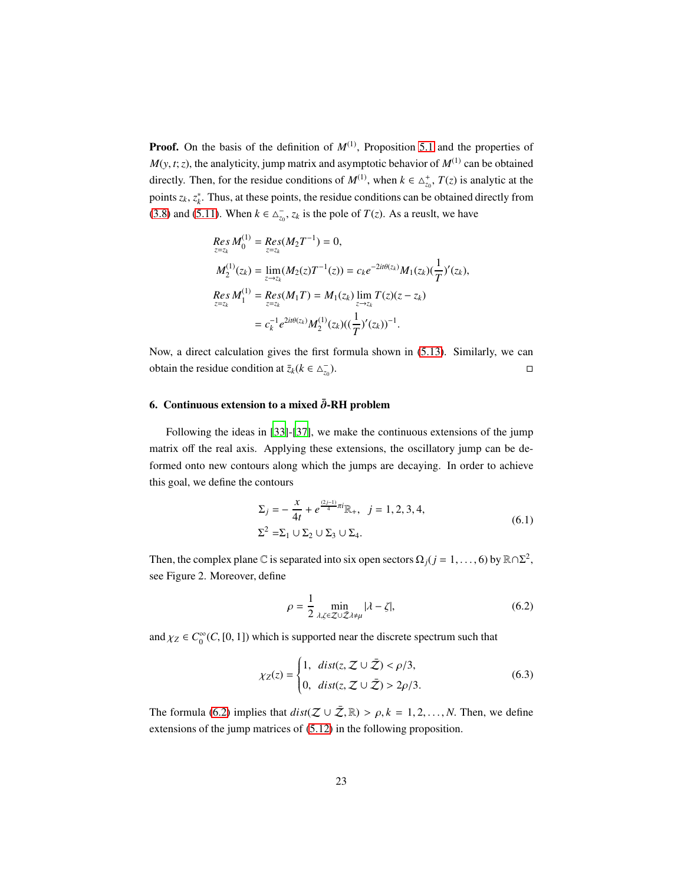**Proof.** On the basis of the definition of  $M^{(1)}$ , Proposition [5.1](#page-20-2) and the properties of  $M(y, t; z)$ , the analyticity, jump matrix and asymptotic behavior of  $M^{(1)}$  can be obtained directly. Then, for the residue conditions of  $M^{(1)}$ , when  $k \in \Delta_{z_0}^+$ ,  $T(z)$  is analytic at the points  $z_k$ ,  $z_k^*$ . Thus, at these points, the residue conditions can be obtained directly from [\(3.8\)](#page-12-2) and [\(5.11\)](#page-21-0). When  $k \in \Delta_{z_0}^-$ ,  $z_k$  is the pole of  $T(z)$ . As a reuslt, we have

$$
Res_{z=z_k} M_0^{(1)} = Res(M_2 T^{-1}) = 0,
$$
  
\n
$$
M_2^{(1)}(z_k) = \lim_{z \to z_k} (M_2(z)T^{-1}(z)) = c_k e^{-2it\theta(z_k)} M_1(z_k) (\frac{1}{T})'(z_k),
$$
  
\n
$$
Res_{z=z_k} M_1^{(1)} = Res(M_1 T) = M_1(z_k) \lim_{z \to z_k} T(z) (z - z_k)
$$
  
\n
$$
= c_k^{-1} e^{2it\theta(z_k)} M_2^{(1)}(z_k) ((\frac{1}{T})'(z_k))^{-1}.
$$

Now, a direct calculation gives the first formula shown in [\(5.13\)](#page-21-1). Similarly, we can obtain the residue condition at  $\bar{z}_k$ ( $k \in \Delta_{z_0}^ \Box$ 

# <span id="page-22-0"></span>6. Continuous extension to a mixed  $\bar{\partial}$ -RH problem

Following the ideas in [\[33](#page-47-5)]-[\[37](#page-47-9)], we make the continuous extensions of the jump matrix off the real axis. Applying these extensions, the oscillatory jump can be deformed onto new contours along which the jumps are decaying. In order to achieve this goal, we define the contours

$$
\Sigma_j = -\frac{x}{4t} + e^{\frac{(2j-1)}{4}\pi i} \mathbb{R}_+, \quad j = 1, 2, 3, 4,
$$
  

$$
\Sigma^2 = \Sigma_1 \cup \Sigma_2 \cup \Sigma_3 \cup \Sigma_4.
$$
 (6.1)

Then, the complex plane  $\mathbb C$  is separated into six open sectors  $\Omega_j$  ( $j = 1, ..., 6$ ) by  $\mathbb R \cap \Sigma^2$ , see Figure 2. Moreover, define

<span id="page-22-2"></span><span id="page-22-1"></span>
$$
\rho = \frac{1}{2} \min_{\lambda, \zeta \in \mathcal{Z} \cup \bar{\mathcal{Z}} \lambda \neq \mu} |\lambda - \zeta|,\tag{6.2}
$$

and  $\chi_Z \in C_0^{\infty}(C, [0, 1])$  which is supported near the discrete spectrum such that

$$
\chi_Z(z) = \begin{cases} 1, & \text{dist}(z, \mathcal{Z} \cup \bar{\mathcal{Z}}) < \rho/3, \\ 0, & \text{dist}(z, \mathcal{Z} \cup \bar{\mathcal{Z}}) > 2\rho/3. \end{cases} \tag{6.3}
$$

The formula [\(6.2\)](#page-22-1) implies that  $dist(\mathcal{Z} \cup \bar{\mathcal{Z}}, \mathbb{R}) > \rho, k = 1, 2, ..., N$ . Then, we define extensions of the jump matrices of [\(5.12\)](#page-21-2) in the following proposition.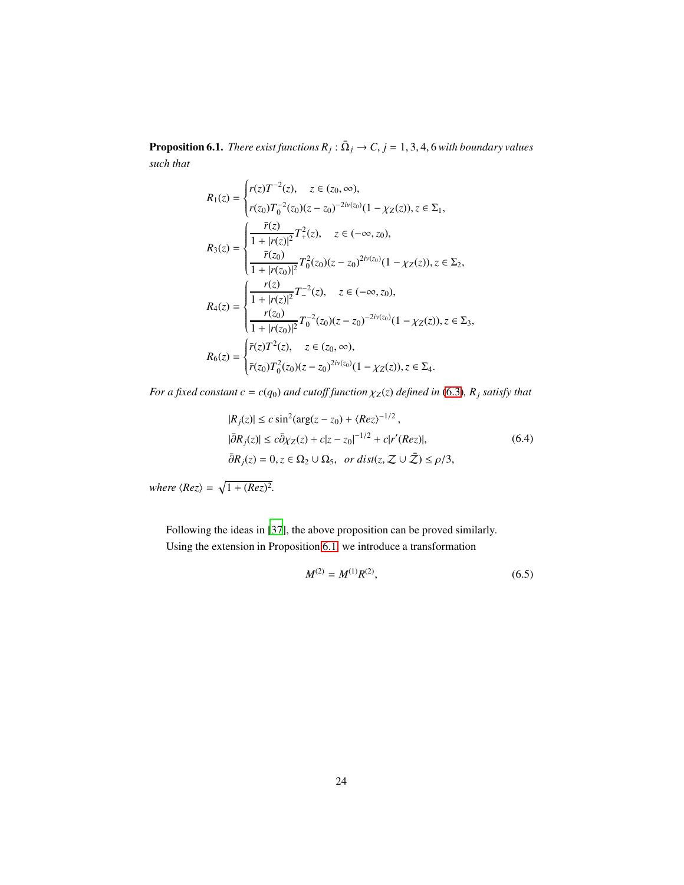<span id="page-23-0"></span>**Proposition 6.1.** *There exist functions*  $R_j$  :  $\bar{\Omega}_j \rightarrow C$ ,  $j = 1, 3, 4, 6$  *with boundary values such that*

$$
R_1(z) = \begin{cases} r(z)T^{-2}(z), & z \in (z_0, \infty), \\ r(z_0)T_0^{-2}(z_0)(z - z_0)^{-2i\nu(z_0)}(1 - \chi_Z(z)), z \in \Sigma_1, \\ \frac{\bar{r}(z)}{1 + |r(z)|^2}T_+^2(z), & z \in (-\infty, z_0), \\ \frac{\bar{r}(z_0)}{1 + |r(z_0)|^2}T_0^2(z_0)(z - z_0)^{2i\nu(z_0)}(1 - \chi_Z(z)), z \in \Sigma_2, \\ R_4(z) = \begin{cases} \frac{r(z)}{1 + |r(z)|^2}T_-^{-2}(z), & z \in (-\infty, z_0), \\ \frac{r(z_0)}{1 + |r(z_0)|^2}T_0^{-2}(z_0)(z - z_0)^{-2i\nu(z_0)}(1 - \chi_Z(z)), z \in \Sigma_3, \\ \bar{r}(z)T_1^2(z), & z \in (z_0, \infty), \\ \bar{r}(z_0)T_0^2(z_0)(z - z_0)^{2i\nu(z_0)}(1 - \chi_Z(z)), z \in \Sigma_4. \end{cases}
$$

*For a fixed constant c* =  $c(q_0)$  *and cutoff function*  $\chi_Z(z)$  *defined in* [\(6.3\)](#page-22-2)*,*  $R_j$  *satisfy that* 

$$
|R_j(z)| \le c \sin^2(\arg(z - z_0) + \langle Rez \rangle^{-1/2},
$$
  
\n
$$
|\bar{\partial}R_j(z)| \le c \bar{\partial}\chi_Z(z) + c|z - z_0|^{-1/2} + c|r'(Rez)|,
$$
  
\n
$$
\bar{\partial}R_j(z) = 0, z \in \Omega_2 \cup \Omega_5, \text{ or } dist(z, \mathcal{Z} \cup \bar{\mathcal{Z}}) \le \rho/3,
$$
\n(6.4)

*where*  $\langle Rez \rangle = \sqrt{1 + (Rez)^2}$ .

Following the ideas in [\[37\]](#page-47-9), the above proposition can be proved similarly. Using the extension in Proposition [6.1,](#page-23-0) we introduce a transformation

<span id="page-23-2"></span><span id="page-23-1"></span>
$$
M^{(2)} = M^{(1)}R^{(2)},\tag{6.5}
$$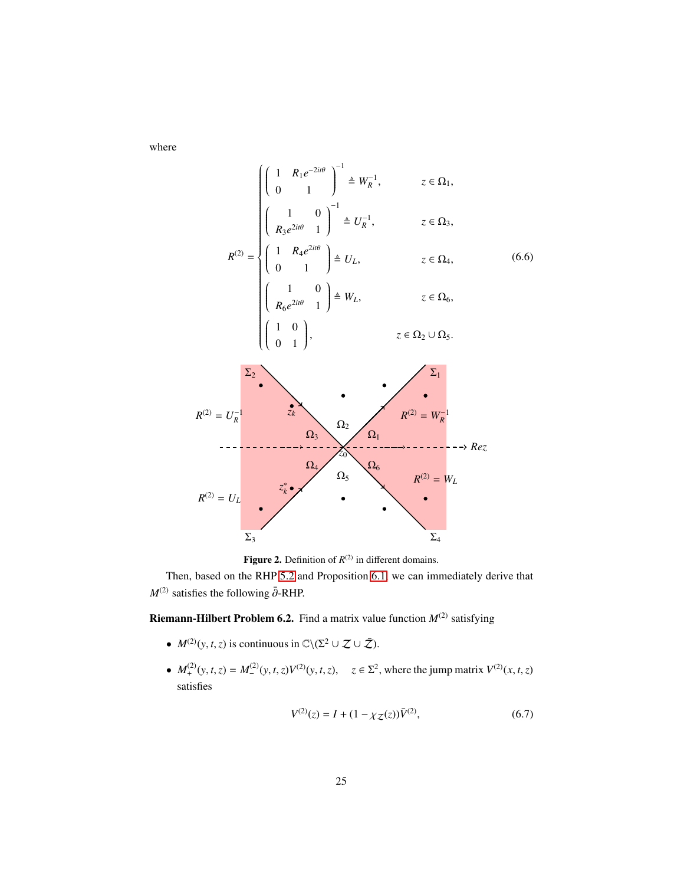where

$$
R^{(2)} = U_L
$$
\n
$$
R^{(2)} = U_L
$$
\n
$$
R^{(2)} = \begin{cases}\n\begin{pmatrix}\n1 & R_1 e^{-2it\theta} \\
0 & 1\n\end{pmatrix}^{-1} \stackrel{d}{=} U_R^{-1}, & z \in \Omega_1, \\
\begin{pmatrix}\n1 & 0 \\
0 & 1\n\end{pmatrix}^{-1} \stackrel{d}{=} U_L, & z \in \Omega_4, \\
\begin{pmatrix}\n1 & 0 \\
R_6 e^{2it\theta} & 1\n\end{pmatrix} \stackrel{d}{=} W_L, & z \in \Omega_6, \\
\begin{pmatrix}\n1 & 0 \\
0 & 1\n\end{pmatrix}, & z \in \Omega_2 \cup \Omega_5.\n\end{cases}
$$
\n
$$
R^{(2)} = U_R^{-1}
$$
\n
$$
R^{(2)} = U_R^{-1}
$$
\n
$$
R^{(2)} = U_L
$$
\n
$$
R^{(2)} = U_L
$$
\n
$$
R^{(2)} = U_L
$$
\n
$$
R^{(2)} = U_L
$$
\n
$$
R^{(2)} = U_L
$$
\n
$$
X_k = \begin{pmatrix}\n\Omega_4 \\
\Omega_5 \\
\Omega_6 \\
\Omega_7 \\
\Omega_8\n\end{pmatrix}
$$
\n
$$
R^{(2)} = W_L
$$
\n
$$
X_k = \begin{pmatrix}\n\Omega_4 \\
\Omega_5 \\
\Omega_6 \\
\Omega_7 \\
\Omega_8\n\end{pmatrix}
$$
\n
$$
R^{(2)} = W_L
$$

**Figure 2.** Definition of  $R^{(2)}$  in different domains.

Then, based on the RHP [5.2](#page-21-3) and Proposition [6.1,](#page-23-0) we can immediately derive that  $M^{(2)}$  satisfies the following  $\bar{\partial}$ -RHP.

<span id="page-24-0"></span>**Riemann-Hilbert Problem 6.2.** Find a matrix value function  $M^{(2)}$  satisfying

- $M^{(2)}(y, t, z)$  is continuous in  $\mathbb{C}\setminus (\Sigma^2 \cup \mathcal{Z} \cup \bar{\mathcal{Z}}).$
- $M_+^{(2)}(y, t, z) = M_-^{(2)}$  $\mathcal{L}^{(2)}(y, t, z)V^{(2)}(y, t, z), \quad z \in \Sigma^2$ , where the jump matrix  $V^{(2)}(x, t, z)$ satisfies

$$
V^{(2)}(z) = I + (1 - \chi_Z(z))\bar{V}^{(2)},\tag{6.7}
$$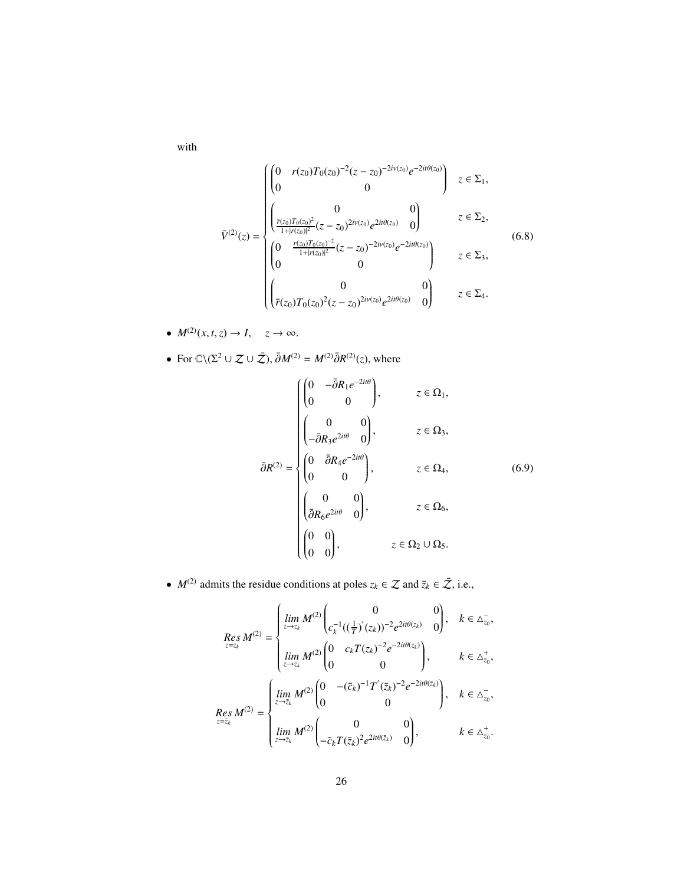with

$$
\bar{V}^{(2)}(z) = \begin{cases}\n\begin{pmatrix}\n0 & r(z_0)T_0(z_0)^{-2}(z-z_0)^{-2i\nu(z_0)}e^{-2it\theta(z_0)} \\
0 & 0\n\end{pmatrix} & z \in \Sigma_1, \\
\frac{\bar{r}(z_0)T_0(z_0)^2}{1+|r(z_0)|^2}(z-z_0)^{2i\nu(z_0)}e^{2it\theta(z_0)} & 0\n\end{pmatrix} & z \in \Sigma_2, \\
\begin{pmatrix}\n0 & \frac{r(z_0)T_0(z_0)^{-2}}{1+|r(z_0)|^2}(z-z_0)^{-2i\nu(z_0)}e^{-2it\theta(z_0)} \\
0 & 0\n\end{pmatrix} & z \in \Sigma_3, \\
\begin{pmatrix}\n0 & 0 & 0 \\
\bar{r}(z_0)T_0(z_0)^2(z-z_0)^{2i\nu(z_0)}e^{2it\theta(z_0)} & 0\n\end{pmatrix} & z \in \Sigma_4.\n\end{cases}
$$
\n(6.8)

- $M^{(2)}(x, t, z) \rightarrow I$ ,  $z \rightarrow \infty$ .
- For  $\mathbb{C}\setminus(\Sigma^2 \cup \mathcal{Z} \cup \bar{\mathcal{Z}}), \bar{\partial}M^{(2)} = M^{(2)}\bar{\partial}R^{(2)}(z)$ , where

<span id="page-25-0"></span>
$$
\bar{\partial}R^{(2)} = \begin{cases}\n\begin{pmatrix}\n0 & -\bar{\partial}R_1e^{-2it\theta} \\
0 & 0\n\end{pmatrix}, & z \in \Omega_1, \\
\begin{pmatrix}\n0 & 0 \\
-\bar{\partial}R_3e^{2it\theta} & 0\n\end{pmatrix}, & z \in \Omega_3, \\
\bar{\partial}R^{(2)} = \begin{cases}\n0 & \bar{\partial}R_4e^{-2it\theta} \\
0 & 0\n\end{cases}, & z \in \Omega_4, \\
\begin{pmatrix}\n0 & 0 \\
\bar{\partial}R_6e^{2it\theta} & 0\n\end{pmatrix}, & z \in \Omega_6, \\
\begin{pmatrix}\n0 & 0 \\
0 & 0\n\end{pmatrix}, & z \in \Omega_2 \cup \Omega_5.\n\end{cases}
$$

• *M*<sup>(2)</sup> admits the residue conditions at poles  $z_k \in \mathcal{Z}$  and  $\bar{z}_k \in \bar{\mathcal{Z}}$ , i.e.,

$$
\begin{split} \underset{z=z_{k}}{Res\,M^{(2)}} = & \begin{cases} \underset{z \to z_{k}}{lim\,M^{(2)}} \begin{pmatrix} 0 & 0 \\ c_{k}^{-1}((\frac{1}{T})^{'}(z_{k}))^{-2}e^{2it\theta(z_{k})} & 0 \end{pmatrix}, & k \in \Delta_{z_{0}}^{-}, \\ \underset{z \to z_{k}}{lim\,M^{(2)}} \begin{pmatrix} 0 & c_{k}T(z_{k})^{-2}e^{-2it\theta(z_{k})} \\ 0 & 0 \end{pmatrix}, & k \in \Delta_{z_{0}}^{+}, \end{cases} \\ \underset{z=\overline{z}_{k}}{Res\,M^{(2)}} = & \begin{cases} \underset{z \to \overline{z}_{k}}{lim\,M^{(2)}} \begin{pmatrix} 0 & -( \overline{c}_{k})^{-1}T^{'}(\overline{z}_{k})^{-2}e^{-2it\theta(\overline{z}_{k})} \\ 0 & 0 \end{pmatrix}, & k \in \Delta_{z_{0}}^{-}, \\ \underset{z \to \overline{z}_{k}}{lim\,M^{(2)}} \begin{pmatrix} 0 & 0 \\ -\overline{c}_{k}T(\overline{z}_{k})^{2}e^{2it\theta(\overline{z}_{k})} & 0 \end{pmatrix}, & k \in \Delta_{z_{0}}^{+}. \end{cases} \end{split}
$$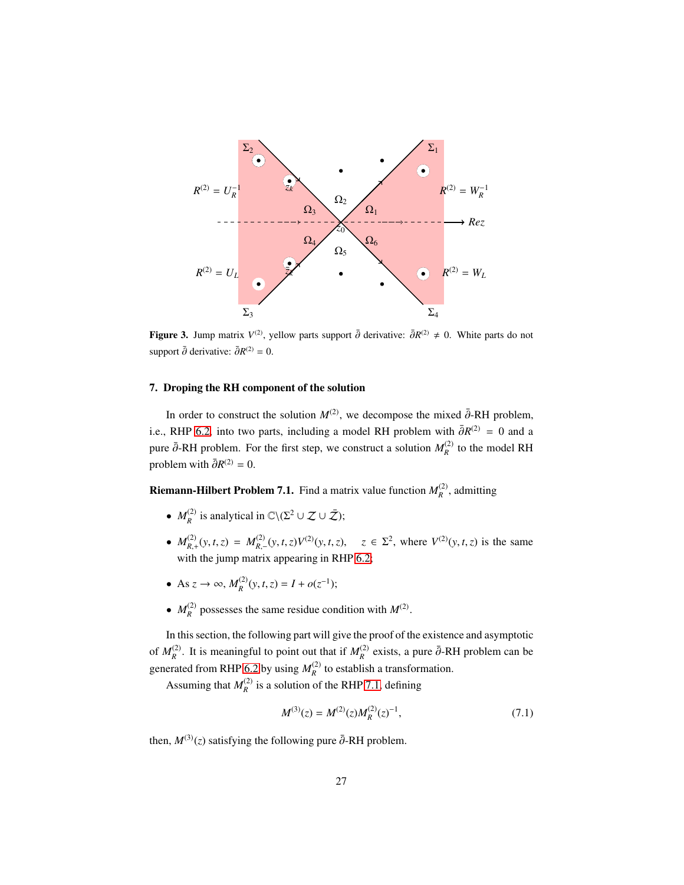

Figure 3. Jump matrix  $V^{(2)}$ , yellow parts support  $\bar{\partial}$  derivative:  $\bar{\partial}R^{(2)} \neq 0$ . White parts do not support  $\bar{\partial}$  derivative:  $\bar{\partial}R^{(2)} = 0$ .

# <span id="page-26-0"></span>7. Droping the RH component of the solution

In order to construct the solution  $M^{(2)}$ , we decompose the mixed  $\bar{\partial}$ -RH problem, i.e., RHP [6.2,](#page-24-0) into two parts, including a model RH problem with  $\bar{\partial}R^{(2)} = 0$  and a pure  $\bar{\partial}$ -RH problem. For the first step, we construct a solution  $M_R^{(2)}$  to the model RH problem with  $\bar{\partial}R^{(2)} = 0$ .

<span id="page-26-2"></span>**Riemann-Hilbert Problem 7.1.** Find a matrix value function  $M_R^{(2)}$ , admitting

- $M_R^{(2)}$  is analytical in  $\mathbb{C}\setminus(\Sigma^2 \cup \mathcal{Z} \cup \bar{\mathcal{Z}});$
- $M_{R,+}^{(2)}(y, t, z) = M_{R,-}^{(2)}(y, t, z)V^{(2)}(y, t, z), \quad z \in \Sigma^2$ , where  $V^{(2)}(y, t, z)$  is the same with the jump matrix appearing in RHP [6.2;](#page-24-0)
- As  $z \to \infty$ ,  $M_R^{(2)}(y, t, z) = I + o(z^{-1});$
- $M_R^{(2)}$  possesses the same residue condition with  $M^{(2)}$ .

In this section, the following part will give the proof of the existence and asymptotic of  $M_R^{(2)}$ . It is meaningful to point out that if  $M_R^{(2)}$  exists, a pure  $\bar{\partial}$ -RH problem can be generated from RHP [6.2](#page-24-0) by using  $M_R^{(2)}$  to establish a transformation.

Assuming that  $M_R^{(2)}$  is a solution of the RHP [7.1,](#page-26-2) defining

<span id="page-26-1"></span>
$$
M^{(3)}(z) = M^{(2)}(z)M_R^{(2)}(z)^{-1},\tag{7.1}
$$

then,  $M^{(3)}(z)$  satisfying the following pure  $\overline{\partial}$ -RH problem.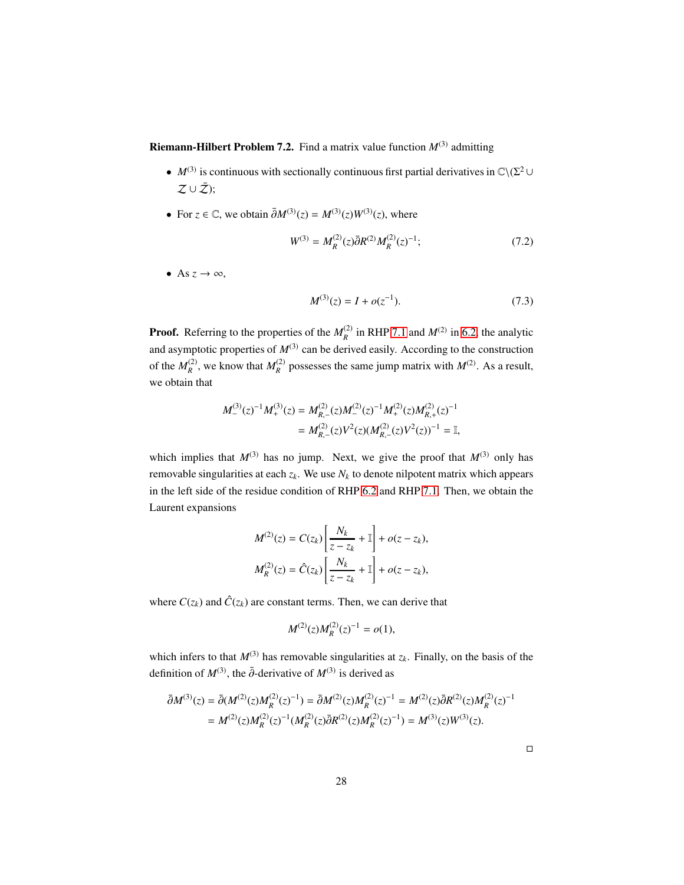<span id="page-27-0"></span>**Riemann-Hilbert Problem 7.2.** Find a matrix value function  $M^{(3)}$  admitting

- *M*<sup>(3)</sup> is continuous with sectionally continuous first partial derivatives in  $\mathbb{C}\setminus(\Sigma^2 \cup$  $Z\cup\bar{Z}$ );
- For  $z \in \mathbb{C}$ , we obtain  $\overline{\partial}M^{(3)}(z) = M^{(3)}(z)W^{(3)}(z)$ , where

$$
W^{(3)} = M_R^{(2)}(z)\bar{\partial}R^{(2)}M_R^{(2)}(z)^{-1};\tag{7.2}
$$

• As  $z \to \infty$ ,

<span id="page-27-1"></span>
$$
M^{(3)}(z) = I + o(z^{-1}).
$$
\n(7.3)

**Proof.** Referring to the properties of the  $M_R^{(2)}$  in RHP [7.1](#page-26-2) and  $M^{(2)}$  in [6.2,](#page-24-0) the analytic and asymptotic properties of  $M^{(3)}$  can be derived easily. According to the construction of the  $M_R^{(2)}$ , we know that  $M_R^{(2)}$  possesses the same jump matrix with  $M^{(2)}$ . As a result, we obtain that

$$
M_{-}^{(3)}(z)^{-1}M_{+}^{(3)}(z) = M_{R,-}^{(2)}(z)M_{-}^{(2)}(z)^{-1}M_{+}^{(2)}(z)M_{R,+}^{(2)}(z)^{-1}
$$
  
= 
$$
M_{R,-}^{(2)}(z)V^{2}(z)(M_{R,-}^{(2)}(z)V^{2}(z))^{-1} = \mathbb{I},
$$

which implies that  $M^{(3)}$  has no jump. Next, we give the proof that  $M^{(3)}$  only has removable singularities at each  $z_k$ . We use  $N_k$  to denote nilpotent matrix which appears in the left side of the residue condition of RHP [6.2](#page-24-0) and RHP [7.1.](#page-26-2) Then, we obtain the Laurent expansions

$$
M^{(2)}(z) = C(z_k) \left[ \frac{N_k}{z - z_k} + 1 \right] + o(z - z_k),
$$
  

$$
M_R^{(2)}(z) = \hat{C}(z_k) \left[ \frac{N_k}{z - z_k} + 1 \right] + o(z - z_k),
$$

where  $C(z_k)$  and  $\hat{C}(z_k)$  are constant terms. Then, we can derive that

$$
M^{(2)}(z)M_R^{(2)}(z)^{-1} = o(1),
$$

which infers to that  $M^{(3)}$  has removable singularities at  $z_k$ . Finally, on the basis of the definition of  $M^{(3)}$ , the  $\bar{\partial}$ -derivative of  $M^{(3)}$  is derived as

$$
\bar{\partial}M^{(3)}(z) = \bar{\partial}(M^{(2)}(z)M_R^{(2)}(z)^{-1}) = \bar{\partial}M^{(2)}(z)M_R^{(2)}(z)^{-1} = M^{(2)}(z)\bar{\partial}R^{(2)}(z)M_R^{(2)}(z)^{-1}
$$

$$
= M^{(2)}(z)M_R^{(2)}(z)^{-1}(M_R^{(2)}(z)\bar{\partial}R^{(2)}(z)M_R^{(2)}(z)^{-1}) = M^{(3)}(z)W^{(3)}(z).
$$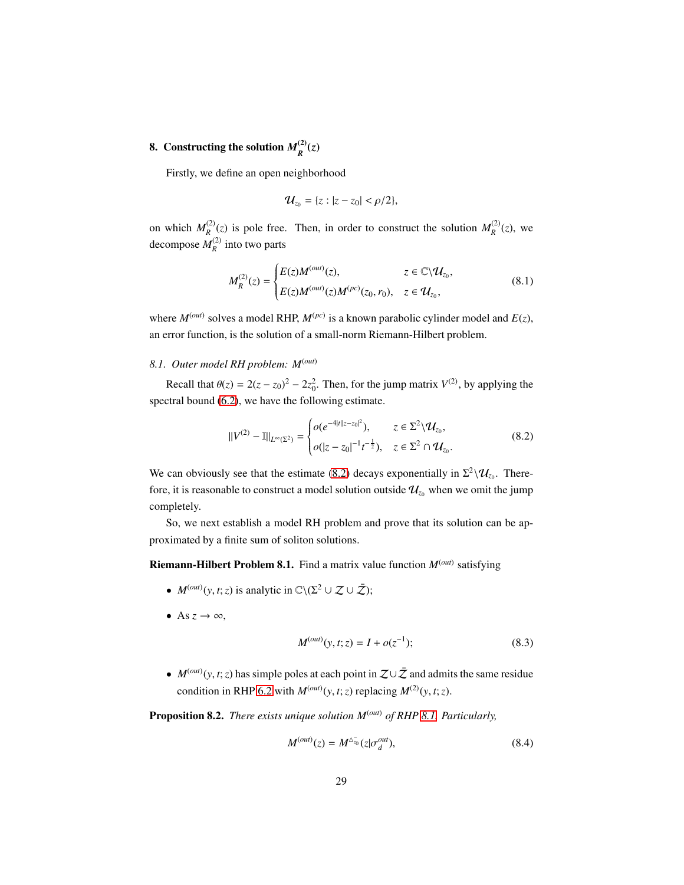#### <span id="page-28-0"></span>8. Constructing the solution  $M_p^{(2)}$  $\binom{2}{R}$ (z)

Firstly, we define an open neighborhood

<span id="page-28-6"></span>
$$
\mathcal{U}_{z_0} = \{z : |z - z_0| < \rho/2\},\
$$

on which  $M_R^{(2)}(z)$  is pole free. Then, in order to construct the solution  $M_R^{(2)}(z)$ , we decompose  $M_R^{(2)}$  into two parts

$$
M_R^{(2)}(z) = \begin{cases} E(z)M^{(out)}(z), & z \in \mathbb{C} \backslash \mathcal{U}_{z_0}, \\ E(z)M^{(out)}(z)M^{(pc)}(z_0, r_0), & z \in \mathcal{U}_{z_0}, \end{cases}
$$
(8.1)

where  $M^{(out)}$  solves a model RHP,  $M^{(pc)}$  is a known parabolic cylinder model and  $E(z)$ , an error function, is the solution of a small-norm Riemann-Hilbert problem.

### <span id="page-28-1"></span>*8.1. Outer model RH problem: M*(*out*)

Recall that  $\theta(z) = 2(z - z_0)^2 - 2z_0^2$ . Then, for the jump matrix  $V^{(2)}$ , by applying the spectral bound [\(6.2\)](#page-22-1), we have the following estimate.

<span id="page-28-2"></span>
$$
||V^{(2)} - 1||_{L^{\infty}(\Sigma^2)} = \begin{cases} o(e^{-4|t||z-z_0|^2}), & z \in \Sigma^2 \backslash \mathcal{U}_{z_0}, \\ o(|z-z_0|^{-1}t^{-\frac{1}{2}}), & z \in \Sigma^2 \cap \mathcal{U}_{z_0}. \end{cases}
$$
(8.2)

We can obviously see that the estimate [\(8.2\)](#page-28-2) decays exponentially in  $\Sigma^2 \backslash \mathcal{U}_{z_0}$ . Therefore, it is reasonable to construct a model solution outside  $\mathcal{U}_{z_0}$  when we omit the jump completely.

So, we next establish a model RH problem and prove that its solution can be approximated by a finite sum of soliton solutions.

<span id="page-28-3"></span>Riemann-Hilbert Problem 8.1. Find a matrix value function  $M<sup>(out)</sup>$  satisfying

- $M^{(out)}(y, t; z)$  is analytic in  $\mathbb{C}\setminus(\Sigma^2 \cup \mathcal{Z} \cup \bar{\mathcal{Z}});$
- As  $z \to \infty$ ,

$$
M^{(out)}(y, t; z) = I + o(z^{-1});
$$
\n(8.3)

•  $M<sup>(out)</sup>(y, t; z)$  has simple poles at each point in  $\mathcal{Z}\cup\bar{\mathcal{Z}}$  and admits the same residue condition in RHP [6.2](#page-24-0) with  $M<sup>(out)</sup>(y, t; z)$  replacing  $M<sup>(2)</sup>(y, t; z)$ .

<span id="page-28-5"></span>Proposition 8.2. *There exists unique solution M*(*out*) *of RHP [8.1.](#page-28-3) Particularly,*

<span id="page-28-4"></span>
$$
M^{(out)}(z) = M^{\Delta_{z_0}^-}(z | \sigma_d^{out}), \tag{8.4}
$$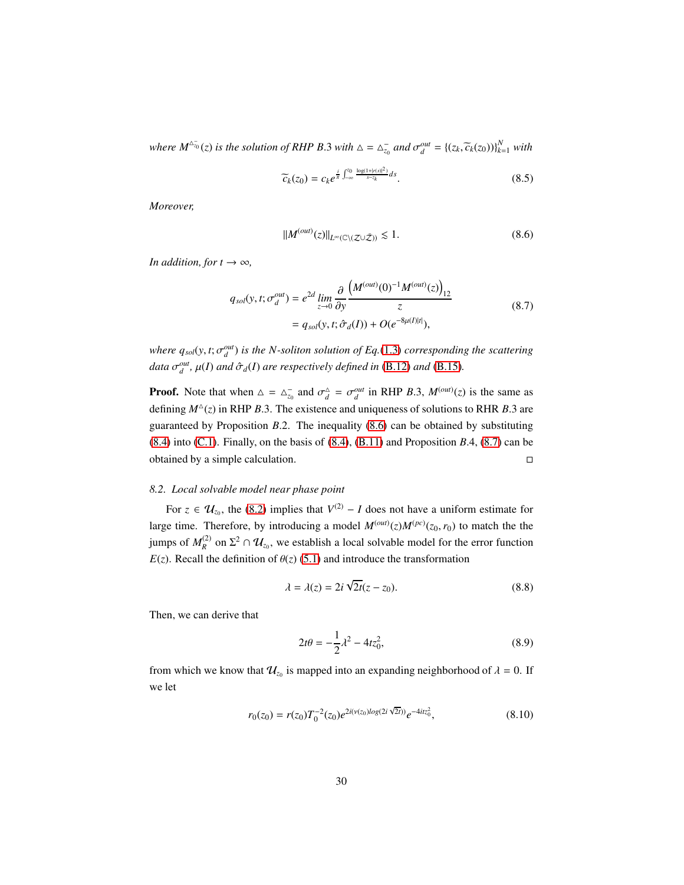*where*  $M^{\Delta_{\overline{Q}}} (z)$  *is the solution of RHP B.3 with*  $\Delta = \Delta_{z_0}^-$  *and*  $\sigma_d^{out} = \{(z_k, \widetilde{c}_k(z_0))\}_{k=1}^N$  *with* 

$$
\widetilde{c}_k(z_0) = c_k e^{\frac{i}{\pi} \int_{-\infty}^{z_0} \frac{\log(1+|r(s)|^2)}{s-z_k} ds}.
$$
\n(8.5)

*Moreover,*

<span id="page-29-2"></span><span id="page-29-1"></span>
$$
||M^{(out)}(z)||_{L^{\infty}(\mathbb{C}\backslash(\mathcal{Z}\cup\bar{\mathcal{Z}}))} \lesssim 1.
$$
 (8.6)

*In addition, for t*  $\rightarrow \infty$ *,* 

$$
q_{sol}(y, t; \sigma_d^{out}) = e^{2d} \lim_{z \to 0} \frac{\partial}{\partial y} \frac{\left(M^{(out)}(0)^{-1} M^{(out)}(z)\right)_{12}}{z}
$$
  
=  $q_{sol}(y, t; \hat{\sigma}_d(I)) + O(e^{-8\mu(I)|t|}),$  (8.7)

*where*  $q_{sol}(y, t; \sigma_d^{out})$  *is the N-soliton solution of Eq.*[\(1.3\)](#page-2-2) *corresponding the scattering data*  $\sigma_d^{out}$ ,  $\mu(I)$  *and*  $\hat{\sigma}_d(I)$  *are respectively defined in* [\(B.12\)](#page-42-0) *and* [\(B.15\)](#page-42-0)*.* 

**Proof.** Note that when  $\Delta = \Delta_{z_0}^-$  and  $\sigma_d^{\Delta} = \sigma_d^{out}$  in RHP *B.3*,  $M^{(out)}(z)$  is the same as defining *M*△ (*z*) in RHP *B*.3. The existence and uniqueness of solutions to RHR *B*.3 are guaranteed by Proposition *B*.2. The inequality [\(8.6\)](#page-29-1) can be obtained by substituting [\(8.4\)](#page-28-4) into [\(C.1\)](#page-44-0). Finally, on the basis of [\(8.4\)](#page-28-4), [\(B.11\)](#page-40-0) and Proposition *B*.4, [\(8.7\)](#page-29-2) can be obtained by a simple calculation.

### <span id="page-29-0"></span>*8.2. Local solvable model near phase point*

For  $z \in U_{z_0}$ , the [\(8.2\)](#page-28-2) implies that  $V^{(2)} - I$  does not have a uniform estimate for large time. Therefore, by introducing a model  $M<sup>(out)</sup>(z)M<sup>(pc)</sup>(z<sub>0</sub>, r<sub>0</sub>)$  to match the the jumps of  $M_R^{(2)}$  on  $\Sigma^2 \cap \mathcal{U}_{z_0}$ , we establish a local solvable model for the error function *E*(*z*). Recall the definition of  $\theta$ (*z*) [\(5.1\)](#page-19-0) and introduce the transformation

$$
\lambda = \lambda(z) = 2i\sqrt{2t}(z - z_0). \tag{8.8}
$$

Then, we can derive that

<span id="page-29-3"></span>
$$
2t\theta = -\frac{1}{2}\lambda^2 - 4tz_0^2,\tag{8.9}
$$

from which we know that  $\mathcal{U}_{z_0}$  is mapped into an expanding neighborhood of  $\lambda = 0$ . If we let

$$
r_0(z_0) = r(z_0)T_0^{-2}(z_0)e^{2i(\nu(z_0)\log(2i\sqrt{2t}))}e^{-4itz_0^2},\tag{8.10}
$$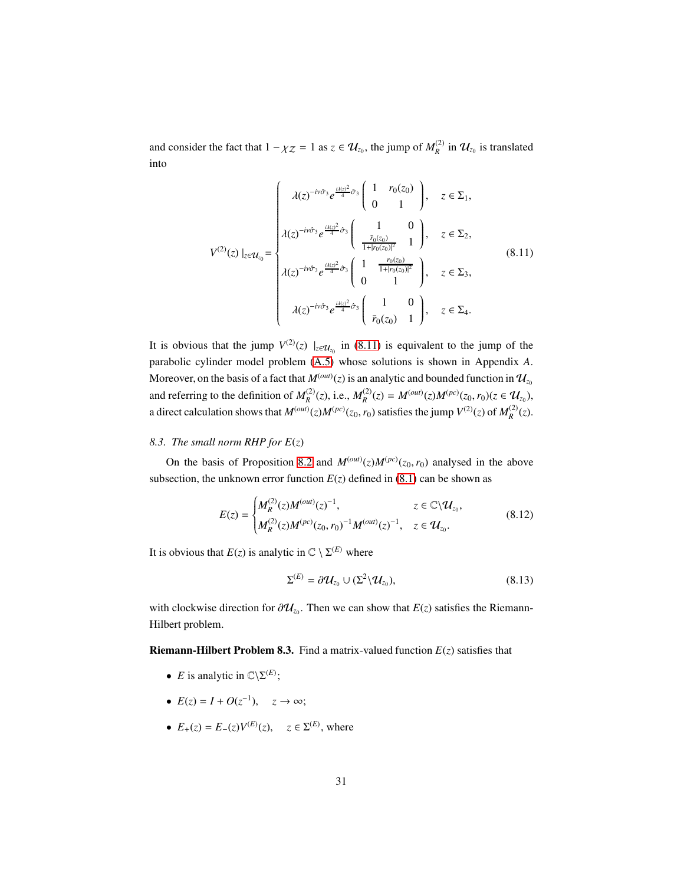and consider the fact that  $1 - \chi_Z = 1$  as  $z \in \mathcal{U}_{z_0}$ , the jump of  $M_R^{(2)}$  in  $\mathcal{U}_{z_0}$  is translated into

<span id="page-30-1"></span>
$$
V^{(2)}(z) \Big|_{z \in \mathcal{U}_{z_0}} = \begin{cases} \lambda(z)^{-i\nu \hat{\sigma}_3} e^{\frac{i\lambda(z)^2}{4}\hat{\sigma}_3} \left( \begin{array}{cc} 1 & r_0(z_0) \\ 0 & 1 \end{array} \right), & z \in \Sigma_1, \\ \lambda(z)^{-i\nu \hat{\sigma}_3} e^{\frac{i\lambda(z)^2}{4}\hat{\sigma}_3} \left( \begin{array}{cc} 1 & 0 \\ \frac{\bar{r}_0(z_0)}{1 + |r_0(z_0)|^2} & 1 \end{array} \right), & z \in \Sigma_2, \\ \lambda(z)^{-i\nu \hat{\sigma}_3} e^{\frac{i\lambda(z)^2}{4}\hat{\sigma}_3} \left( \begin{array}{cc} 1 & \frac{r_0(z_0)}{1 + |r_0(z_0)|^2} \\ 0 & 1 \end{array} \right), & z \in \Sigma_3, \\ \lambda(z)^{-i\nu \hat{\sigma}_3} e^{\frac{i\lambda(z)^2}{4}\hat{\sigma}_3} \left( \begin{array}{cc} 1 & 0 \\ \bar{r}_0(z_0) & 1 \end{array} \right), & z \in \Sigma_4. \end{cases} \tag{8.11}
$$

It is obvious that the jump  $V^{(2)}(z)$   $|_{z \in U_{z_0}}$  in [\(8.11\)](#page-30-1) is equivalent to the jump of the parabolic cylinder model problem [\(A.5\)](#page-37-0) whose solutions is shown in Appendix *A*. Moreover, on the basis of a fact that  $M<sup>(out)</sup>(z)$  is an analytic and bounded function in  $\mathcal{U}_{z_0}$ and referring to the definition of  $M_R^{(2)}(z)$ , i.e.,  $M_R^{(2)}(z) = M^{(out)}(z)M^{(pc)}(z_0, r_0)(z \in U_{z_0})$ , a direct calculation shows that  $M^{(out)}(z)M^{(pc)}(z_0, r_0)$  satisfies the jump  $V^{(2)}(z)$  of  $M_R^{(2)}(z)$ .

#### <span id="page-30-0"></span>*8.3. The small norm RHP for E*(*z*)

On the basis of Proposition [8.2](#page-28-5) and  $M^{(out)}(z)M^{(pc)}(z_0, r_0)$  analysed in the above subsection, the unknown error function  $E(z)$  defined in [\(8.1\)](#page-28-6) can be shown as

$$
E(z) = \begin{cases} M_R^{(2)}(z)M^{(out)}(z)^{-1}, & z \in \mathbb{C}\backslash \mathcal{U}_{z_0}, \\ M_R^{(2)}(z)M^{(pc)}(z_0, r_0)^{-1}M^{(out)}(z)^{-1}, & z \in \mathcal{U}_{z_0}. \end{cases}
$$
(8.12)

It is obvious that  $E(z)$  is analytic in  $\mathbb{C} \setminus \Sigma^{(E)}$  where

$$
\Sigma^{(E)} = \partial \mathcal{U}_{z_0} \cup (\Sigma^2 \backslash \mathcal{U}_{z_0}), \tag{8.13}
$$

with clockwise direction for  $\partial \mathcal{U}_{z_0}$ . Then we can show that  $E(z)$  satisfies the Riemann-Hilbert problem.

<span id="page-30-2"></span>**Riemann-Hilbert Problem 8.3.** Find a matrix-valued function  $E(z)$  satisfies that

- *E* is analytic in  $\mathbb{C}\backslash \Sigma^{(E)}$ ;
- $E(z) = I + O(z^{-1}), \quad z \to \infty;$
- $E_+(z) = E_-(z)V^{(E)}(z), \quad z \in \Sigma^{(E)},$  where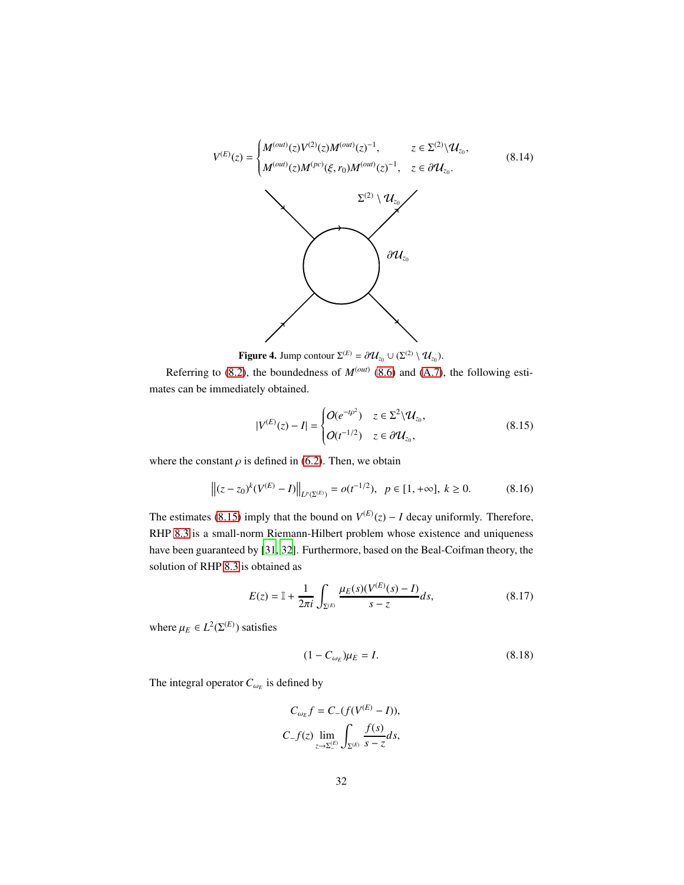

**Figure 4.** Jump contour  $\Sigma^{(E)} = \partial \mathcal{U}_{z_0} \cup (\Sigma^{(2)} \setminus \mathcal{U}_{z_0}).$ 

Referring to  $(8.2)$ , the boundedness of  $M<sup>(out)</sup> (8.6)$  $M<sup>(out)</sup> (8.6)$  and  $(A.7)$ , the following estimates can be immediately obtained.

<span id="page-31-1"></span><span id="page-31-0"></span>
$$
|V^{(E)}(z) - I| = \begin{cases} O(e^{-t\rho^2}) & z \in \Sigma^2 \backslash \mathcal{U}_{z_0}, \\ O(t^{-1/2}) & z \in \partial \mathcal{U}_{z_0}, \end{cases}
$$
(8.15)

where the constant  $\rho$  is defined in [\(6.2\)](#page-22-1). Then, we obtain

$$
\left\| (z - z_0)^k (V^{(E)} - I) \right\|_{L^p(\Sigma^{(E)})} = o(t^{-1/2}), \ \ p \in [1, +\infty], \ k \ge 0. \tag{8.16}
$$

The estimates [\(8.15\)](#page-31-0) imply that the bound on  $V^{(E)}(z) - I$  decay uniformly. Therefore, RHP [8.3](#page-30-2) is a small-norm Riemann-Hilbert problem whose existence and uniqueness have been guaranteed by [\[31](#page-47-3), [32\]](#page-47-4). Furthermore, based on the Beal-Coifman theory, the solution of RHP [8.3](#page-30-2) is obtained as

$$
E(z) = \mathbb{I} + \frac{1}{2\pi i} \int_{\Sigma^{(E)}} \frac{\mu_E(s)(V^{(E)}(s) - I)}{s - z} ds,
$$
 (8.17)

where  $\mu_E \in L^2(\Sigma^{(E)})$  satisfies

$$
(1 - C_{\omega_E})\mu_E = I.
$$
 (8.18)

The integral operator  $C_{\omega_E}$  is defined by

$$
C_{\omega_E} f = C_{-}(f(V^{(E)} - I)),
$$
  
\n
$$
C_{-}f(z) \lim_{z \to \Sigma_{-}^{(E)}} \int_{\Sigma^{(E)}} \frac{f(s)}{s - z} ds,
$$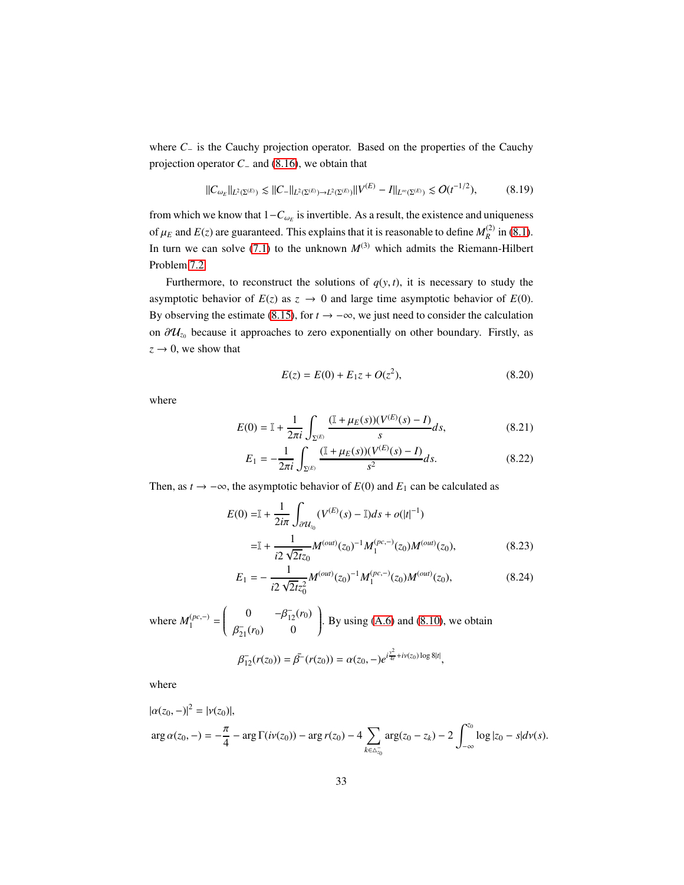where *C*<sup>−</sup> is the Cauchy projection operator. Based on the properties of the Cauchy projection operator *C*<sup>−</sup> and [\(8.16\)](#page-31-1), we obtain that

$$
||C_{\omega_E}||_{L^2(\Sigma^{(E)})} \lesssim ||C_-||_{L^2(\Sigma^{(E)}) \to L^2(\Sigma^{(E)})} ||V^{(E)} - I||_{L^{\infty}(\Sigma^{(E)})} \lesssim O(t^{-1/2}), \tag{8.19}
$$

from which we know that  $1-C_{\omega_E}$  is invertible. As a result, the existence and uniqueness of  $\mu_E$  and  $E(z)$  are guaranteed. This explains that it is reasonable to define  $M_R^{(2)}$  in [\(8.1\)](#page-28-6). In turn we can solve [\(7.1\)](#page-26-1) to the unknown  $M^{(3)}$  which admits the Riemann-Hilbert Problem [7.2.](#page-27-0)

Furthermore, to reconstruct the solutions of  $q(y, t)$ , it is necessary to study the asymptotic behavior of  $E(z)$  as  $z \to 0$  and large time asymptotic behavior of  $E(0)$ . By observing the estimate [\(8.15\)](#page-31-0), for  $t \to -\infty$ , we just need to consider the calculation on  $\partial \mathcal{U}_{z_0}$  because it approaches to zero exponentially on other boundary. Firstly, as  $z \rightarrow 0$ , we show that

$$
E(z) = E(0) + E_1 z + O(z^2),
$$
\n(8.20)

where

$$
E(0) = \mathbb{I} + \frac{1}{2\pi i} \int_{\Sigma^{(E)}} \frac{(\mathbb{I} + \mu_E(s))(V^{(E)}(s) - I)}{s} ds,
$$
 (8.21)

$$
E_1 = -\frac{1}{2\pi i} \int_{\Sigma^{(E)}} \frac{(\mathbb{I} + \mu_E(s)) (V^{(E)}(s) - I)}{s^2} ds.
$$
 (8.22)

Then, as  $t \to -\infty$ , the asymptotic behavior of  $E(0)$  and  $E_1$  can be calculated as

$$
E(0) = \mathbb{I} + \frac{1}{2i\pi} \int_{\partial \mathcal{U}_{z_0}} (V^{(E)}(s) - \mathbb{I})ds + o(|t|^{-1})
$$
  

$$
= \mathbb{I} + \frac{1}{i2\sqrt{2}t_{z_0}} M^{(out)}(z_0)^{-1} M_1^{(pc,-)}(z_0) M^{(out)}(z_0),
$$
 (8.23)

<span id="page-32-1"></span><span id="page-32-0"></span>
$$
E_1 = -\frac{1}{i2\sqrt{2tz_0^2}}M^{(out)}(z_0)^{-1}M_1^{(pc,-)}(z_0)M^{(out)}(z_0),\tag{8.24}
$$

where  $M_1^{(pc,-)}$  =  $\int_0^{\infty} 0 \frac{-\beta_{12}^-(r_0)}{r_0}$  $\overline{\mathcal{C}}$  $\beta_{21}^-(r_0)$  0  $\overline{\phantom{a}}$  $\begin{array}{c} \end{array}$ . By using [\(A.6\)](#page-37-0) and [\(8.10\)](#page-29-3), we obtain

$$
\beta_{12}^-(r(z_0)) = \bar{\beta}^-(r(z_0)) = \alpha(z_0, -) e^{i\frac{y^2}{4t} + iy(z_0)\log 8|t|},
$$

where

$$
|\alpha(z_0, -)|^2 = |\nu(z_0)|,
$$
  
arg  $\alpha(z_0, -) = -\frac{\pi}{4} - \arg \Gamma(i\nu(z_0)) - \arg r(z_0) - 4 \sum_{k \in \Delta_{z_0}^-} \arg(z_0 - z_k) - 2 \int_{-\infty}^{z_0} \log |z_0 - s| d\nu(s).$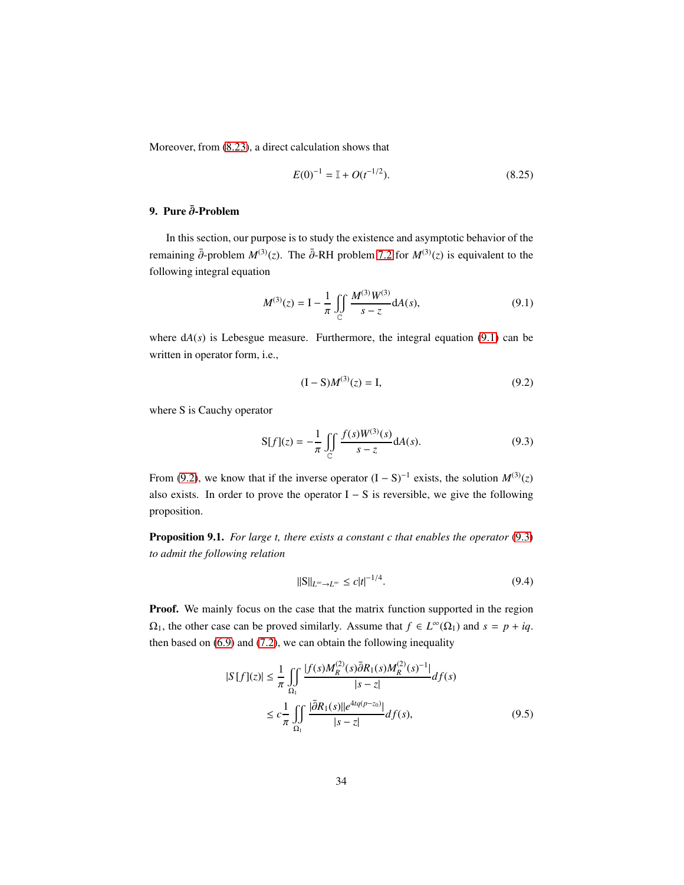Moreover, from [\(8.23\)](#page-32-0), a direct calculation shows that

$$
E(0)^{-1} = \mathbb{I} + O(t^{-1/2}).\tag{8.25}
$$

# <span id="page-33-0"></span>9. Pure ∂-Problem

In this section, our purpose is to study the existence and asymptotic behavior of the remaining  $\bar{\partial}$ -problem  $M^{(3)}(z)$ . The  $\bar{\partial}$ -RH problem [7.2](#page-27-0) for  $M^{(3)}(z)$  is equivalent to the following integral equation

$$
M^{(3)}(z) = I - \frac{1}{\pi} \iint\limits_{\mathbb{C}} \frac{M^{(3)}W^{(3)}}{s - z} dA(s),
$$
 (9.1)

where  $dA(s)$  is Lebesgue measure. Furthermore, the integral equation [\(9.1\)](#page-33-1) can be written in operator form, i.e.,

<span id="page-33-3"></span><span id="page-33-2"></span><span id="page-33-1"></span>
$$
(I - S)M(3)(z) = I,
$$
\n(9.2)

where S is Cauchy operator

$$
S[f](z) = -\frac{1}{\pi} \iint_{C} \frac{f(s)W^{(3)}(s)}{s - z} dA(s).
$$
 (9.3)

From [\(9.2\)](#page-33-2), we know that if the inverse operator  $(I - S)^{-1}$  exists, the solution  $M^{(3)}(z)$ also exists. In order to prove the operator  $I - S$  is reversible, we give the following proposition.

Proposition 9.1. *For large t, there exists a constant c that enables the operator* [\(9.3\)](#page-33-3) *to admit the following relation*

$$
\|\mathbf{S}\|_{L^{\infty}\to L^{\infty}} \le c|t|^{-1/4}.\tag{9.4}
$$

**Proof.** We mainly focus on the case that the matrix function supported in the region  $\Omega_1$ , the other case can be proved similarly. Assume that  $f \in L^{\infty}(\Omega_1)$  and  $s = p + iq$ . then based on [\(6.9\)](#page-25-0) and [\(7.2\)](#page-27-1), we can obtain the following inequality

$$
|S[f](z)| \leq \frac{1}{\pi} \iint_{\Omega_1} \frac{|f(s)M_R^{(2)}(s)\bar{\partial}R_1(s)M_R^{(2)}(s)^{-1}|}{|s-z|} df(s)
$$
  

$$
\leq c \frac{1}{\pi} \iint_{\Omega_1} \frac{|\bar{\partial}R_1(s)||e^{4tq(p-z_0)}|}{|s-z|} df(s), \tag{9.5}
$$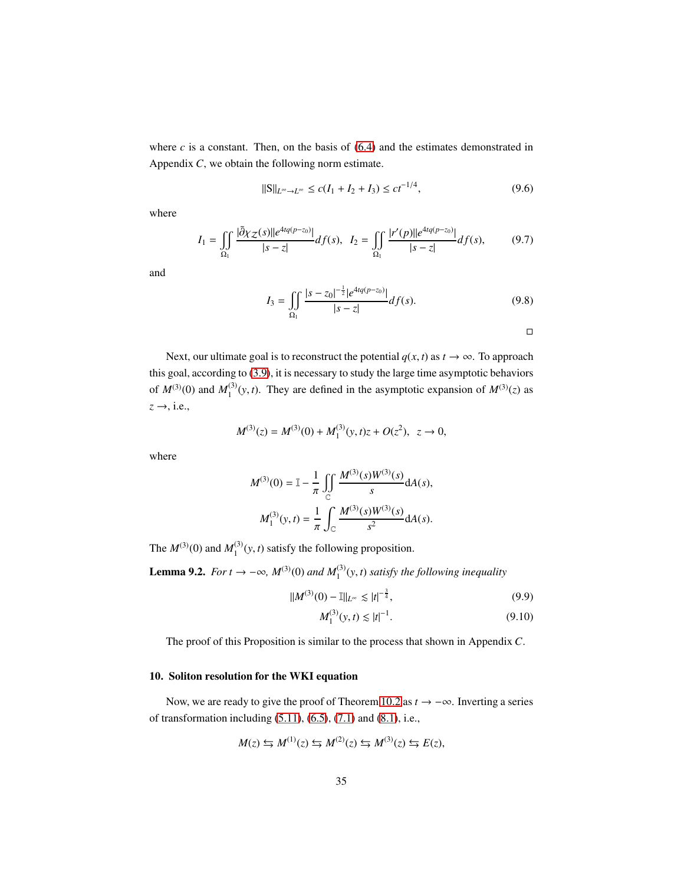where  $c$  is a constant. Then, on the basis of  $(6.4)$  and the estimates demonstrated in Appendix *C*, we obtain the following norm estimate.

$$
||S||_{L^{\infty}\to L^{\infty}} \le c(I_1 + I_2 + I_3) \le ct^{-1/4},
$$
\n(9.6)

where

$$
I_1 = \iint\limits_{\Omega_1} \frac{|\bar{\partial}\chi_Z(s)||e^{4tq(p-z_0)}}{|s-z|} df(s), \quad I_2 = \iint\limits_{\Omega_1} \frac{|r'(p)||e^{4tq(p-z_0)}}{|s-z|} df(s),\tag{9.7}
$$

and

$$
I_3 = \iint\limits_{\Omega_1} \frac{|s - z_0|^{-\frac{1}{2}} |e^{4tq(p - z_0)}|}{|s - z|} df(s).
$$
 (9.8)

<span id="page-34-2"></span><span id="page-34-1"></span> $\Box$ 

Next, our ultimate goal is to reconstruct the potential  $q(x, t)$  as  $t \to \infty$ . To approach this goal, according to [\(3.9\)](#page-12-0), it is necessary to study the large time asymptotic behaviors of  $M^{(3)}(0)$  and  $M_1^{(3)}$  $1^{(3)}(y, t)$ . They are defined in the asymptotic expansion of  $M^{(3)}(z)$  as  $z \rightarrow$ , i.e.,

$$
M^{(3)}(z) = M^{(3)}(0) + M_1^{(3)}(y, t)z + O(z^2), \ z \to 0,
$$

where

$$
M^{(3)}(0) = \mathbb{I} - \frac{1}{\pi} \iint_{\mathbb{C}} \frac{M^{(3)}(s)W^{(3)}(s)}{s} dA(s),
$$

$$
M_1^{(3)}(y, t) = \frac{1}{\pi} \int_{\mathbb{C}} \frac{M^{(3)}(s)W^{(3)}(s)}{s^2} dA(s).
$$

The  $M^{(3)}(0)$  and  $M_1^{(3)}$  $_{1}^{(3)}(y, t)$  satisfy the following proposition.

**Lemma 9.2.** *For t* →  $-\infty$ ,  $M^{(3)}(0)$  *and*  $M_1^{(3)}(y, t)$  *satisfy the following inequality* 

$$
||M^{(3)}(0) - 1||_{L^{\infty}} \lesssim |t|^{-\frac{3}{4}}, \tag{9.9}
$$

$$
M_1^{(3)}(y, t) \lesssim |t|^{-1}.
$$
\n(9.10)

The proof of this Proposition is similar to the process that shown in Appendix *C*.

# <span id="page-34-0"></span>10. Soliton resolution for the WKI equation

Now, we are ready to give the proof of Theorem [10.2](#page-36-0) as *t* → −∞. Inverting a series of transformation including [\(5.11\)](#page-21-0), [\(6.5\)](#page-23-2), [\(7.1\)](#page-26-1) and [\(8.1\)](#page-28-6), i.e.,

$$
M(z) \leftrightarrows M^{(1)}(z) \leftrightarrows M^{(2)}(z) \leftrightarrows M^{(3)}(z) \leftrightarrows E(z),
$$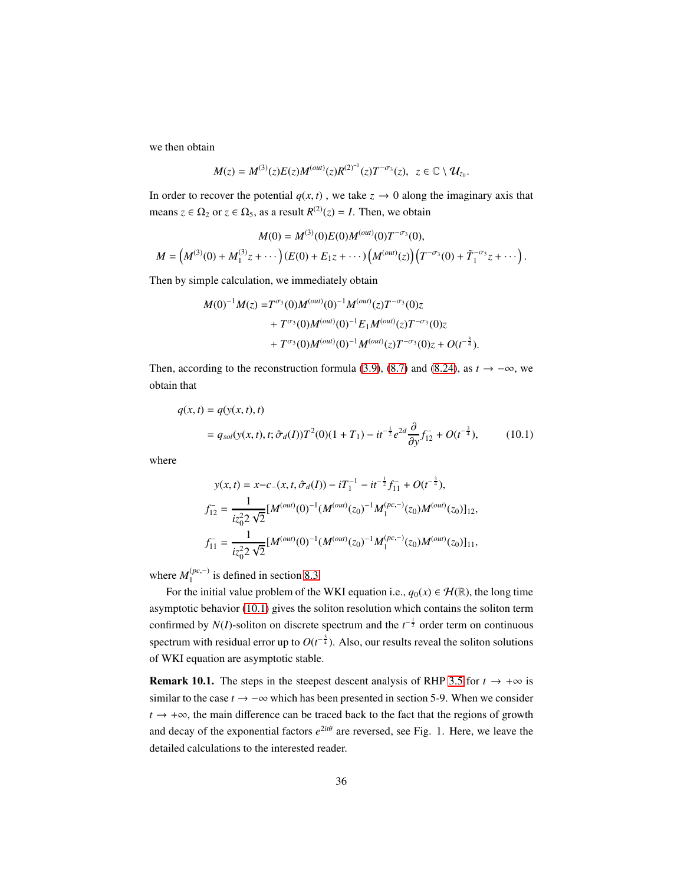we then obtain

$$
M(z) = M^{(3)}(z)E(z)M^{(out)}(z)R^{(2)^{-1}}(z)T^{-\sigma_3}(z), \ \ z \in \mathbb{C} \setminus \mathcal{U}_{z_0}
$$

<span id="page-35-0"></span>.

In order to recover the potential  $q(x, t)$ , we take  $z \to 0$  along the imaginary axis that means  $z \in \Omega_2$  or  $z \in \Omega_5$ , as a result  $R^{(2)}(z) = I$ . Then, we obtain

$$
M(0) = M^{(3)}(0)E(0)M^{(out)}(0)T^{-\sigma_3}(0),
$$
  
\n
$$
M = (M^{(3)}(0) + M_1^{(3)}z + \cdots)(E(0) + E_1z + \cdots)(M^{(out)}(z))(T^{-\sigma_3}(0) + \tilde{T}_1^{-\sigma_3}z + \cdots).
$$

Then by simple calculation, we immediately obtain

$$
M(0)^{-1}M(z) = T^{\sigma_3}(0)M^{(out)}(0)^{-1}M^{(out)}(z)T^{-\sigma_3}(0)z
$$
  
+  $T^{\sigma_3}(0)M^{(out)}(0)^{-1}E_1M^{(out)}(z)T^{-\sigma_3}(0)z$   
+  $T^{\sigma_3}(0)M^{(out)}(0)^{-1}M^{(out)}(z)T^{-\sigma_3}(0)z + O(t^{-\frac{3}{4}}).$ 

Then, according to the reconstruction formula [\(3.9\)](#page-12-0), [\(8.7\)](#page-29-2) and [\(8.24\)](#page-32-1), as  $t \to -\infty$ , we obtain that

$$
q(x,t) = q(y(x,t),t)
$$
  
=  $q_{sol}(y(x,t),t; \hat{\sigma}_d(I))T^2(0)(1+T_1) - it^{-\frac{1}{2}}e^{2d}\frac{\partial}{\partial y}f_{12}^+ + O(t^{-\frac{3}{4}}),$  (10.1)

where

$$
y(x,t) = x-c_{-}(x, t, \hat{\sigma}_{d}(I)) - iT_{1}^{-1} - it^{-\frac{1}{2}} f_{11}^{-} + O(t^{-\frac{3}{4}}),
$$
  
\n
$$
f_{12}^{-} = \frac{1}{iz_{0}^{2} 2 \sqrt{2}} [M^{(out)}(0)^{-1} (M^{(out)}(z_{0})^{-1} M_{1}^{(pc,-)}(z_{0}) M^{(out)}(z_{0})]_{12},
$$
  
\n
$$
f_{11}^{-} = \frac{1}{iz_{0}^{2} 2 \sqrt{2}} [M^{(out)}(0)^{-1} (M^{(out)}(z_{0})^{-1} M_{1}^{(pc,-)}(z_{0}) M^{(out)}(z_{0})]_{11},
$$

where  $M_1^{(pc,-)}$  is defined in section [8.3.](#page-30-0)

For the initial value problem of the WKI equation i.e.,  $q_0(x) \in \mathcal{H}(\mathbb{R})$ , the long time asymptotic behavior [\(10.1\)](#page-35-0) gives the soliton resolution which contains the soliton term confirmed by *N*(*I*)-soliton on discrete spectrum and the  $t^{-\frac{1}{2}}$  order term on continuous spectrum with residual error up to  $O(t^{-\frac{3}{4}})$ . Also, our results reveal the soliton solutions of WKI equation are asymptotic stable.

**Remark 10.1.** The steps in the steepest descent analysis of RHP [3.5](#page-12-1) for  $t \rightarrow +\infty$  is similar to the case  $t \to -\infty$  which has been presented in section 5-9. When we consider *t* → +∞, the main difference can be traced back to the fact that the regions of growth and decay of the exponential factors  $e^{2it\theta}$  are reversed, see Fig. 1. Here, we leave the detailed calculations to the interested reader.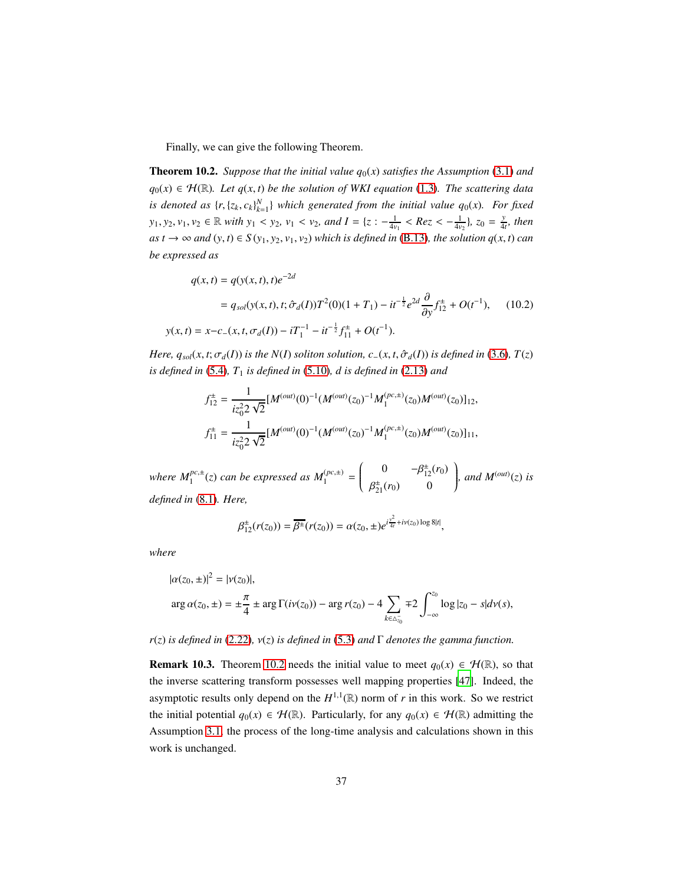Finally, we can give the following Theorem.

<span id="page-36-0"></span>**Theorem 10.2.** *Suppose that the initial value*  $q_0(x)$  *satisfies the Assumption* [\(3.1\)](#page-10-3) *and*  $q_0(x)$  ∈  $H(\mathbb{R})$ *. Let q*(*x*, *t*) *be the solution of WKI equation* [\(1.3\)](#page-2-2)*. The scattering data is denoted as*  $\{r, \{z_k, c_k\}_{k=1}^N\}$  which generated from the initial value  $q_0(x)$ . For fixed *y*<sub>1</sub>, *y*<sub>2</sub>, *v*<sub>1</sub>, *v*<sub>2</sub>  $\in \mathbb{R}$  *with y*<sub>1</sub> < *y*<sub>2</sub>, *v*<sub>1</sub> < *v*<sub>2</sub>, *and I* = {*z* :  $-\frac{1}{4v_1}$  < *Rez* <  $-\frac{1}{4v_2}$ }, *z*<sub>0</sub> =  $\frac{y}{4}$  $\frac{y}{4t}$ *, then as t* → ∞ *and*  $(y, t) \in S(y_1, y_2, v_1, v_2)$  *which is defined in* [\(B.13\)](#page-42-0)*, the solution*  $q(x, t)$  *can be expressed as*

$$
q(x,t) = q(y(x,t),t)e^{-2d}
$$
  
=  $q_{sol}(y(x,t),t; \hat{\sigma}_d(I))T^2(0)(1+T_1) - it^{-\frac{1}{2}}e^{2d}\frac{\partial}{\partial y}f_{12}^{\pm} + O(t^{-1}),$  (10.2)  

$$
y(x,t) = x - c_-(x,t,\sigma_d(I)) - iT_1^{-1} - it^{-\frac{1}{2}}f_{11}^{\pm} + O(t^{-1}).
$$

*Here,*  $q_{sol}(x, t; \sigma_d(I))$  *is the N*(*I*) *soliton solution, c*−(*x, t,*  $\hat{\sigma}_d(I)$ ) *is defined in* [\(3.6\)](#page-12-3)*, T*(*z*) *is defined in* [\(5.4\)](#page-20-0)*, T*<sup>1</sup> *is defined in* [\(5.10\)](#page-21-4)*, d is defined in* [\(2.13\)](#page-8-4) *and*

$$
f_{12}^{\pm} = \frac{1}{iz_0^2 2 \sqrt{2}} [M^{(out)}(0)^{-1} (M^{(out)}(z_0)^{-1} M_1^{(pc,\pm)}(z_0) M^{(out)}(z_0)]_{12},
$$
  

$$
f_{11}^{\pm} = \frac{1}{iz_0^2 2 \sqrt{2}} [M^{(out)}(0)^{-1} (M^{(out)}(z_0)^{-1} M_1^{(pc,\pm)}(z_0) M^{(out)}(z_0)]_{11},
$$

where  $M_1^{pc,\pm}(z)$  can be expressed as  $M_1^{(pc,\pm)}$  =  $\int_0^{\frac{1}{2}} 0 \frac{-\beta_{12}^{\pm}(r_0)}{r_0^2}$  $\overline{\mathcal{C}}$  $\beta_{21}^{\pm}(r_0)$  0  $\overline{\phantom{a}}$  $\begin{matrix} \end{matrix}$ *, and*  $M<sup>(out)</sup>(z)$  *is defined in* [\(8.1\)](#page-28-6)*. Here,*

$$
\beta_{12}^{\pm}(r(z_0)) = \overline{\beta^{\pm}}(r(z_0)) = \alpha(z_0, \pm) e^{i\frac{y^2}{4t} + i v(z_0) \log 8|t|},
$$

*where*

$$
|\alpha(z_0, \pm)|^2 = |\nu(z_0)|,
$$
  
arg  $\alpha(z_0, \pm) = \pm \frac{\pi}{4} \pm \arg \Gamma(i\nu(z_0)) - \arg r(z_0) - 4 \sum_{k \in \Delta_{z_0}^-} \mp 2 \int_{-\infty}^{z_0} \log |z_0 - s| d\nu(s),$ 

*r*(*z*) *is defined in* [\(2.22\)](#page-9-3)*,* ν(*z*) *is defined in* [\(5.3\)](#page-20-3) *and* Γ *denotes the gamma function.*

**Remark 10.3.** Theorem [10.2](#page-36-0) needs the initial value to meet  $q_0(x) \in \mathcal{H}(\mathbb{R})$ , so that the inverse scattering transform possesses well mapping properties [\[47](#page-48-8)]. Indeed, the asymptotic results only depend on the  $H^{1,1}(\mathbb{R})$  norm of *r* in this work. So we restrict the initial potential  $q_0(x) \in \mathcal{H}(\mathbb{R})$ . Particularly, for any  $q_0(x) \in \mathcal{H}(\mathbb{R})$  admitting the Assumption [3.1,](#page-10-3) the process of the long-time analysis and calculations shown in this work is unchanged.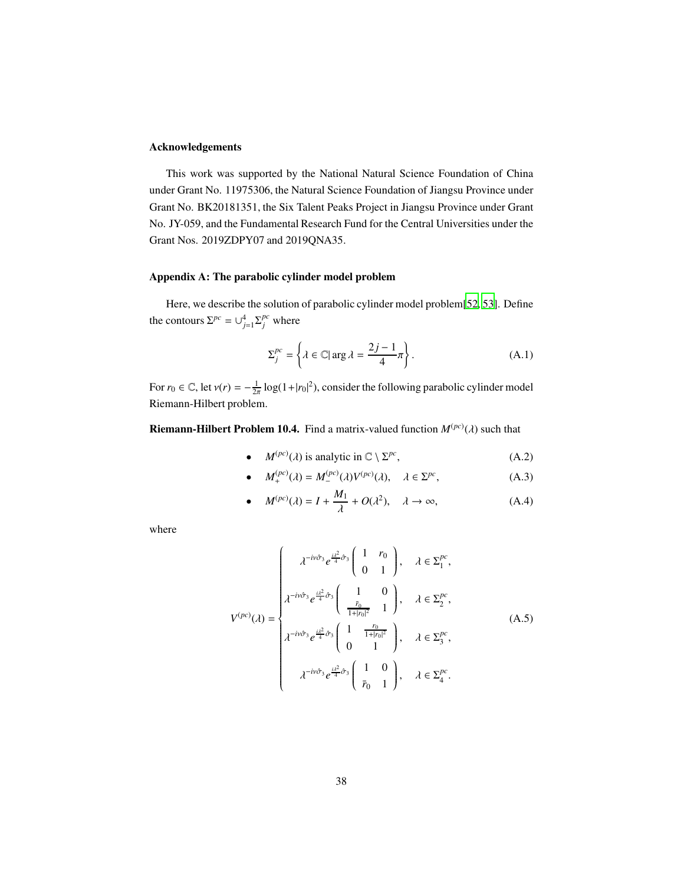# Acknowledgements

This work was supported by the National Natural Science Foundation of China under Grant No. 11975306, the Natural Science Foundation of Jiangsu Province under Grant No. BK20181351, the Six Talent Peaks Project in Jiangsu Province under Grant No. JY-059, and the Fundamental Research Fund for the Central Universities under the Grant Nos. 2019ZDPY07 and 2019QNA35.

# Appendix A: The parabolic cylinder model problem

Here, we describe the solution of parabolic cylinder model problem[\[52,](#page-48-9) [53](#page-49-0)]. Define the contours  $\Sigma^{pc} = \bigcup_{j=1}^{4} \Sigma^{pc}_j$  where

$$
\Sigma_j^{pc} = \left\{ \lambda \in \mathbb{C} | \arg \lambda = \frac{2j - 1}{4} \pi \right\}.
$$
 (A.1)

For  $r_0 \in \mathbb{C}$ , let  $v(r) = -\frac{1}{2\pi} \log(1+|r_0|^2)$ , consider the following parabolic cylinder model Riemann-Hilbert problem.

<span id="page-37-0"></span>**Riemann-Hilbert Problem 10.4.** Find a matrix-valued function  $M^{(pc)}(\lambda)$  such that

• 
$$
M^{(pc)}(\lambda)
$$
 is analytic in  $\mathbb{C} \setminus \Sigma^{pc}$ ,  $(A.2)$ 

• 
$$
M_{+}^{(pc)}(\lambda) = M_{-}^{(pc)}(\lambda)V^{(pc)}(\lambda), \quad \lambda \in \Sigma^{pc},
$$
 (A.3)

• 
$$
M^{(pc)}(\lambda) = I + \frac{M_1}{\lambda} + O(\lambda^2), \quad \lambda \to \infty,
$$
 (A.4)

where

$$
V^{(pc)}(\lambda) = \begin{cases} \lambda^{-i\nu\hat{\sigma}_3} e^{\frac{i\lambda^2}{4}\hat{\sigma}_3} \begin{pmatrix} 1 & r_0 \\ 0 & 1 \end{pmatrix}, & \lambda \in \Sigma_1^{pc}, \\ \lambda^{-i\nu\hat{\sigma}_3} e^{\frac{i\lambda^2}{4}\hat{\sigma}_3} \begin{pmatrix} 1 & 0 \\ \frac{\bar{r}_0}{1+|r_0|^2} & 1 \end{pmatrix}, & \lambda \in \Sigma_2^{pc}, \\ \lambda^{-i\nu\hat{\sigma}_3} e^{\frac{i\lambda^2}{4}\hat{\sigma}_3} \begin{pmatrix} 1 & \frac{r_0}{1+|r_0|^2} \\ 0 & 1 \end{pmatrix}, & \lambda \in \Sigma_3^{pc}, \\ \lambda^{-i\nu\hat{\sigma}_3} e^{\frac{i\lambda^2}{4}\hat{\sigma}_3} \begin{pmatrix} 1 & 0 \\ \bar{r}_0 & 1 \end{pmatrix}, & \lambda \in \Sigma_4^{pc}. \end{cases}
$$
(A.5)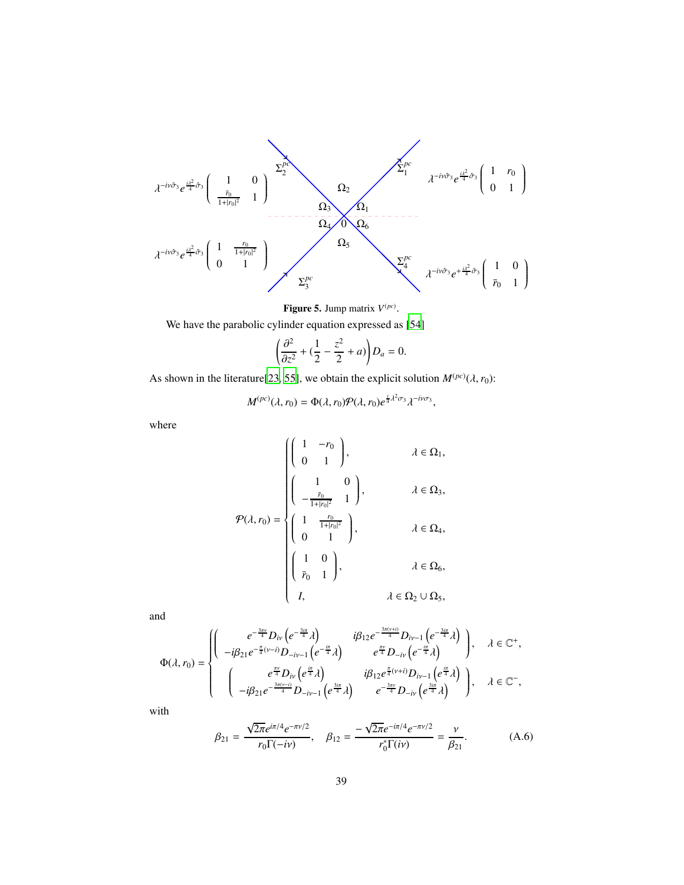$$
\begin{array}{c}\n\lambda^{-i\nu\hat{\sigma}_3}e^{\frac{i\lambda^2}{4}\hat{\sigma}_3}\begin{pmatrix}\n1 & 0 \\
\frac{\bar{r}_0}{1+|r_0|^2} & 1\n\end{pmatrix}\n\end{array}\n\qquad\n\begin{array}{c}\n\Sigma_1^{pc} \\
\Omega_2\n\end{array}\n\qquad\n\begin{array}{c}\n\Omega_2\n\end{array}\n\qquad\n\begin{array}{c}\n\lambda^{-i\nu\hat{\sigma}_3}e^{\frac{i\lambda^2}{4}\hat{\sigma}_3}\begin{pmatrix}\n1 & r_0 \\
0 & 1\n\end{pmatrix}\n\end{array}
$$
\n
$$
\lambda^{-i\nu\hat{\sigma}_3}e^{\frac{i\lambda^2}{4}\hat{\sigma}_3}\begin{pmatrix}\n1 & r_0 \\
0 & 1\n\end{pmatrix}\n\qquad\n\begin{array}{c}\n\Omega_3\n\end{array}\n\qquad\n\begin{array}{c}\n\Omega_4\n\end{array}\n\qquad\n\begin{array}{c}\n\Omega_5\n\end{array}\n\qquad\n\begin{array}{c}\n\Sigma_1^{pc} \\
\lambda^{-i\nu\hat{\sigma}_3}e^{+\frac{i\lambda^2}{4}\hat{\sigma}_3}\begin{pmatrix}\n1 & 0 \\
\bar{r}_0 & 1\n\end{pmatrix}\n\end{array}
$$

### **Figure 5.** Jump matrix  $V^{(pc)}$ .

We have the parabolic cylinder equation expressed as [\[54\]](#page-49-1)

$$
\left(\frac{\partial^2}{\partial z^2} + \left(\frac{1}{2} - \frac{z^2}{2} + a\right)\right)D_a = 0.
$$

As shown in the literature<sup>[\[23,](#page-46-14) [55\]](#page-49-2)</sup>, we obtain the explicit solution  $M^{(pc)}(\lambda, r_0)$ :

$$
M^{(pc)}(\lambda, r_0) = \Phi(\lambda, r_0) \mathcal{P}(\lambda, r_0) e^{\frac{i}{4} \lambda^2 \sigma_3} \lambda^{-i \nu \sigma_3},
$$

where

$$
\mathcal{P}(\lambda, r_0) = \begin{cases}\n\begin{pmatrix}\n1 & -r_0 \\
0 & 1\n\end{pmatrix}, & \lambda \in \Omega_1, \\
\begin{pmatrix}\n1 & 0 \\
-\frac{\bar{r}_0}{1+|r_0|^2} & 1\n\end{pmatrix}, & \lambda \in \Omega_3, \\
\begin{pmatrix}\n1 & \frac{r_0}{1+|r_0|^2} \\
0 & 1\n\end{pmatrix}, & \lambda \in \Omega_4, \\
\begin{pmatrix}\n1 & 0 \\
\bar{r}_0 & 1\n\end{pmatrix}, & \lambda \in \Omega_6, \\
I, & \lambda \in \Omega_2 \cup \Omega_5,\n\end{cases}
$$

and

$$
\Phi(\lambda, r_0) = \begin{cases}\n\begin{pmatrix}\ne^{-\frac{3\pi}{4}}D_{iv}\left(e^{-\frac{3i\pi}{4}}\lambda\right) & \text{if } \beta_{12}e^{-\frac{3\pi(v+i)}{4}}D_{iv-1}\left(e^{-\frac{3i\pi}{4}}\lambda\right) \\
-i\beta_{21}e^{-\frac{\pi}{4}(v-i)}D_{-iv-1}\left(e^{-\frac{ix}{4}}\lambda\right) & e^{\frac{\pi v}{4}}D_{-iv}\left(e^{-\frac{ix}{4}}\lambda\right) \\
\left(\ne^{\frac{\pi v}{4}}D_{iv}\left(e^{\frac{ix}{4}}\lambda\right) & i\beta_{12}e^{\frac{\pi}{4}(v+i)}D_{iv-1}\left(e^{\frac{ix}{4}}\lambda\right) \\
-i\beta_{21}e^{-\frac{3\pi(v-i)}{4}}D_{-iv-1}\left(e^{\frac{3i\pi}{4}}\lambda\right) & e^{-\frac{3\pi v}{4}}D_{-iv}\left(e^{\frac{3i\pi}{4}}\lambda\right)\n\end{pmatrix}, \quad \lambda \in \mathbb{C}^-, \\
\end{cases}
$$

with

$$
\beta_{21} = \frac{\sqrt{2\pi}e^{i\pi/4}e^{-\pi v/2}}{r_0 \Gamma(-i\nu)}, \quad \beta_{12} = \frac{-\sqrt{2\pi}e^{-i\pi/4}e^{-\pi v/2}}{r_0^* \Gamma(i\nu)} = \frac{\nu}{\beta_{21}}.
$$
\n(A.6)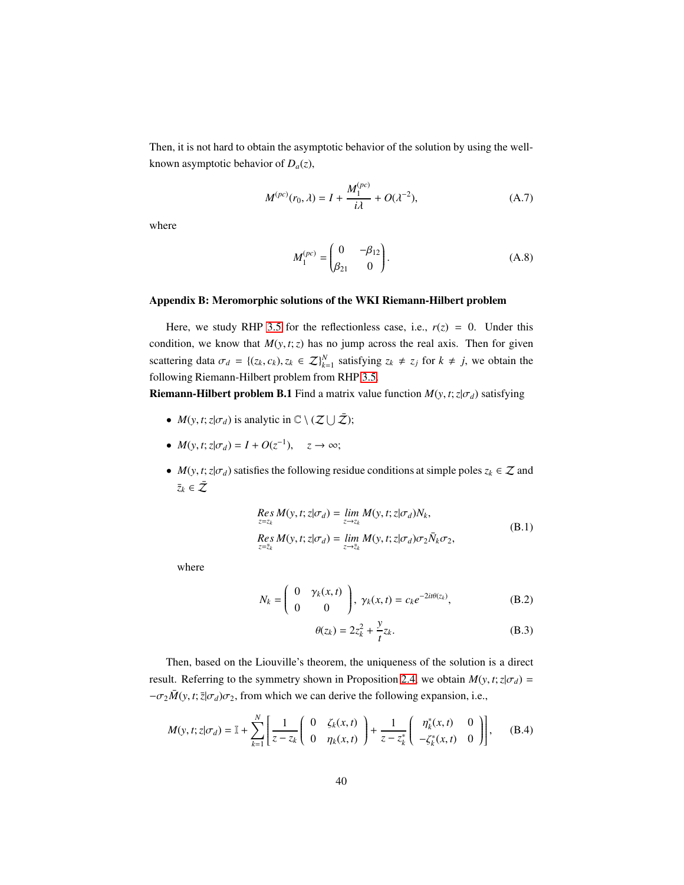Then, it is not hard to obtain the asymptotic behavior of the solution by using the wellknown asymptotic behavior of  $D_a(z)$ ,

$$
M^{(pc)}(r_0, \lambda) = I + \frac{M_1^{(pc)}}{i\lambda} + O(\lambda^{-2}), \tag{A.7}
$$

where

$$
M_1^{(pc)} = \begin{pmatrix} 0 & -\beta_{12} \\ \beta_{21} & 0 \end{pmatrix}.
$$
 (A.8)

#### Appendix B: Meromorphic solutions of the WKI Riemann-Hilbert problem

Here, we study RHP [3.5](#page-12-1) for the reflectionless case, i.e.,  $r(z) = 0$ . Under this condition, we know that  $M(y, t; z)$  has no jump across the real axis. Then for given scattering data  $\sigma_d = \{(z_k, c_k), z_k \in \mathbb{Z}\}_{k=1}^N$  satisfying  $z_k \neq z_j$  for  $k \neq j$ , we obtain the following Riemann-Hilbert problem from RHP [3.5.](#page-12-1)

**Riemann-Hilbert problem B.1** Find a matrix value function  $M(y, t; z | \sigma_d)$  satisfying

- $M(y, t; z | \sigma_d)$  is analytic in  $\mathbb{C} \setminus (\mathcal{Z} \cup \bar{\mathcal{Z}})$ ;
- $M(y, t; z | \sigma_d) = I + O(z^{-1}), \quad z \to \infty;$
- *M*(*y*, *t*;  $z | \sigma_d$ ) satisfies the following residue conditions at simple poles  $z_k \in \mathcal{Z}$  and  $\bar{z}_k \in \bar{\mathcal{Z}}$

$$
Res_{z=z_k} M(y, t; z | \sigma_d) = \lim_{z \to z_k} M(y, t; z | \sigma_d) N_k,
$$
  
\n
$$
Res_{z=z_k} M(y, t; z | \sigma_d) = \lim_{z \to \overline{z}_k} M(y, t; z | \sigma_d) \sigma_2 \overline{N}_k \sigma_2,
$$
  
\n(B.1)

where

$$
N_k = \begin{pmatrix} 0 & \gamma_k(x, t) \\ 0 & 0 \end{pmatrix}, \ \gamma_k(x, t) = c_k e^{-2it\theta(z_k)}, \tag{B.2}
$$

$$
\theta(z_k) = 2z_k^2 + \frac{y}{t}z_k.
$$
 (B.3)

Then, based on the Liouville's theorem, the uniqueness of the solution is a direct result. Referring to the symmetry shown in Proposition [2.4,](#page-8-3) we obtain  $M(y, t; z | \sigma_d)$  =  $-\sigma_2 \bar{M}(y, t; \bar{z}|\sigma_d)\sigma_2$ , from which we can derive the following expansion, i.e.,

$$
M(y, t; z | \sigma_d) = \mathbb{I} + \sum_{k=1}^{N} \left[ \frac{1}{z - z_k} \begin{pmatrix} 0 & \zeta_k(x, t) \\ 0 & \eta_k(x, t) \end{pmatrix} + \frac{1}{z - z_k^*} \begin{pmatrix} \eta_k^*(x, t) & 0 \\ -\zeta_k^*(x, t) & 0 \end{pmatrix} \right],
$$
 (B.4)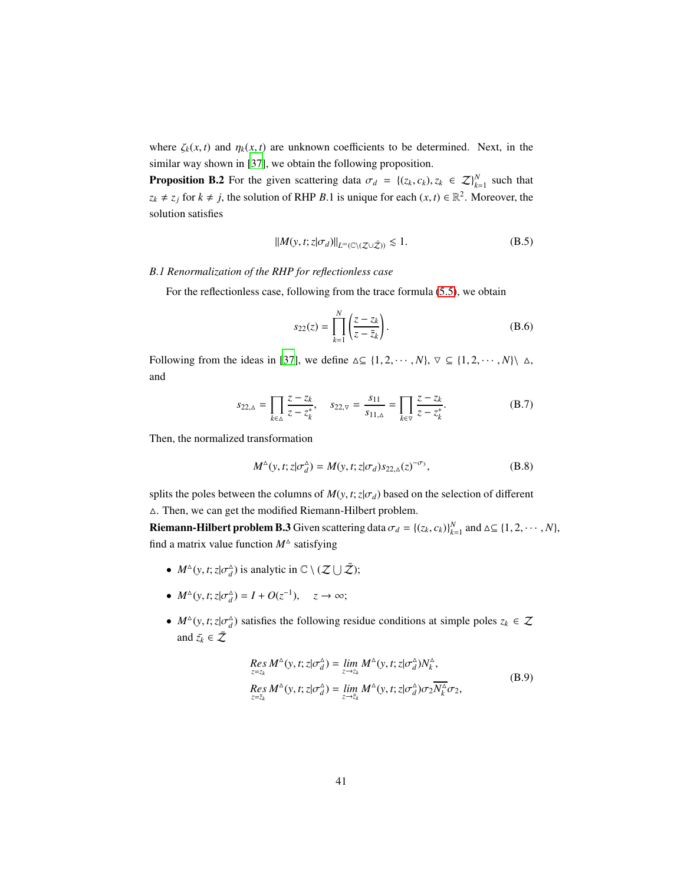where  $\zeta_k(x, t)$  and  $\eta_k(x, t)$  are unknown coefficients to be determined. Next, in the similar way shown in [\[37\]](#page-47-9), we obtain the following proposition.

**Proposition B.2** For the given scattering data  $\sigma_d = \{(z_k, c_k), z_k \in \mathcal{Z}\}_{k=1}^N$  such that  $z_k \neq z_j$  for  $k \neq j$ , the solution of RHP *B*.1 is unique for each  $(x, t) \in \mathbb{R}^2$ . Moreover, the solution satisfies

$$
||M(y, t; z | \sigma_d)||_{L^{\infty}(\mathbb{C} \setminus (\mathcal{Z} \cup \bar{\mathcal{Z}}))} \lesssim 1.
$$
 (B.5)

# <span id="page-40-0"></span>*B.1 Renormalization of the RHP for reflectionless case*

For the reflectionless case, following from the trace formula [\(5.5\)](#page-20-1), we obtain

$$
s_{22}(z) = \prod_{k=1}^{N} \left( \frac{z - z_k}{z - \overline{z}_k} \right).
$$
 (B.6)

Following from the ideas in [\[37\]](#page-47-9), we define  $\Delta \subseteq \{1, 2, \dots, N\}, \forall \subseteq \{1, 2, \dots, N\}$   $\Delta$ , and

$$
s_{22,\Delta} = \prod_{k \in \Delta} \frac{z - z_k}{z - z_k^*}, \quad s_{22,\nabla} = \frac{s_{11}}{s_{11,\Delta}} = \prod_{k \in \nabla} \frac{z - z_k}{z - z_k^*}.
$$
 (B.7)

Then, the normalized transformation

$$
M^{\Delta}(y, t; z | \sigma_d^{\Delta}) = M(y, t; z | \sigma_d) s_{22, \Delta}(z)^{-\sigma_3}, \tag{B.8}
$$

splits the poles between the columns of  $M(y, t; z | \sigma_d)$  based on the selection of different △. Then, we can get the modified Riemann-Hilbert problem.

**Riemann-Hilbert problem B.3** Given scattering data  $\sigma_d = \{(z_k, c_k)\}_{k=1}^N$  and  $\Delta \subseteq \{1, 2, \dots, N\}$ , find a matrix value function  $M^{\Delta}$  satisfying

- $M^{\Delta}(y, t; z | \sigma_d^{\Delta})$  is analytic in  $\mathbb{C} \setminus (\mathcal{Z} \cup \bar{\mathcal{Z}})$ ;
- $M^{\Delta}(y, t; z | \sigma_d^{\Delta}) = I + O(z^{-1}), \quad z \to \infty;$
- $M^{\Delta}(y, t; z | \sigma_d^{\Delta})$  satisfies the following residue conditions at simple poles  $z_k \in \mathcal{Z}$ and  $\bar{z_k} \in \bar{Z}$

$$
Res_{z=z_k} M^{\Delta}(y, t; z | \sigma_d^{\Delta}) = \lim_{z \to z_k} M^{\Delta}(y, t; z | \sigma_d^{\Delta}) N_k^{\Delta},
$$
  
\n
$$
Res_{z=\overline{z}_k} M^{\Delta}(y, t; z | \sigma_d^{\Delta}) = \lim_{z \to \overline{z}_k} M^{\Delta}(y, t; z | \sigma_d^{\Delta}) \sigma_2 \overline{N_k^{\Delta}} \sigma_2,
$$
\n(B.9)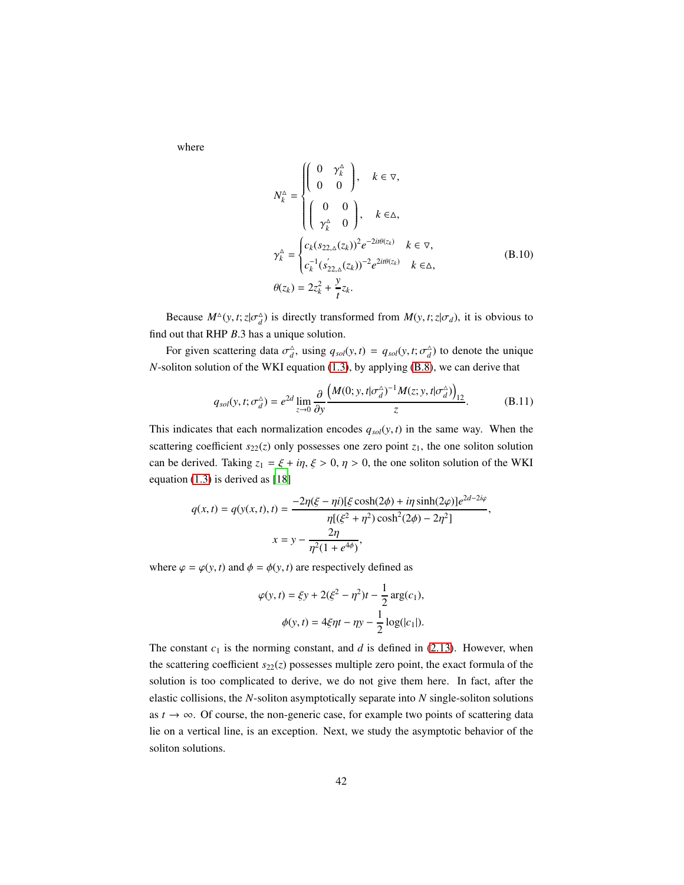where

$$
N_k^{\Delta} = \begin{cases} \begin{pmatrix} 0 & \gamma_k^{\Delta} \\ 0 & 0 \end{pmatrix}, & k \in \nabla, \\ \begin{pmatrix} 0 & 0 \\ \gamma_k^{\Delta} & 0 \end{pmatrix}, & k \in \Delta, \end{cases}
$$
  

$$
\gamma_k^{\Delta} = \begin{cases} c_k (s_{22,\Delta}(z_k))^2 e^{-2it\theta(z_k)} & k \in \nabla, \\ c_k^{-1} (s_{22,\Delta}'(z_k))^{-2} e^{2it\theta(z_k)} & k \in \Delta, \end{cases}
$$
  

$$
\theta(z_k) = 2z_k^2 + \frac{y}{t} z_k.
$$
 (B.10)

Because  $M^{\Delta}(y, t; z | \sigma_d^{\Delta})$  is directly transformed from  $M(y, t; z | \sigma_d)$ , it is obvious to find out that RHP *B*.3 has a unique solution.

For given scattering data  $\sigma_d^{\Delta}$ , using  $q_{sol}(y, t) = q_{sol}(y, t; \sigma_d^{\Delta})$  to denote the unique *N*-soliton solution of the WKI equation [\(1.3\)](#page-2-2), by applying [\(B.8\)](#page-40-0), we can derive that

$$
q_{sol}(y, t; \sigma_d^{\Delta}) = e^{2d} \lim_{z \to 0} \frac{\partial}{\partial y} \frac{\left(M(0; y, t | \sigma_d^{\Delta})^{-1} M(z; y, t | \sigma_d^{\Delta})\right)_{12}}{z}.
$$
 (B.11)

This indicates that each normalization encodes  $q_{sol}(y, t)$  in the same way. When the scattering coefficient  $s_{22}(z)$  only possesses one zero point  $z_1$ , the one soliton solution can be derived. Taking  $z_1 = \xi + i\eta$ ,  $\xi > 0$ ,  $\eta > 0$ , the one soliton solution of the WKI equation [\(1.3\)](#page-2-2) is derived as [\[18\]](#page-46-9)

$$
q(x,t) = q(y(x,t),t) = \frac{-2\eta(\xi - \eta i)[\xi \cosh(2\phi) + i\eta \sinh(2\varphi)]e^{2d-2i\varphi}}{\eta[(\xi^2 + \eta^2)\cosh^2(2\phi) - 2\eta^2]},
$$
  

$$
x = y - \frac{2\eta}{\eta^2(1 + e^{4\phi})},
$$

where  $\varphi = \varphi(y, t)$  and  $\phi = \phi(y, t)$  are respectively defined as

$$
\varphi(y,t) = \xi y + 2(\xi^2 - \eta^2)t - \frac{1}{2}\arg(c_1),
$$
  

$$
\phi(y,t) = 4\xi\eta t - \eta y - \frac{1}{2}\log(|c_1|).
$$

The constant  $c_1$  is the norming constant, and  $d$  is defined in [\(2.13\)](#page-8-4). However, when the scattering coefficient  $s_{22}(z)$  possesses multiple zero point, the exact formula of the solution is too complicated to derive, we do not give them here. In fact, after the elastic collisions, the *N*-soliton asymptotically separate into *N* single-soliton solutions as  $t \to \infty$ . Of course, the non-generic case, for example two points of scattering data lie on a vertical line, is an exception. Next, we study the asymptotic behavior of the soliton solutions.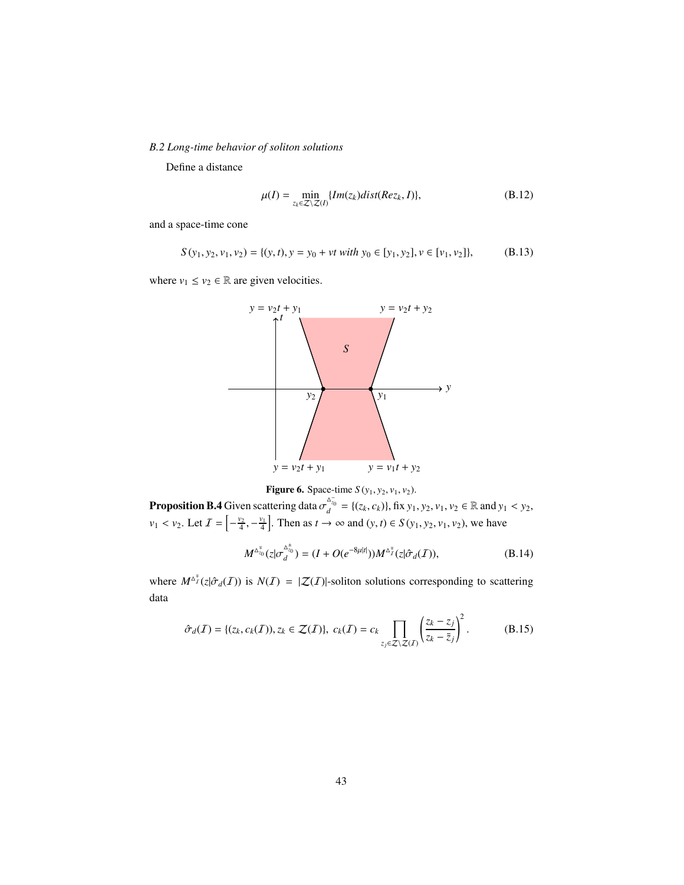<span id="page-42-0"></span>*B.2 Long-time behavior of soliton solutions*

Define a distance

$$
\mu(I) = \min_{z_k \in \mathcal{Z} \setminus \mathcal{Z}(I)} \{ Im(z_k) dist(Re z_k, I) \},\tag{B.12}
$$

and a space-time cone

$$
S(y_1, y_2, v_1, v_2) = \{(y, t), y = y_0 + vt \ with \ y_0 \in [y_1, y_2], v \in [v_1, v_2]\},\tag{B.13}
$$

where  $v_1 \le v_2 \in \mathbb{R}$  are given velocities.



**Figure 6.** Space-time  $S(y_1, y_2, v_1, v_2)$ .

**Proposition B.4** Given scattering data  $\sigma_d^{\Delta_{z_0}^-} = \{(z_k, c_k)\}\$ , fix  $y_1, y_2, v_1, v_2 \in \mathbb{R}$  and  $y_1 < y_2$ ,  $v_1 < v_2$ . Let  $\mathcal{I} = \left[ -\frac{v_2}{4}, -\frac{v_1}{4} \right]$ . Then as  $t \to \infty$  and  $(y, t) \in S(y_1, y_2, v_1, v_2)$ , we have

$$
M^{\Delta_{z_0}^*}(z|\sigma_d^{^{\Delta_{z_0}^*}}) = (I + O(e^{-8\mu|t|}))M^{\Delta_{I}^*}(z|\hat{\sigma}_d(I)),
$$
\n(B.14)

where  $M^{\Delta_T^{\pi}}(z|\hat{\sigma}_d(\mathcal{I}))$  is  $N(\mathcal{I}) = |\mathcal{Z}(\mathcal{I})|$ -soliton solutions corresponding to scattering data

$$
\hat{\sigma}_d(\mathcal{I}) = \{ (z_k, c_k(\mathcal{I})), z_k \in \mathcal{Z}(\mathcal{I}) \}, \ c_k(\mathcal{I}) = c_k \prod_{z_j \in \mathcal{Z} \setminus \mathcal{Z}(\mathcal{I})} \left( \frac{z_k - z_j}{z_k - \bar{z}_j} \right)^2. \tag{B.15}
$$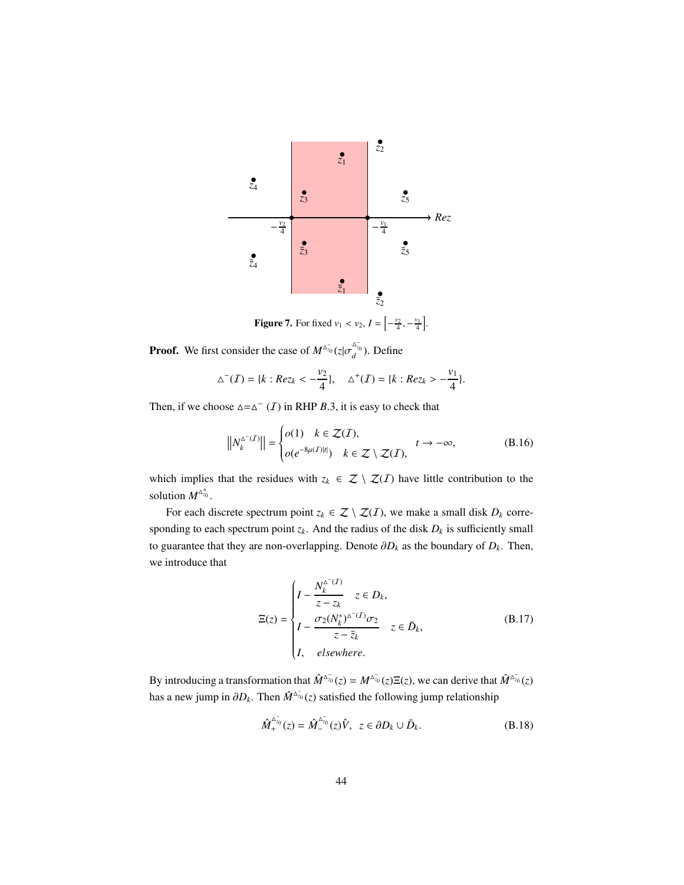

**Figure 7.** For fixed  $v_1 < v_2$ ,  $I = \left[ -\frac{v_2}{4}, -\frac{v_1}{4} \right]$ .

**Proof.** We first consider the case of  $M^{\Delta_{z_0}^-}(z|\sigma_d^{\Delta_{z_0}^-})$ . Define

$$
\Delta^{-}(I) = \{k : Re z_k < -\frac{v_2}{4}\}, \quad \Delta^{+}(I) = \{k : Re z_k > -\frac{v_1}{4}\}.
$$

Then, if we choose  $\Delta = \Delta^{-}(I)$  in RHP *B*.3, it is easy to check that

$$
\left\| N_k^{\Delta^{-}(I)} \right\| = \begin{cases} o(1) & k \in \mathcal{Z}(I), \\ o(e^{-8\mu(I)|t|}) & k \in \mathcal{Z} \setminus \mathcal{Z}(I), \end{cases} \quad t \to -\infty, \tag{B.16}
$$

which implies that the residues with  $z_k \in \mathcal{Z} \setminus \mathcal{Z}(I)$  have little contribution to the solution  $M^{\Delta_{z_0}^{\pm}}$ .

For each discrete spectrum point  $z_k \in \mathcal{Z} \setminus \mathcal{Z}(I)$ , we make a small disk  $D_k$  corresponding to each spectrum point  $z_k$ . And the radius of the disk  $D_k$  is sufficiently small to guarantee that they are non-overlapping. Denote  $\partial D_k$  as the boundary of  $D_k$ . Then, we introduce that

$$
\Xi(z) = \begin{cases}\nI - \frac{N_k^{\Delta^{-}(I)}}{z - z_k} & z \in D_k, \\
I - \frac{\sigma_2(N_k^*)^{\Delta^{-}(I)}\sigma_2}{z - \overline{z}_k} & z \in \overline{D}_k, \\
I, \quad \text{elsewhere.} \n\end{cases} \tag{B.17}
$$

By introducing a transformation that  $\hat{M}^{\Delta_{z_0}^-}(z) = M^{\Delta_{z_0}^-}(z) \Xi(z)$ , we can derive that  $\hat{M}^{\Delta_{z_0}^-}(z)$ has a new jump in  $\partial D_k$ . Then  $\hat{M}^{\Delta_{\mathcal{T}_0}^-}(z)$  satisfied the following jump relationship

$$
\hat{M}_+^{\Delta_{z_0}^-}(z) = \hat{M}_-^{\Delta_{z_0}^-}(z)\hat{V}, \ \ z \in \partial D_k \cup \bar{D}_k. \tag{B.18}
$$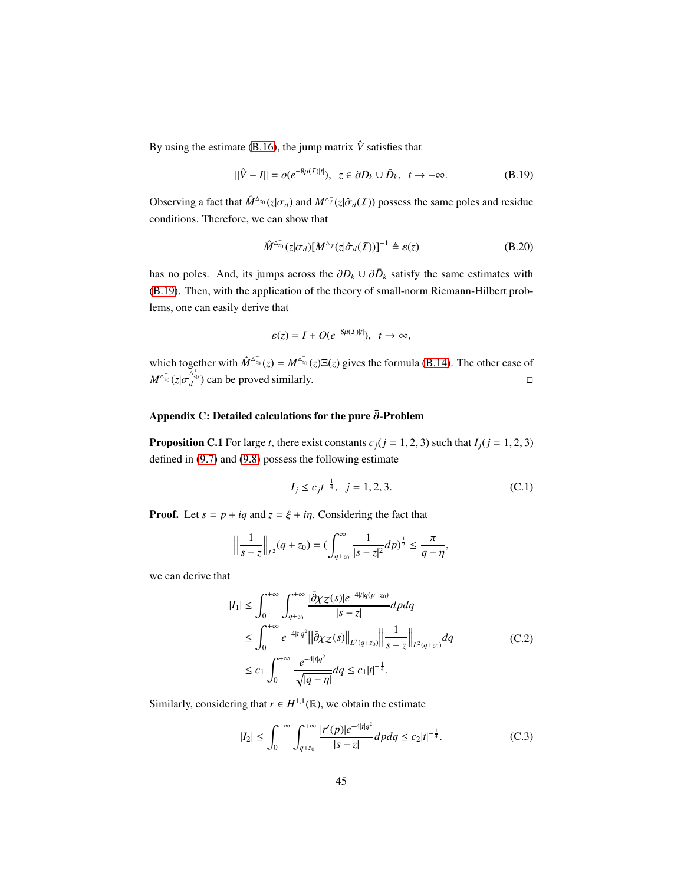By using the estimate [\(B.16\)](#page-42-0), the jump matrix  $\hat{V}$  satisfies that

$$
\|\hat{V} - I\| = o(e^{-8\mu(I)|t|}), \ z \in \partial D_k \cup \bar{D}_k, \ t \to -\infty.
$$
 (B.19)

Observing a fact that  $\hat{M}^{\Delta_{z_0}^-}(z|\sigma_d)$  and  $M^{\Delta_{\bar{I}}^-}(z|\hat{\sigma}_d(\bar{I}))$  possess the same poles and residue conditions. Therefore, we can show that

$$
\hat{M}^{\Delta_{z_0}^-}(z|\sigma_d)[M^{\Delta_{\bar{I}}^-}(z|\hat{\sigma}_d(\bar{I}))]^{-1} \triangleq \varepsilon(z)
$$
 (B.20)

has no poles. And, its jumps across the  $\partial D_k \cup \partial \bar{D}_k$  satisfy the same estimates with [\(B.19\)](#page-42-0). Then, with the application of the theory of small-norm Riemann-Hilbert problems, one can easily derive that

$$
\varepsilon(z) = I + O(e^{-8\mu(I)|t|}), \quad t \to \infty,
$$

which together with  $\hat{M}^{\Delta_{z_0}}(z) = M^{\Delta_{z_0}}(z) \Xi(z)$  gives the formula [\(B.14\)](#page-42-0). The other case of  $M^{\Delta_{z_0}^+}(z|\sigma_d^{\Delta_{z_0}^+})$  can be proved similarly.

## <span id="page-44-0"></span>Appendix C: Detailed calculations for the pure  $\bar{\partial}$ -Problem

**Proposition C.1** For large *t*, there exist constants  $c_j$  ( $j = 1, 2, 3$ ) such that  $I_j$  ( $j = 1, 2, 3$ ) defined in [\(9.7\)](#page-34-1) and [\(9.8\)](#page-34-2) possess the following estimate

$$
I_j \le c_j t^{-\frac{1}{4}}, \ \ j = 1, 2, 3. \tag{C.1}
$$

,

**Proof.** Let  $s = p + iq$  and  $z = \xi + i\eta$ . Considering the fact that

$$
\left\|\frac{1}{s-z}\right\|_{L^2}(q+z_0) = \left(\int_{q+z_0}^{\infty} \frac{1}{|s-z|^2} dp\right)^{\frac{1}{2}} \le \frac{\pi}{q-\eta}
$$

we can derive that

$$
|I_{1}| \leq \int_{0}^{+\infty} \int_{q+z_{0}}^{+\infty} \frac{|\bar{\partial}\chi_{Z}(s)|e^{-4|t|q(p-z_{0})}}{|s-z|} dp dq
$$
  
\n
$$
\leq \int_{0}^{+\infty} e^{-4|t|q^{2}} ||\bar{\partial}\chi_{Z}(s)||_{L^{2}(q+z_{0})} \Big\| \frac{1}{s-z} \Big\|_{L^{2}(q+z_{0})} dq
$$
  
\n
$$
\leq c_{1} \int_{0}^{+\infty} \frac{e^{-4|t|q^{2}}}{\sqrt{|q-\eta|}} dq \leq c_{1}|t|^{-\frac{1}{4}}.
$$
 (C.2)

Similarly, considering that  $r \in H^{1,1}(\mathbb{R})$ , we obtain the estimate

$$
|I_2| \le \int_0^{+\infty} \int_{q+z_0}^{+\infty} \frac{|r'(p)|e^{-4|t|q^2}}{|s-z|} dp dq \le c_2 |t|^{-\frac{1}{4}}.
$$
 (C.3)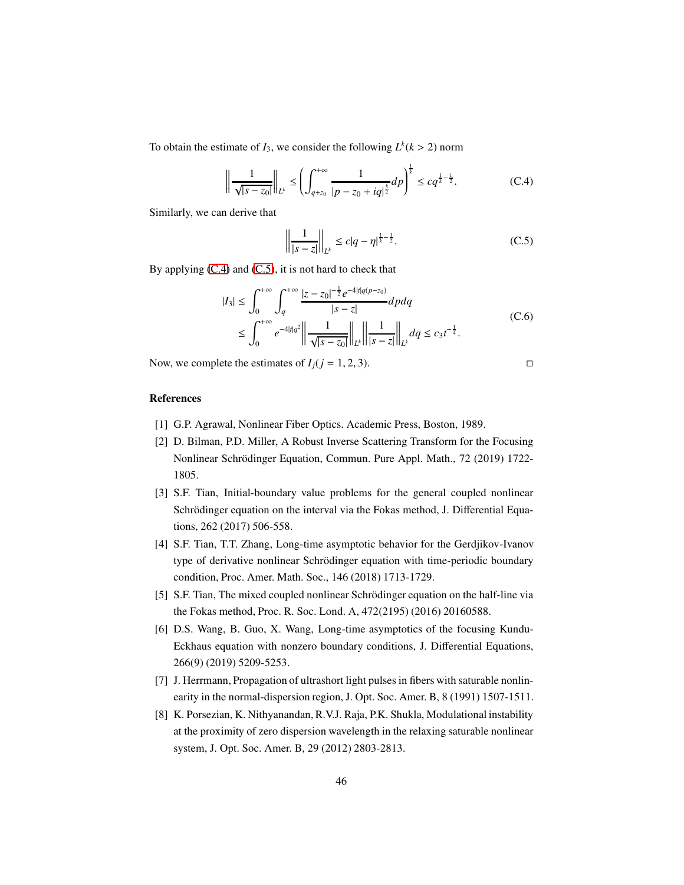To obtain the estimate of  $I_3$ , we consider the following  $L^k$  ( $k > 2$ ) norm

$$
\left\| \frac{1}{\sqrt{|s-z_0|}} \right\|_{L^k} \le \left( \int_{q+z_0}^{+\infty} \frac{1}{|p-z_0+iq|^{\frac{k}{2}}} dp \right)^{\frac{1}{k}} \le c q^{\frac{1}{k}-\frac{1}{2}}.
$$
 (C.4)

Similarly, we can derive that

$$
\left\| \frac{1}{|s-z|} \right\|_{L^k} \le c|q-\eta|^{\frac{1}{k}-\frac{1}{2}}.
$$
 (C.5)

By applying  $(C.4)$  and  $(C.5)$ , it is not hard to check that

$$
|I_3| \le \int_0^{+\infty} \int_q^{+\infty} \frac{|z - z_0|^{-\frac{1}{2}} e^{-4|t|q(p - z_0)}}{|s - z|} dp dq
$$
  

$$
\le \int_0^{+\infty} e^{-4|t|q^2} \left\| \frac{1}{\sqrt{|s - z_0|}} \right\|_{L^k} \left\| \frac{1}{|s - z|} \right\|_{L^k} dq \le c_3 t^{-\frac{1}{4}}.
$$
 (C.6)

Now, we complete the estimates of  $I_j$ ( $j = 1, 2, 3$ ).

# References

- <span id="page-45-0"></span>[1] G.P. Agrawal, Nonlinear Fiber Optics. Academic Press, Boston, 1989.
- <span id="page-45-1"></span>[2] D. Bilman, P.D. Miller, A Robust Inverse Scattering Transform for the Focusing Nonlinear Schrödinger Equation, Commun. Pure Appl. Math., 72 (2019) 1722-1805.
- [3] S.F. Tian, Initial-boundary value problems for the general coupled nonlinear Schrödinger equation on the interval via the Fokas method, J. Differential Equations, 262 (2017) 506-558.
- [4] S.F. Tian, T.T. Zhang, Long-time asymptotic behavior for the Gerdjikov-Ivanov type of derivative nonlinear Schrödinger equation with time-periodic boundary condition, Proc. Amer. Math. Soc., 146 (2018) 1713-1729.
- [5] S.F. Tian, The mixed coupled nonlinear Schrödinger equation on the half-line via the Fokas method, Proc. R. Soc. Lond. A, 472(2195) (2016) 20160588.
- <span id="page-45-2"></span>[6] D.S. Wang, B. Guo, X. Wang, Long-time asymptotics of the focusing Kundu-Eckhaus equation with nonzero boundary conditions, J. Differential Equations, 266(9) (2019) 5209-5253.
- <span id="page-45-3"></span>[7] J. Herrmann, Propagation of ultrashort light pulses in fibers with saturable nonlinearity in the normal-dispersion region, J. Opt. Soc. Amer. B, 8 (1991) 1507-1511.
- <span id="page-45-4"></span>[8] K. Porsezian, K. Nithyanandan, R.V.J. Raja, P.K. Shukla, Modulational instability at the proximity of zero dispersion wavelength in the relaxing saturable nonlinear system, J. Opt. Soc. Amer. B, 29 (2012) 2803-2813.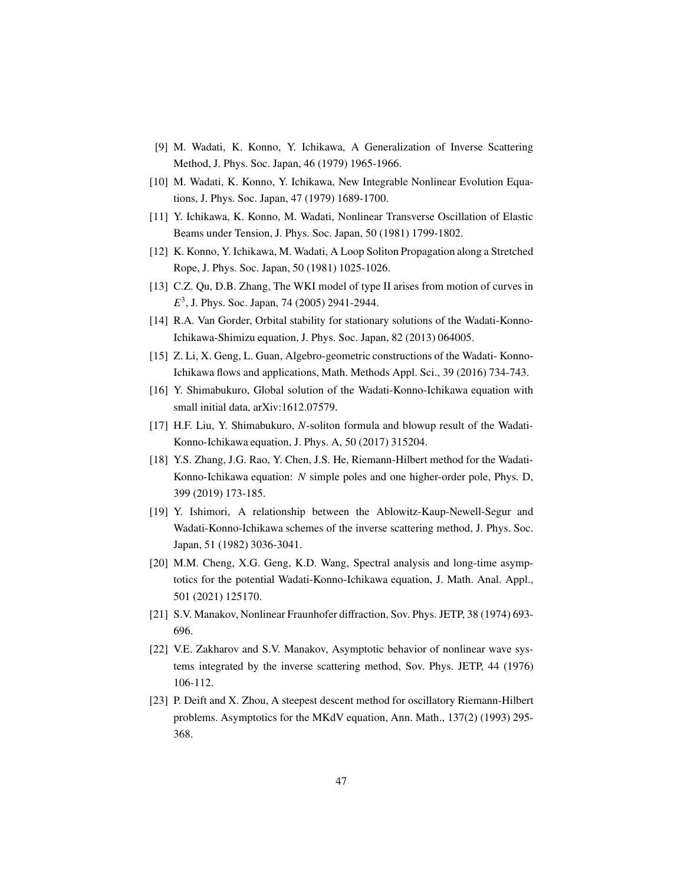- <span id="page-46-0"></span>[9] M. Wadati, K. Konno, Y. Ichikawa, A Generalization of Inverse Scattering Method, J. Phys. Soc. Japan, 46 (1979) 1965-1966.
- <span id="page-46-1"></span>[10] M. Wadati, K. Konno, Y. Ichikawa, New Integrable Nonlinear Evolution Equations, J. Phys. Soc. Japan, 47 (1979) 1689-1700.
- <span id="page-46-2"></span>[11] Y. Ichikawa, K. Konno, M. Wadati, Nonlinear Transverse Oscillation of Elastic Beams under Tension, J. Phys. Soc. Japan, 50 (1981) 1799-1802.
- <span id="page-46-3"></span>[12] K. Konno, Y. Ichikawa, M. Wadati, A Loop Soliton Propagation along a Stretched Rope, J. Phys. Soc. Japan, 50 (1981) 1025-1026.
- <span id="page-46-4"></span>[13] C.Z. Qu, D.B. Zhang, The WKI model of type II arises from motion of curves in *E* 3 , J. Phys. Soc. Japan, 74 (2005) 2941-2944.
- <span id="page-46-5"></span>[14] R.A. Van Gorder, Orbital stability for stationary solutions of the Wadati-Konno-Ichikawa-Shimizu equation, J. Phys. Soc. Japan, 82 (2013) 064005.
- <span id="page-46-6"></span>[15] Z. Li, X. Geng, L. Guan, Algebro-geometric constructions of the Wadati-Konno-Ichikawa flows and applications, Math. Methods Appl. Sci., 39 (2016) 734-743.
- <span id="page-46-7"></span>[16] Y. Shimabukuro, Global solution of the Wadati-Konno-Ichikawa equation with small initial data, arXiv:1612.07579.
- <span id="page-46-8"></span>[17] H.F. Liu, Y. Shimabukuro, *N*-soliton formula and blowup result of the Wadati-Konno-Ichikawa equation, J. Phys. A, 50 (2017) 315204.
- <span id="page-46-9"></span>[18] Y.S. Zhang, J.G. Rao, Y. Chen, J.S. He, Riemann-Hilbert method for the Wadati-Konno-Ichikawa equation: *N* simple poles and one higher-order pole, Phys. D, 399 (2019) 173-185.
- <span id="page-46-10"></span>[19] Y. Ishimori, A relationship between the Ablowitz-Kaup-Newell-Segur and Wadati-Konno-Ichikawa schemes of the inverse scattering method, J. Phys. Soc. Japan, 51 (1982) 3036-3041.
- <span id="page-46-11"></span>[20] M.M. Cheng, X.G. Geng, K.D. Wang, Spectral analysis and long-time asymptotics for the potential Wadati-Konno-Ichikawa equation, J. Math. Anal. Appl., 501 (2021) 125170.
- <span id="page-46-12"></span>[21] S.V. Manakov, Nonlinear Fraunhofer diffraction, Sov. Phys. JETP, 38 (1974) 693- 696.
- <span id="page-46-13"></span>[22] V.E. Zakharov and S.V. Manakov, Asymptotic behavior of nonlinear wave systems integrated by the inverse scattering method, Sov. Phys. JETP, 44 (1976) 106-112.
- <span id="page-46-14"></span>[23] P. Deift and X. Zhou, A steepest descent method for oscillatory Riemann-Hilbert problems. Asymptotics for the MKdV equation, Ann. Math., 137(2) (1993) 295- 368.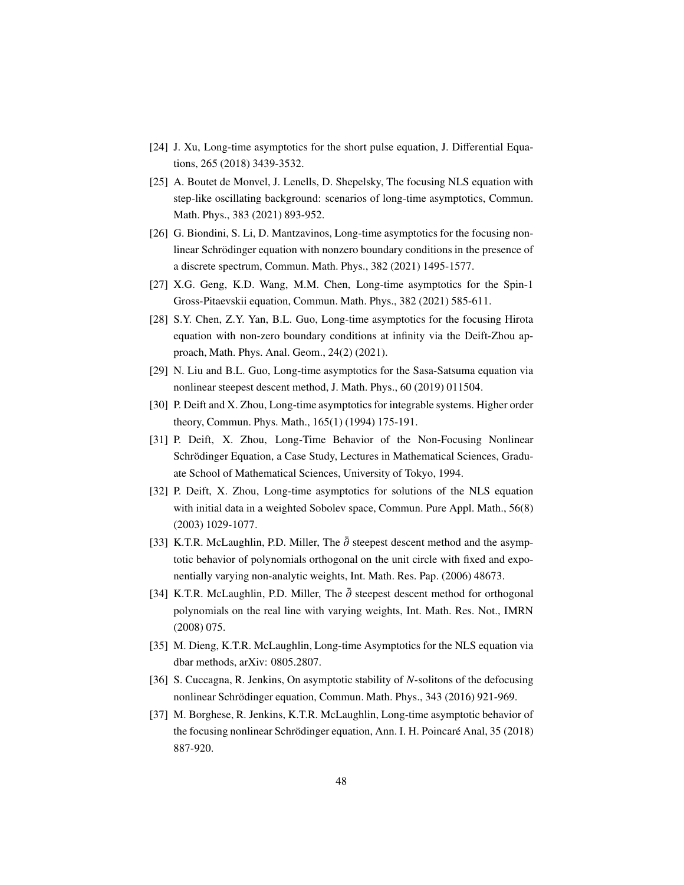- <span id="page-47-0"></span>[24] J. Xu, Long-time asymptotics for the short pulse equation, J. Differential Equations, 265 (2018) 3439-3532.
- [25] A. Boutet de Monvel, J. Lenells, D. Shepelsky, The focusing NLS equation with step-like oscillating background: scenarios of long-time asymptotics, Commun. Math. Phys., 383 (2021) 893-952.
- [26] G. Biondini, S. Li, D. Mantzavinos, Long-time asymptotics for the focusing nonlinear Schrödinger equation with nonzero boundary conditions in the presence of a discrete spectrum, Commun. Math. Phys., 382 (2021) 1495-1577.
- [27] X.G. Geng, K.D. Wang, M.M. Chen, Long-time asymptotics for the Spin-1 Gross-Pitaevskii equation, Commun. Math. Phys., 382 (2021) 585-611.
- [28] S.Y. Chen, Z.Y. Yan, B.L. Guo, Long-time asymptotics for the focusing Hirota equation with non-zero boundary conditions at infinity via the Deift-Zhou approach, Math. Phys. Anal. Geom., 24(2) (2021).
- <span id="page-47-1"></span>[29] N. Liu and B.L. Guo, Long-time asymptotics for the Sasa-Satsuma equation via nonlinear steepest descent method, J. Math. Phys., 60 (2019) 011504.
- <span id="page-47-2"></span>[30] P. Deift and X. Zhou, Long-time asymptotics for integrable systems. Higher order theory, Commun. Phys. Math., 165(1) (1994) 175-191.
- <span id="page-47-3"></span>[31] P. Deift, X. Zhou, Long-Time Behavior of the Non-Focusing Nonlinear Schrödinger Equation, a Case Study, Lectures in Mathematical Sciences, Graduate School of Mathematical Sciences, University of Tokyo, 1994.
- <span id="page-47-4"></span>[32] P. Deift, X. Zhou, Long-time asymptotics for solutions of the NLS equation with initial data in a weighted Sobolev space, Commun. Pure Appl. Math., 56(8) (2003) 1029-1077.
- <span id="page-47-5"></span>[33] K.T.R. McLaughlin, P.D. Miller, The  $\bar{\partial}$  steepest descent method and the asymptotic behavior of polynomials orthogonal on the unit circle with fixed and exponentially varying non-analytic weights, Int. Math. Res. Pap. (2006) 48673.
- <span id="page-47-6"></span>[34] K.T.R. McLaughlin, P.D. Miller, The  $\bar{\partial}$  steepest descent method for orthogonal polynomials on the real line with varying weights, Int. Math. Res. Not., IMRN (2008) 075.
- <span id="page-47-7"></span>[35] M. Dieng, K.T.R. McLaughlin, Long-time Asymptotics for the NLS equation via dbar methods, arXiv: 0805.2807.
- <span id="page-47-8"></span>[36] S. Cuccagna, R. Jenkins, On asymptotic stability of *N*-solitons of the defocusing nonlinear Schrödinger equation, Commun. Math. Phys., 343 (2016) 921-969.
- <span id="page-47-9"></span>[37] M. Borghese, R. Jenkins, K.T.R. McLaughlin, Long-time asymptotic behavior of the focusing nonlinear Schrödinger equation, Ann. I. H. Poincaré Anal, 35 (2018) 887-920.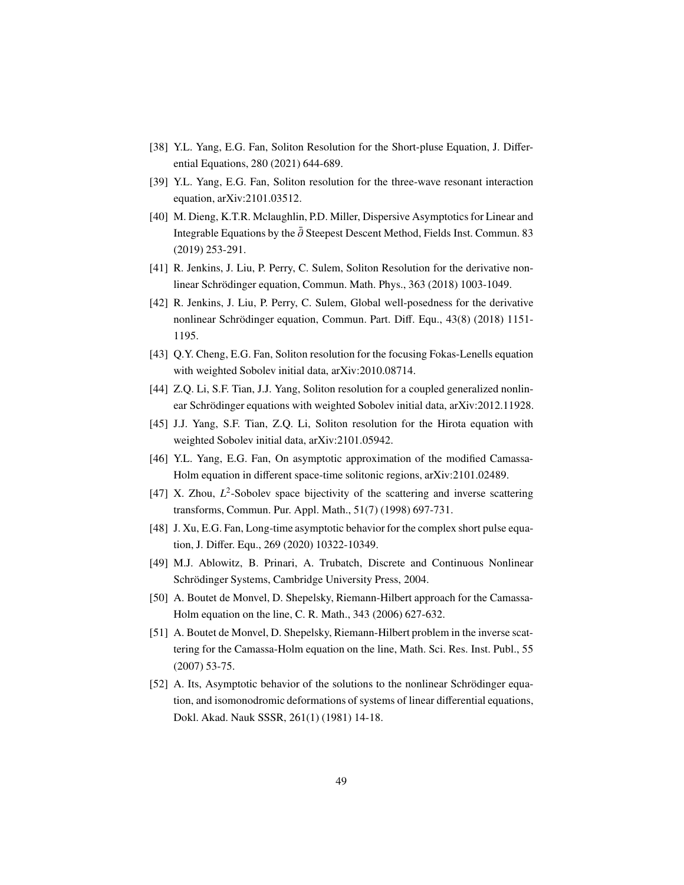- <span id="page-48-6"></span>[38] Y.L. Yang, E.G. Fan, Soliton Resolution for the Short-pluse Equation, J. Differential Equations, 280 (2021) 644-689.
- <span id="page-48-5"></span>[39] Y.L. Yang, E.G. Fan, Soliton resolution for the three-wave resonant interaction equation, arXiv:2101.03512.
- [40] M. Dieng, K.T.R. Mclaughlin, P.D. Miller, Dispersive Asymptotics for Linear and Integrable Equations by the  $\bar{\partial}$  Steepest Descent Method, Fields Inst. Commun. 83 (2019) 253-291.
- [41] R. Jenkins, J. Liu, P. Perry, C. Sulem, Soliton Resolution for the derivative nonlinear Schrödinger equation, Commun. Math. Phys., 363 (2018) 1003-1049.
- [42] R. Jenkins, J. Liu, P. Perry, C. Sulem, Global well-posedness for the derivative nonlinear Schrödinger equation, Commun. Part. Diff. Equ., 43(8) (2018) 1151-1195.
- [43] Q.Y. Cheng, E.G. Fan, Soliton resolution for the focusing Fokas-Lenells equation with weighted Sobolev initial data, arXiv:2010.08714.
- <span id="page-48-7"></span>[44] Z.Q. Li, S.F. Tian, J.J. Yang, Soliton resolution for a coupled generalized nonlinear Schrödinger equations with weighted Sobolev initial data, arXiv:2012.11928.
- [45] J.J. Yang, S.F. Tian, Z.Q. Li, Soliton resolution for the Hirota equation with weighted Sobolev initial data, arXiv:2101.05942.
- <span id="page-48-0"></span>[46] Y.L. Yang, E.G. Fan, On asymptotic approximation of the modified Camassa-Holm equation in different space-time solitonic regions, arXiv:2101.02489.
- <span id="page-48-8"></span>[47] X. Zhou, L<sup>2</sup>-Sobolev space bijectivity of the scattering and inverse scattering transforms, Commun. Pur. Appl. Math., 51(7) (1998) 697-731.
- <span id="page-48-1"></span>[48] J. Xu, E.G. Fan, Long-time asymptotic behavior for the complex short pulse equation, J. Differ. Equ., 269 (2020) 10322-10349.
- <span id="page-48-2"></span>[49] M.J. Ablowitz, B. Prinari, A. Trubatch, Discrete and Continuous Nonlinear Schrödinger Systems, Cambridge University Press, 2004.
- <span id="page-48-3"></span>[50] A. Boutet de Monvel, D. Shepelsky, Riemann-Hilbert approach for the Camassa-Holm equation on the line, C. R. Math., 343 (2006) 627-632.
- <span id="page-48-4"></span>[51] A. Boutet de Monvel, D. Shepelsky, Riemann-Hilbert problem in the inverse scattering for the Camassa-Holm equation on the line, Math. Sci. Res. Inst. Publ., 55 (2007) 53-75.
- <span id="page-48-9"></span>[52] A. Its, Asymptotic behavior of the solutions to the nonlinear Schrödinger equation, and isomonodromic deformations of systems of linear differential equations, Dokl. Akad. Nauk SSSR, 261(1) (1981) 14-18.